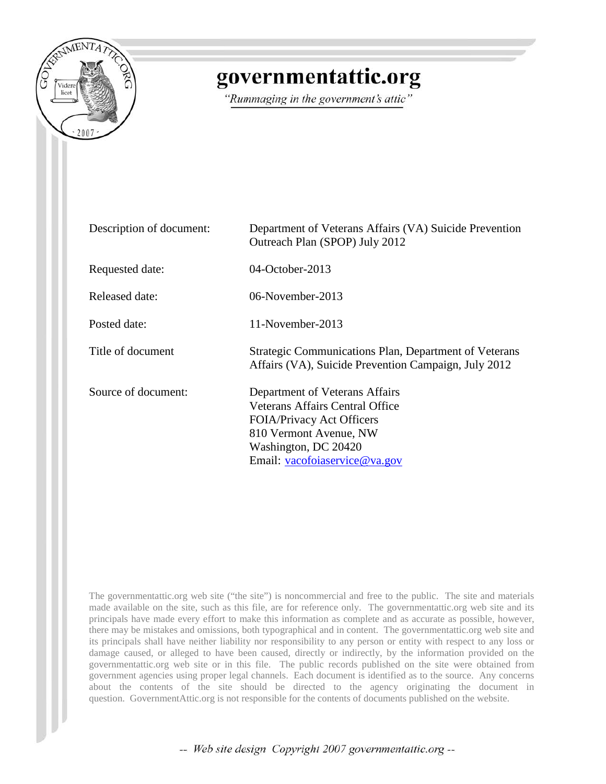

## governmentattic.org

"Rummaging in the government's attic"

| Description of document: | Department of Veterans Affairs (VA) Suicide Prevention<br>Outreach Plan (SPOP) July 2012                                                                                                        |
|--------------------------|-------------------------------------------------------------------------------------------------------------------------------------------------------------------------------------------------|
| Requested date:          | $04$ -October-2013                                                                                                                                                                              |
| Released date:           | 06-November-2013                                                                                                                                                                                |
| Posted date:             | 11-November-2013                                                                                                                                                                                |
| Title of document        | Strategic Communications Plan, Department of Veterans<br>Affairs (VA), Suicide Prevention Campaign, July 2012                                                                                   |
| Source of document:      | Department of Veterans Affairs<br><b>Veterans Affairs Central Office</b><br><b>FOIA/Privacy Act Officers</b><br>810 Vermont Avenue, NW<br>Washington, DC 20420<br>Email: vacofoiaservice@va.gov |

The governmentattic.org web site ("the site") is noncommercial and free to the public. The site and materials made available on the site, such as this file, are for reference only. The governmentattic.org web site and its principals have made every effort to make this information as complete and as accurate as possible, however, there may be mistakes and omissions, both typographical and in content. The governmentattic.org web site and its principals shall have neither liability nor responsibility to any person or entity with respect to any loss or damage caused, or alleged to have been caused, directly or indirectly, by the information provided on the governmentattic.org web site or in this file. The public records published on the site were obtained from government agencies using proper legal channels. Each document is identified as to the source. Any concerns about the contents of the site should be directed to the agency originating the document in question. GovernmentAttic.org is not responsible for the contents of documents published on the website.

-- Web site design Copyright 2007 governmentattic.org --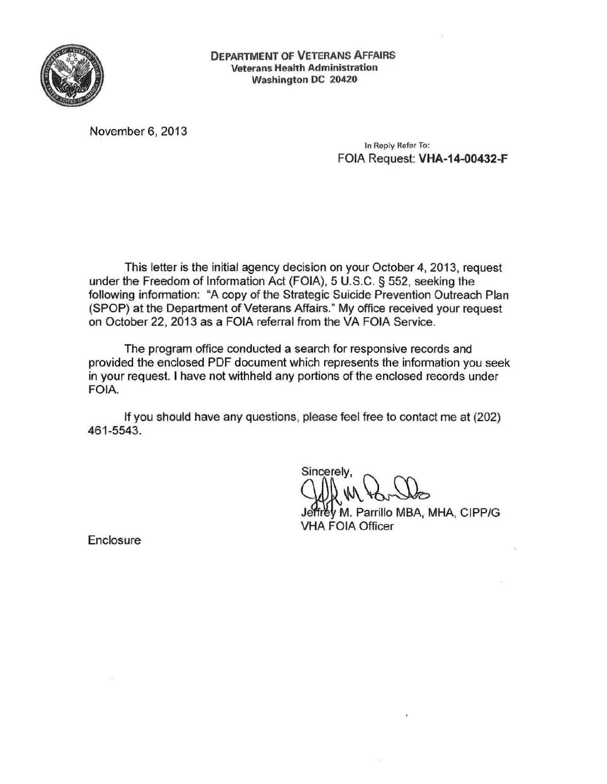

DEPARTMENT OF VETERANS AFFAIRS Veterans Health Administration Washington DC 20420

November 6, 2013

In Reply Refer To: FOIA Request: VHA-14-00432-F

This letter is the initial agency decision on your October 4, 2013, request under the Freedom of Information Act (FOIA), 5 U.S.C. § 552, seeking the following information: "A copy of the Strategic Suicide Prevention Outreach Plan (SPOP) at the Department of Veterans Affairs." My office received your request on October 22, 2013 as a FOIA referral from the VA FOIA Service.

The program office conducted a search for responsive records and provided the enclosed PDF document which represents the information you seek in your request. I have not withheld any portions of the enclosed records under FOIA.

If you should have any questions, please feel free to contact me at (202) 461-5543.

Sincerely.

~M. Parrillo MBA, MHA, CIPP/G VHA FOIA Officer

**Enclosure**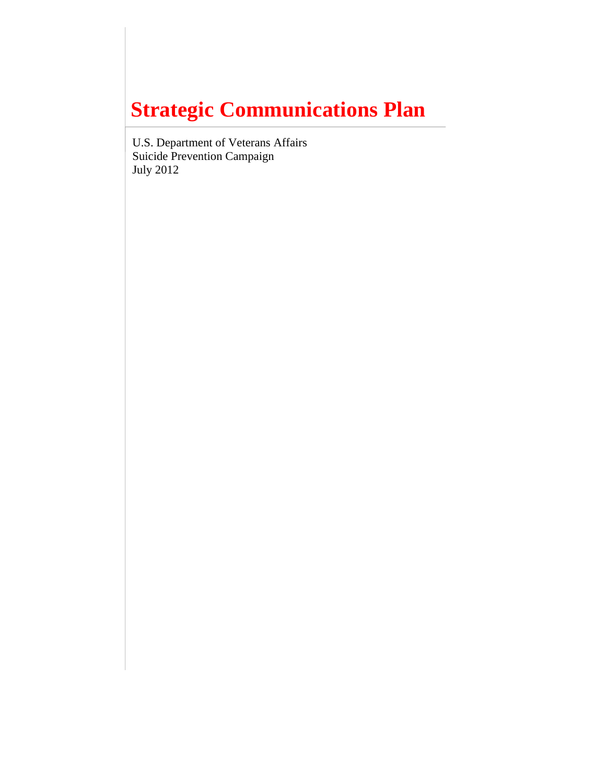# **Strategic Communications Plan**

U.S. Department of Veterans Affairs Suicide Prevention Campaign July 2012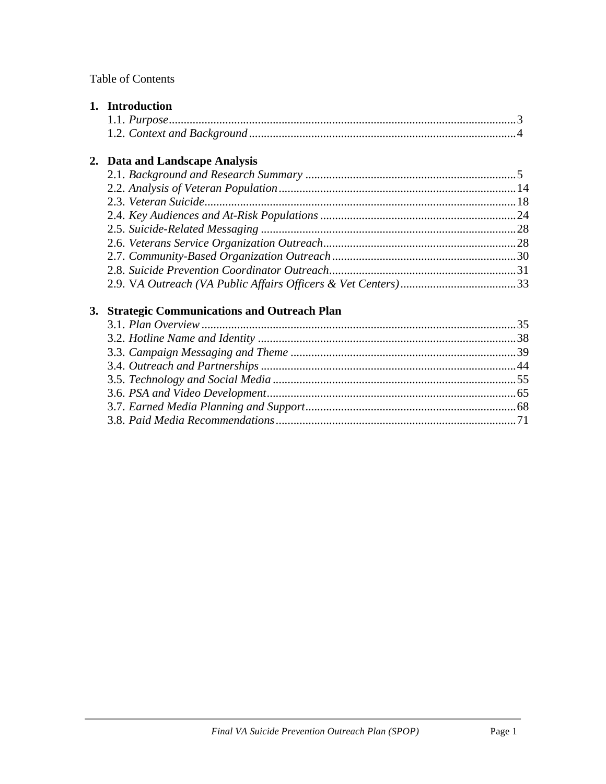## Table of Contents

|    | 1. Introduction                                   |  |
|----|---------------------------------------------------|--|
|    |                                                   |  |
|    |                                                   |  |
|    | 2. Data and Landscape Analysis                    |  |
|    |                                                   |  |
|    |                                                   |  |
|    |                                                   |  |
|    |                                                   |  |
|    |                                                   |  |
|    |                                                   |  |
|    |                                                   |  |
|    |                                                   |  |
|    |                                                   |  |
| 3. | <b>Strategic Communications and Outreach Plan</b> |  |
|    |                                                   |  |
|    |                                                   |  |
|    |                                                   |  |
|    |                                                   |  |
|    |                                                   |  |
|    |                                                   |  |
|    |                                                   |  |
|    |                                                   |  |

3.8. *Paid Media Recommendations*.................................................................................71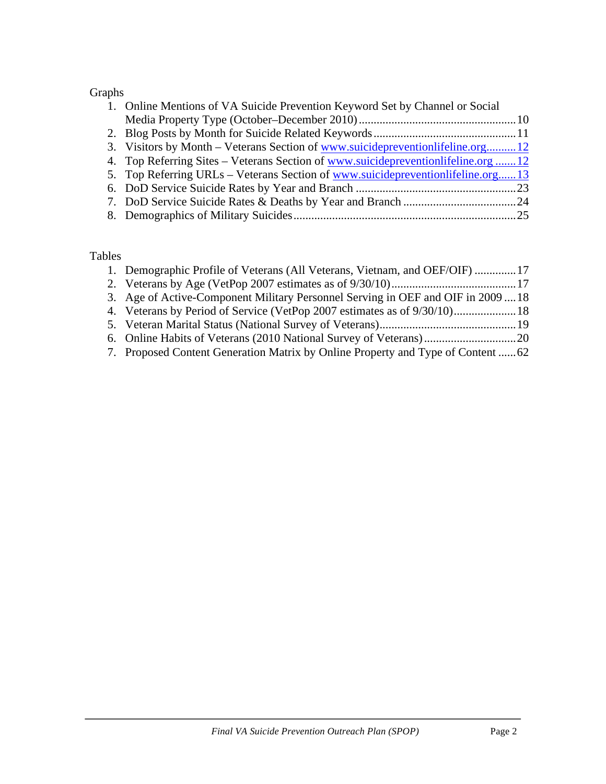## Graphs

| 1. Online Mentions of VA Suicide Prevention Keyword Set by Channel or Social      |  |
|-----------------------------------------------------------------------------------|--|
|                                                                                   |  |
|                                                                                   |  |
| 3. Visitors by Month – Veterans Section of www.suicidepreventionlifeline.org12    |  |
| 4. Top Referring Sites – Veterans Section of www.suicidepreventionlifeline.org 12 |  |
| 5. Top Referring URLs – Veterans Section of www.suicidepreventionlifeline.org13   |  |
|                                                                                   |  |
|                                                                                   |  |
|                                                                                   |  |

## Tables

| 1. Demographic Profile of Veterans (All Veterans, Vietnam, and OEF/OIF) 17       |  |
|----------------------------------------------------------------------------------|--|
|                                                                                  |  |
| 3. Age of Active-Component Military Personnel Serving in OEF and OIF in 200918   |  |
|                                                                                  |  |
|                                                                                  |  |
|                                                                                  |  |
| 7. Proposed Content Generation Matrix by Online Property and Type of Content  62 |  |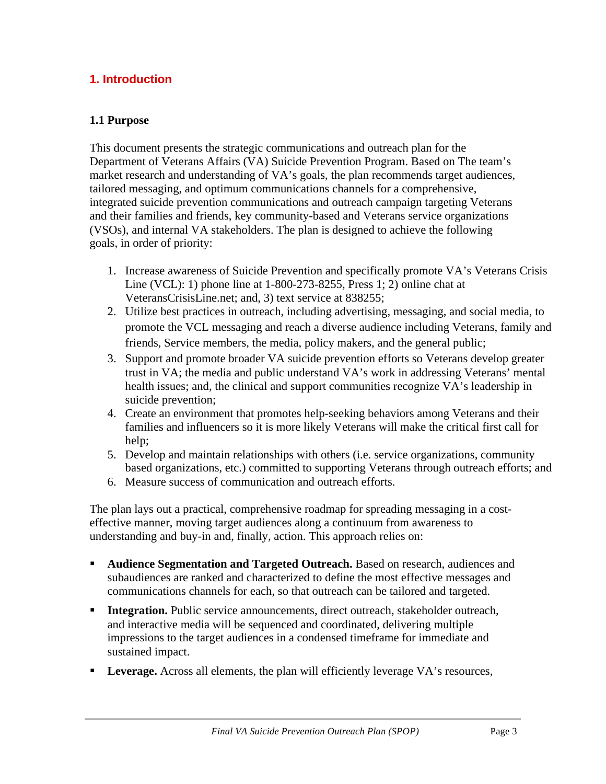## **1. Introduction**

#### **1.1 Purpose**

This document presents the strategic communications and outreach plan for the Department of Veterans Affairs (VA) Suicide Prevention Program. Based on The team's market research and understanding of VA's goals, the plan recommends target audiences, tailored messaging, and optimum communications channels for a comprehensive, integrated suicide prevention communications and outreach campaign targeting Veterans and their families and friends, key community-based and Veterans service organizations (VSOs), and internal VA stakeholders. The plan is designed to achieve the following goals, in order of priority:

- 1. Increase awareness of Suicide Prevention and specifically promote VA's Veterans Crisis Line (VCL): 1) phone line at 1-800-273-8255, Press 1; 2) online chat at VeteransCrisisLine.net; and, 3) text service at 838255;
- 2. Utilize best practices in outreach, including advertising, messaging, and social media, to promote the VCL messaging and reach a diverse audience including Veterans, family and friends, Service members, the media, policy makers, and the general public;
- 3. Support and promote broader VA suicide prevention efforts so Veterans develop greater trust in VA; the media and public understand VA's work in addressing Veterans' mental health issues; and, the clinical and support communities recognize VA's leadership in suicide prevention;
- 4. Create an environment that promotes help-seeking behaviors among Veterans and their families and influencers so it is more likely Veterans will make the critical first call for help;
- 5. Develop and maintain relationships with others (i.e. service organizations, community based organizations, etc.) committed to supporting Veterans through outreach efforts; and
- 6. Measure success of communication and outreach efforts.

The plan lays out a practical, comprehensive roadmap for spreading messaging in a costeffective manner, moving target audiences along a continuum from awareness to understanding and buy-in and, finally, action. This approach relies on:

- **Audience Segmentation and Targeted Outreach.** Based on research, audiences and subaudiences are ranked and characterized to define the most effective messages and communications channels for each, so that outreach can be tailored and targeted.
- **Integration.** Public service announcements, direct outreach, stakeholder outreach, and interactive media will be sequenced and coordinated, delivering multiple impressions to the target audiences in a condensed timeframe for immediate and sustained impact.
- Leverage. Across all elements, the plan will efficiently leverage VA's resources,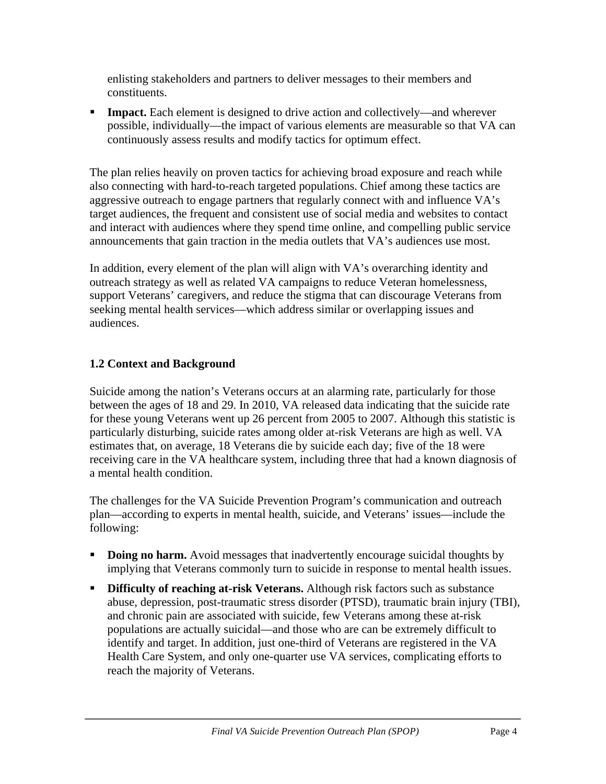enlisting stakeholders and partners to deliver messages to their members and constituents.

**Impact.** Each element is designed to drive action and collectively—and wherever possible, individually—the impact of various elements are measurable so that VA can continuously assess results and modify tactics for optimum effect.

The plan relies heavily on proven tactics for achieving broad exposure and reach while also connecting with hard-to-reach targeted populations. Chief among these tactics are aggressive outreach to engage partners that regularly connect with and influence VA's target audiences, the frequent and consistent use of social media and websites to contact and interact with audiences where they spend time online, and compelling public service announcements that gain traction in the media outlets that VA's audiences use most.

In addition, every element of the plan will align with VA's overarching identity and outreach strategy as well as related VA campaigns to reduce Veteran homelessness, support Veterans' caregivers, and reduce the stigma that can discourage Veterans from seeking mental health services—which address similar or overlapping issues and audiences.

## **1.2 Context and Background**

Suicide among the nation's Veterans occurs at an alarming rate, particularly for those between the ages of 18 and 29. In 2010, VA released data indicating that the suicide rate for these young Veterans went up 26 percent from 2005 to 2007. Although this statistic is particularly disturbing, suicide rates among older at-risk Veterans are high as well. VA estimates that, on average, 18 Veterans die by suicide each day; five of the 18 were receiving care in the VA healthcare system, including three that had a known diagnosis of a mental health condition.

The challenges for the VA Suicide Prevention Program's communication and outreach plan—according to experts in mental health, suicide, and Veterans' issues—include the following:

- **Doing no harm.** Avoid messages that inadvertently encourage suicidal thoughts by implying that Veterans commonly turn to suicide in response to mental health issues.
- **Difficulty of reaching at-risk Veterans.** Although risk factors such as substance abuse, depression, post-traumatic stress disorder (PTSD), traumatic brain injury (TBI), and chronic pain are associated with suicide, few Veterans among these at-risk populations are actually suicidal—and those who are can be extremely difficult to identify and target. In addition, just one-third of Veterans are registered in the VA Health Care System, and only one-quarter use VA services, complicating efforts to reach the majority of Veterans.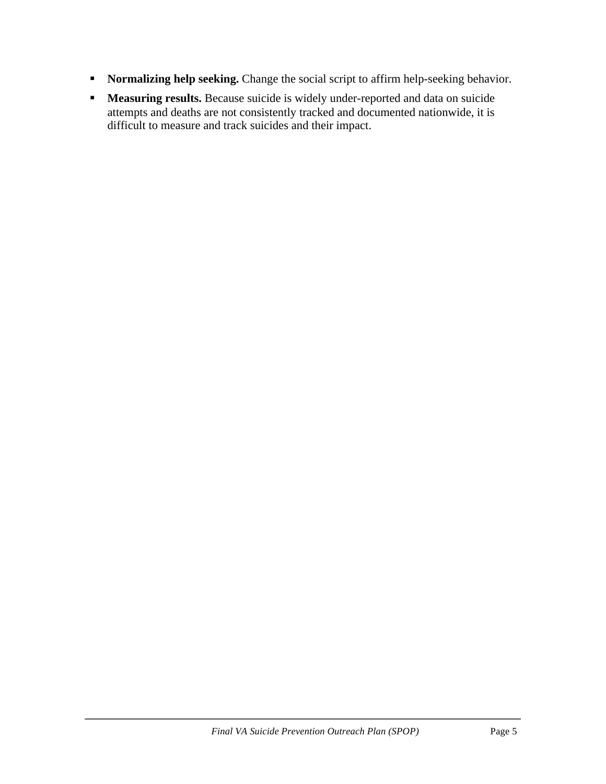- **Normalizing help seeking.** Change the social script to affirm help-seeking behavior.
- **Measuring results.** Because suicide is widely under-reported and data on suicide attempts and deaths are not consistently tracked and documented nationwide, it is difficult to measure and track suicides and their impact.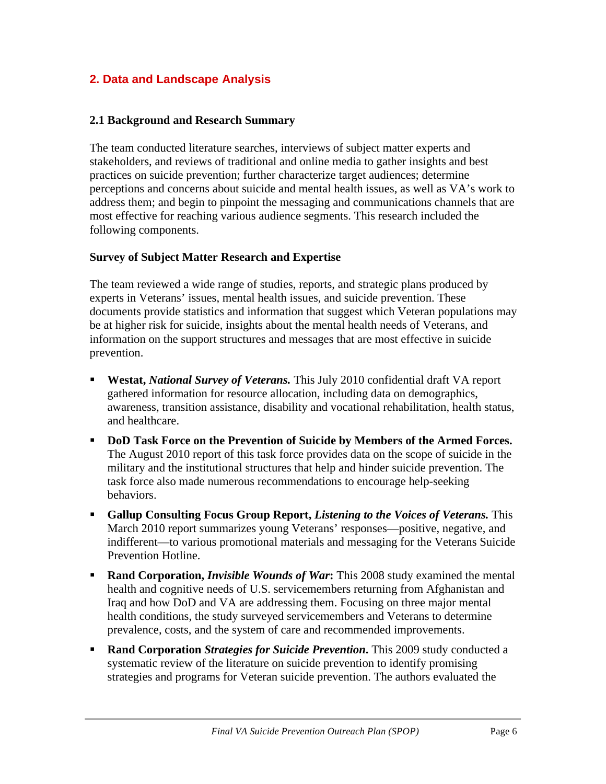## **2. Data and Landscape Analysis**

#### **2.1 Background and Research Summary**

The team conducted literature searches, interviews of subject matter experts and stakeholders, and reviews of traditional and online media to gather insights and best practices on suicide prevention; further characterize target audiences; determine perceptions and concerns about suicide and mental health issues, as well as VA's work to address them; and begin to pinpoint the messaging and communications channels that are most effective for reaching various audience segments. This research included the following components.

#### **Survey of Subject Matter Research and Expertise**

The team reviewed a wide range of studies, reports, and strategic plans produced by experts in Veterans' issues, mental health issues, and suicide prevention. These documents provide statistics and information that suggest which Veteran populations may be at higher risk for suicide, insights about the mental health needs of Veterans, and information on the support structures and messages that are most effective in suicide prevention.

- **Westat,** *National Survey of Veterans.* This July 2010 confidential draft VA report gathered information for resource allocation, including data on demographics, awareness, transition assistance, disability and vocational rehabilitation, health status, and healthcare.
- **DoD Task Force on the Prevention of Suicide by Members of the Armed Forces.** The August 2010 report of this task force provides data on the scope of suicide in the military and the institutional structures that help and hinder suicide prevention. The task force also made numerous recommendations to encourage help-seeking behaviors.
- **Gallup Consulting Focus Group Report,** *Listening to the Voices of Veterans.* This March 2010 report summarizes young Veterans' responses—positive, negative, and indifferent—to various promotional materials and messaging for the Veterans Suicide Prevention Hotline.
- **Rand Corporation,** *Invisible Wounds of War*: This 2008 study examined the mental health and cognitive needs of U.S. servicemembers returning from Afghanistan and Iraq and how DoD and VA are addressing them. Focusing on three major mental health conditions, the study surveyed servicemembers and Veterans to determine prevalence, costs, and the system of care and recommended improvements.
- **Rand Corporation** *Strategies for Suicide Prevention*. This 2009 study conducted a systematic review of the literature on suicide prevention to identify promising strategies and programs for Veteran suicide prevention. The authors evaluated the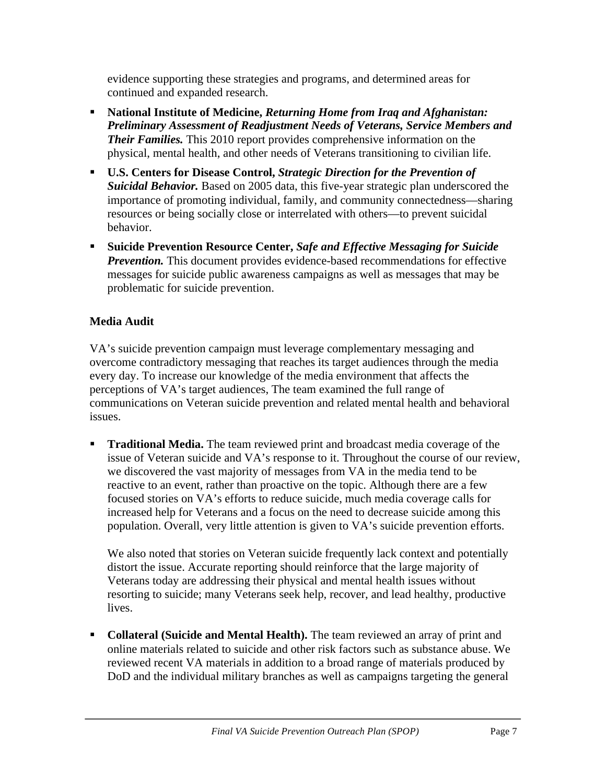evidence supporting these strategies and programs, and determined areas for continued and expanded research.

- **National Institute of Medicine,** *Returning Home from Iraq and Afghanistan: Preliminary Assessment of Readjustment Needs of Veterans, Service Members and Their Families.* This 2010 report provides comprehensive information on the physical, mental health, and other needs of Veterans transitioning to civilian life.
- **U.S. Centers for Disease Control,** *Strategic Direction for the Prevention of Suicidal Behavior.* Based on 2005 data, this five-year strategic plan underscored the importance of promoting individual, family, and community connectedness—sharing resources or being socially close or interrelated with others—to prevent suicidal behavior.
- **Suicide Prevention Resource Center,** *Safe and Effective Messaging for Suicide Prevention.* This document provides evidence-based recommendations for effective messages for suicide public awareness campaigns as well as messages that may be problematic for suicide prevention.

## **Media Audit**

VA's suicide prevention campaign must leverage complementary messaging and overcome contradictory messaging that reaches its target audiences through the media every day. To increase our knowledge of the media environment that affects the perceptions of VA's target audiences, The team examined the full range of communications on Veteran suicide prevention and related mental health and behavioral issues.

**Traditional Media.** The team reviewed print and broadcast media coverage of the issue of Veteran suicide and VA's response to it. Throughout the course of our review, we discovered the vast majority of messages from VA in the media tend to be reactive to an event, rather than proactive on the topic. Although there are a few focused stories on VA's efforts to reduce suicide, much media coverage calls for increased help for Veterans and a focus on the need to decrease suicide among this population. Overall, very little attention is given to VA's suicide prevention efforts.

We also noted that stories on Veteran suicide frequently lack context and potentially distort the issue. Accurate reporting should reinforce that the large majority of Veterans today are addressing their physical and mental health issues without resorting to suicide; many Veterans seek help, recover, and lead healthy, productive lives.

**Collateral (Suicide and Mental Health).** The team reviewed an array of print and online materials related to suicide and other risk factors such as substance abuse. We reviewed recent VA materials in addition to a broad range of materials produced by DoD and the individual military branches as well as campaigns targeting the general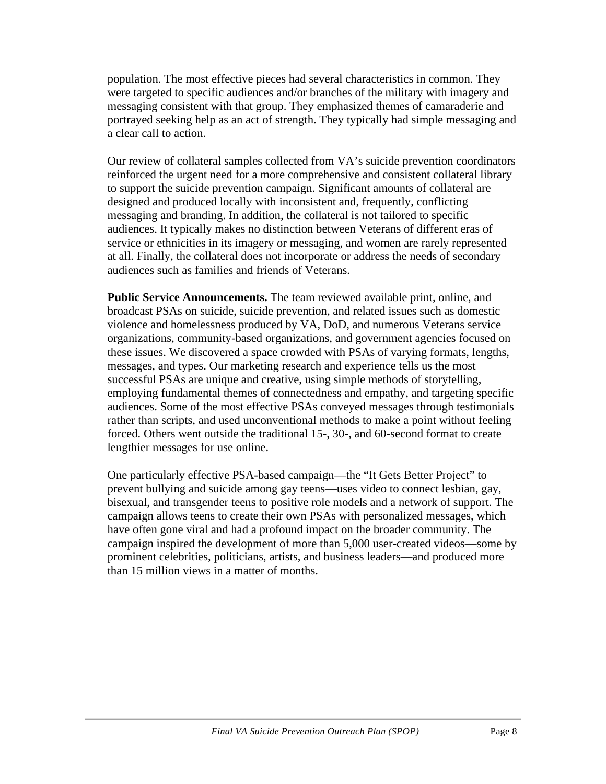population. The most effective pieces had several characteristics in common. They were targeted to specific audiences and/or branches of the military with imagery and messaging consistent with that group. They emphasized themes of camaraderie and portrayed seeking help as an act of strength. They typically had simple messaging and a clear call to action.

Our review of collateral samples collected from VA's suicide prevention coordinators reinforced the urgent need for a more comprehensive and consistent collateral library to support the suicide prevention campaign. Significant amounts of collateral are designed and produced locally with inconsistent and, frequently, conflicting messaging and branding. In addition, the collateral is not tailored to specific audiences. It typically makes no distinction between Veterans of different eras of service or ethnicities in its imagery or messaging, and women are rarely represented at all. Finally, the collateral does not incorporate or address the needs of secondary audiences such as families and friends of Veterans.

**Public Service Announcements.** The team reviewed available print, online, and broadcast PSAs on suicide, suicide prevention, and related issues such as domestic violence and homelessness produced by VA, DoD, and numerous Veterans service organizations, community-based organizations, and government agencies focused on these issues. We discovered a space crowded with PSAs of varying formats, lengths, messages, and types. Our marketing research and experience tells us the most successful PSAs are unique and creative, using simple methods of storytelling, employing fundamental themes of connectedness and empathy, and targeting specific audiences. Some of the most effective PSAs conveyed messages through testimonials rather than scripts, and used unconventional methods to make a point without feeling forced. Others went outside the traditional 15-, 30-, and 60-second format to create lengthier messages for use online.

One particularly effective PSA-based campaign—the "It Gets Better Project" to prevent bullying and suicide among gay teens—uses video to connect lesbian, gay, bisexual, and transgender teens to positive role models and a network of support. The campaign allows teens to create their own PSAs with personalized messages, which have often gone viral and had a profound impact on the broader community. The campaign inspired the development of more than 5,000 user-created videos—some by prominent celebrities, politicians, artists, and business leaders—and produced more than 15 million views in a matter of months.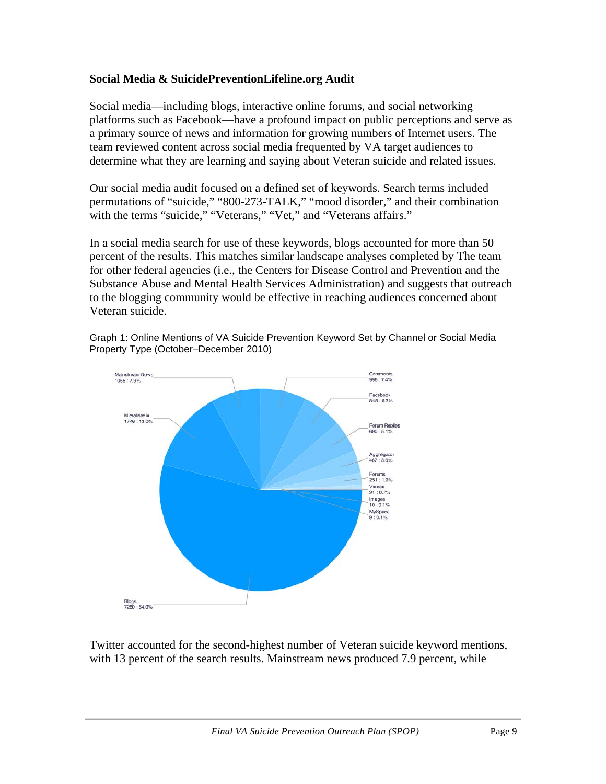#### **Social Media & SuicidePreventionLifeline.org Audit**

Social media—including blogs, interactive online forums, and social networking platforms such as Facebook—have a profound impact on public perceptions and serve as a primary source of news and information for growing numbers of Internet users. The team reviewed content across social media frequented by VA target audiences to determine what they are learning and saying about Veteran suicide and related issues.

Our social media audit focused on a defined set of keywords. Search terms included permutations of "suicide," "800-273-TALK," "mood disorder," and their combination with the terms "suicide," "Veterans," "Vet," and "Veterans affairs."

In a social media search for use of these keywords, blogs accounted for more than 50 percent of the results. This matches similar landscape analyses completed by The team for other federal agencies (i.e., the Centers for Disease Control and Prevention and the Substance Abuse and Mental Health Services Administration) and suggests that outreach to the blogging community would be effective in reaching audiences concerned about Veteran suicide.

Graph 1: Online Mentions of VA Suicide Prevention Keyword Set by Channel or Social Media Property Type (October–December 2010)



Twitter accounted for the second-highest number of Veteran suicide keyword mentions, with 13 percent of the search results. Mainstream news produced 7.9 percent, while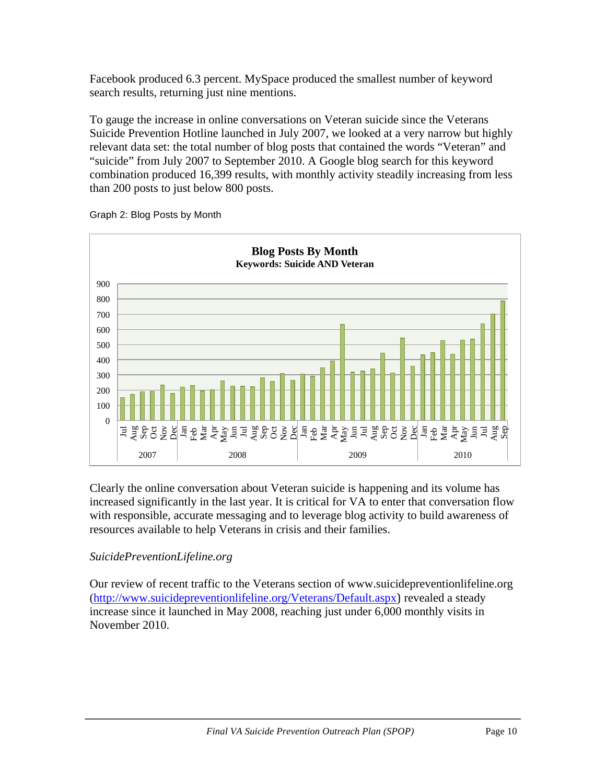Facebook produced 6.3 percent. MySpace produced the smallest number of keyword search results, returning just nine mentions.

To gauge the increase in online conversations on Veteran suicide since the Veterans Suicide Prevention Hotline launched in July 2007, we looked at a very narrow but highly relevant data set: the total number of blog posts that contained the words "Veteran" and "suicide" from July 2007 to September 2010. A Google blog search for this keyword combination produced 16,399 results, with monthly activity steadily increasing from less than 200 posts to just below 800 posts.



Graph 2: Blog Posts by Month

Clearly the online conversation about Veteran suicide is happening and its volume has increased significantly in the last year. It is critical for VA to enter that conversation flow with responsible, accurate messaging and to leverage blog activity to build awareness of resources available to help Veterans in crisis and their families.

#### *SuicidePreventionLifeline.org*

Our review of recent traffic to the Veterans section of www.suicidepreventionlifeline.org (http://www.suicidepreventionlifeline.org/Veterans/Default.aspx) revealed a steady increase since it launched in May 2008, reaching just under 6,000 monthly visits in November 2010.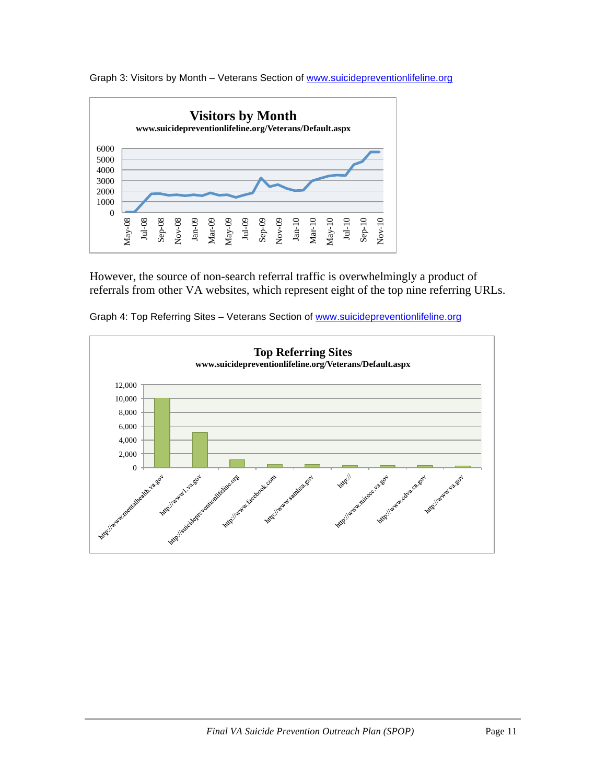

Graph 3: Visitors by Month - Veterans Section of www.suicidepreventionlifeline.org

However, the source of non-search referral traffic is overwhelmingly a product of referrals from other VA websites, which represent eight of the top nine referring URLs.



Graph 4: Top Referring Sites – Veterans Section of www.suicidepreventionlifeline.org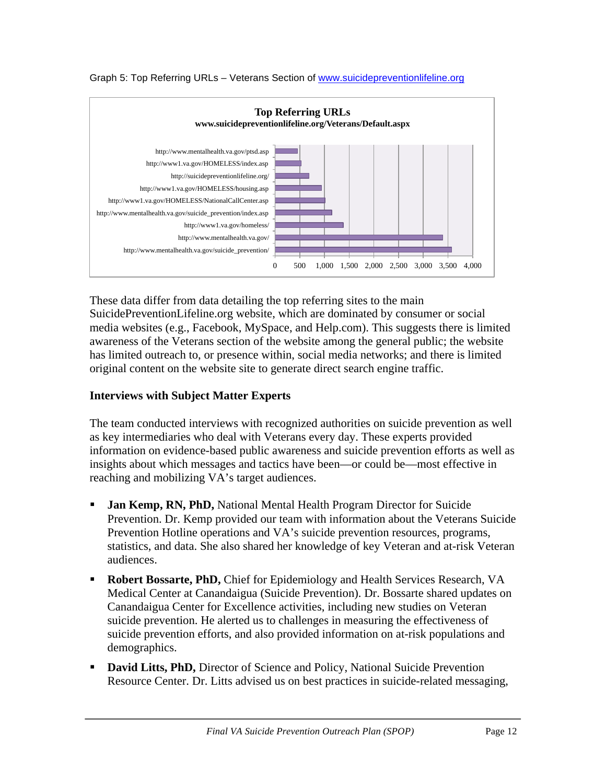

Graph 5: Top Referring URLs – Veterans Section of www.suicidepreventionlifeline.org

These data differ from data detailing the top referring sites to the main SuicidePreventionLifeline.org website, which are dominated by consumer or social media websites (e.g., Facebook, MySpace, and Help.com). This suggests there is limited awareness of the Veterans section of the website among the general public; the website has limited outreach to, or presence within, social media networks; and there is limited original content on the website site to generate direct search engine traffic.

#### **Interviews with Subject Matter Experts**

The team conducted interviews with recognized authorities on suicide prevention as well as key intermediaries who deal with Veterans every day. These experts provided information on evidence-based public awareness and suicide prevention efforts as well as insights about which messages and tactics have been—or could be—most effective in reaching and mobilizing VA's target audiences.

- **Jan Kemp, RN, PhD, National Mental Health Program Director for Suicide** Prevention. Dr. Kemp provided our team with information about the Veterans Suicide Prevention Hotline operations and VA's suicide prevention resources, programs, statistics, and data. She also shared her knowledge of key Veteran and at-risk Veteran audiences.
- **Robert Bossarte, PhD, Chief for Epidemiology and Health Services Research, VA** Medical Center at Canandaigua (Suicide Prevention). Dr. Bossarte shared updates on Canandaigua Center for Excellence activities, including new studies on Veteran suicide prevention. He alerted us to challenges in measuring the effectiveness of suicide prevention efforts, and also provided information on at-risk populations and demographics.
- **David Litts, PhD,** Director of Science and Policy, National Suicide Prevention Resource Center. Dr. Litts advised us on best practices in suicide-related messaging,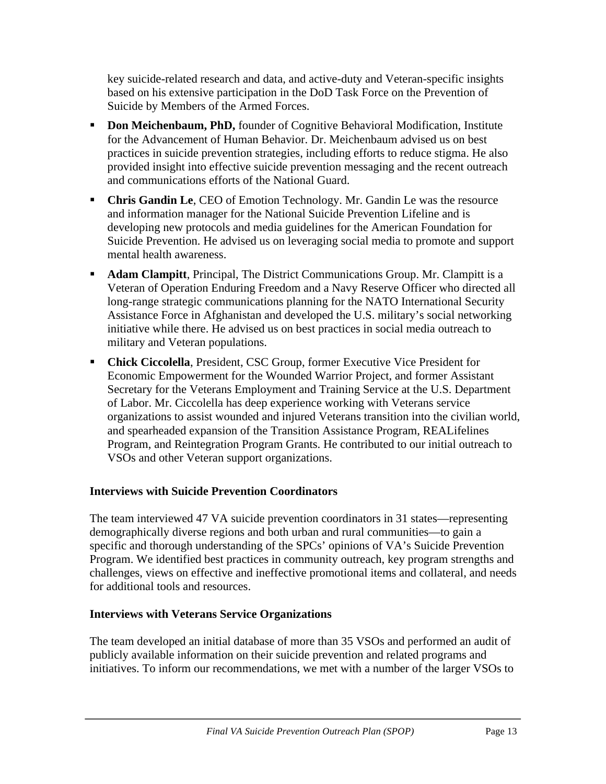key suicide-related research and data, and active-duty and Veteran-specific insights based on his extensive participation in the DoD Task Force on the Prevention of Suicide by Members of the Armed Forces.

- **Don Meichenbaum, PhD,** founder of Cognitive Behavioral Modification, Institute for the Advancement of Human Behavior. Dr. Meichenbaum advised us on best practices in suicide prevention strategies, including efforts to reduce stigma. He also provided insight into effective suicide prevention messaging and the recent outreach and communications efforts of the National Guard.
- **Chris Gandin Le, CEO** of Emotion Technology. Mr. Gandin Le was the resource and information manager for the National Suicide Prevention Lifeline and is developing new protocols and media guidelines for the American Foundation for Suicide Prevention. He advised us on leveraging social media to promote and support mental health awareness.
- **Adam Clampitt**, Principal, The District Communications Group. Mr. Clampitt is a Veteran of Operation Enduring Freedom and a Navy Reserve Officer who directed all long-range strategic communications planning for the NATO International Security Assistance Force in Afghanistan and developed the U.S. military's social networking initiative while there. He advised us on best practices in social media outreach to military and Veteran populations.
- **Chick Ciccolella**, President, CSC Group, former Executive Vice President for Economic Empowerment for the Wounded Warrior Project, and former Assistant Secretary for the Veterans Employment and Training Service at the U.S. Department of Labor. Mr. Ciccolella has deep experience working with Veterans service organizations to assist wounded and injured Veterans transition into the civilian world, and spearheaded expansion of the Transition Assistance Program, REALifelines Program, and Reintegration Program Grants. He contributed to our initial outreach to VSOs and other Veteran support organizations.

#### **Interviews with Suicide Prevention Coordinators**

The team interviewed 47 VA suicide prevention coordinators in 31 states—representing demographically diverse regions and both urban and rural communities—to gain a specific and thorough understanding of the SPCs' opinions of VA's Suicide Prevention Program. We identified best practices in community outreach, key program strengths and challenges, views on effective and ineffective promotional items and collateral, and needs for additional tools and resources.

#### **Interviews with Veterans Service Organizations**

The team developed an initial database of more than 35 VSOs and performed an audit of publicly available information on their suicide prevention and related programs and initiatives. To inform our recommendations, we met with a number of the larger VSOs to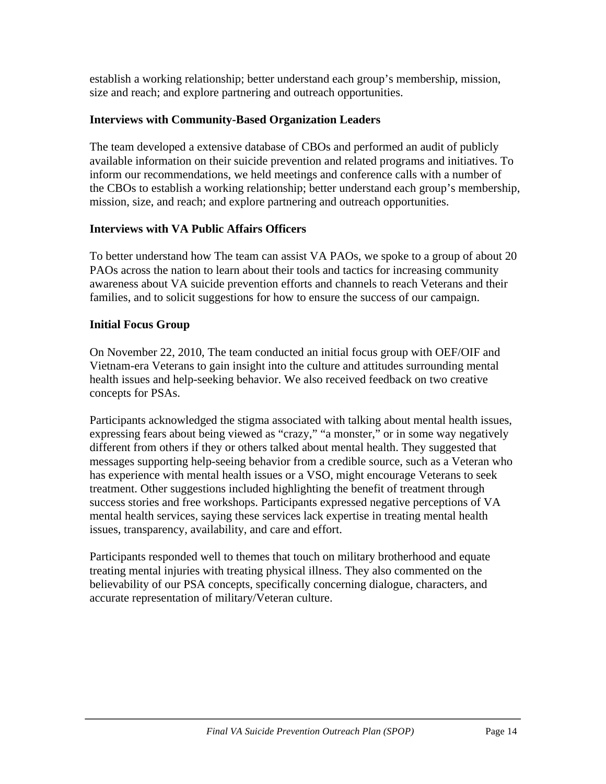establish a working relationship; better understand each group's membership, mission, size and reach; and explore partnering and outreach opportunities.

## **Interviews with Community-Based Organization Leaders**

The team developed a extensive database of CBOs and performed an audit of publicly available information on their suicide prevention and related programs and initiatives. To inform our recommendations, we held meetings and conference calls with a number of the CBOs to establish a working relationship; better understand each group's membership, mission, size, and reach; and explore partnering and outreach opportunities.

## **Interviews with VA Public Affairs Officers**

To better understand how The team can assist VA PAOs, we spoke to a group of about 20 PAOs across the nation to learn about their tools and tactics for increasing community awareness about VA suicide prevention efforts and channels to reach Veterans and their families, and to solicit suggestions for how to ensure the success of our campaign.

## **Initial Focus Group**

On November 22, 2010, The team conducted an initial focus group with OEF/OIF and Vietnam-era Veterans to gain insight into the culture and attitudes surrounding mental health issues and help-seeking behavior. We also received feedback on two creative concepts for PSAs.

Participants acknowledged the stigma associated with talking about mental health issues, expressing fears about being viewed as "crazy," "a monster," or in some way negatively different from others if they or others talked about mental health. They suggested that messages supporting help-seeing behavior from a credible source, such as a Veteran who has experience with mental health issues or a VSO, might encourage Veterans to seek treatment. Other suggestions included highlighting the benefit of treatment through success stories and free workshops. Participants expressed negative perceptions of VA mental health services, saying these services lack expertise in treating mental health issues, transparency, availability, and care and effort.

Participants responded well to themes that touch on military brotherhood and equate treating mental injuries with treating physical illness. They also commented on the believability of our PSA concepts, specifically concerning dialogue, characters, and accurate representation of military/Veteran culture.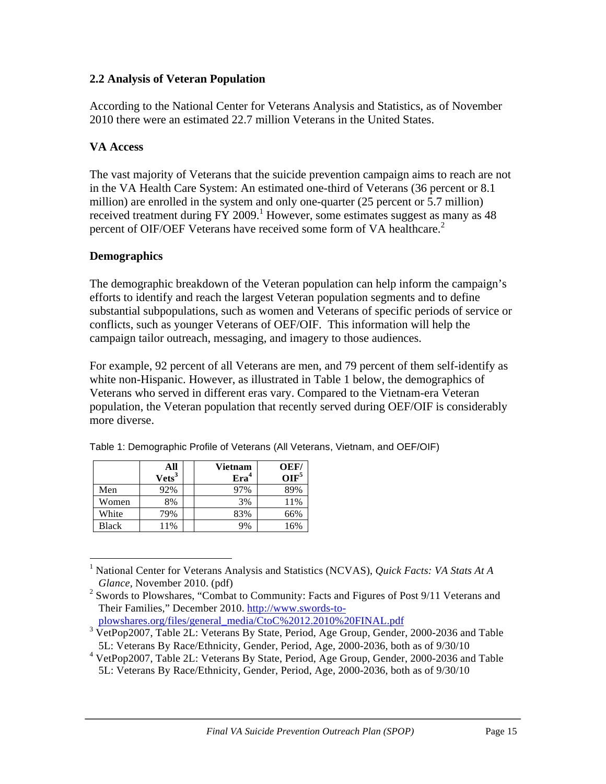#### **2.2 Analysis of Veteran Population**

According to the National Center for Veterans Analysis and Statistics, as of November 2010 there were an estimated 22.7 million Veterans in the United States.

#### **VA Access**

The vast majority of Veterans that the suicide prevention campaign aims to reach are not in the VA Health Care System: An estimated one-third of Veterans (36 percent or 8.1 million) are enrolled in the system and only one-quarter (25 percent or 5.7 million) received treatment during FY 2009.<sup>1</sup> However, some estimates suggest as many as 48 percent of OIF/OEF Veterans have received some form of VA healthcare.<sup>2</sup>

#### **Demographics**

The demographic breakdown of the Veteran population can help inform the campaign's efforts to identify and reach the largest Veteran population segments and to define substantial subpopulations, such as women and Veterans of specific periods of service or conflicts, such as younger Veterans of OEF/OIF. This information will help the campaign tailor outreach, messaging, and imagery to those audiences.

For example, 92 percent of all Veterans are men, and 79 percent of them self-identify as white non-Hispanic. However, as illustrated in Table 1 below, the demographics of Veterans who served in different eras vary. Compared to the Vietnam-era Veteran population, the Veteran population that recently served during OEF/OIF is considerably more diverse.

|       | All               | <b>Vietnam</b>   | OEF/             |
|-------|-------------------|------------------|------------------|
|       | Vets <sup>3</sup> | Era <sup>4</sup> | OIF <sup>5</sup> |
| Men   | 92%               | 97%              | 89%              |
| Women | 8%                | 3%               | 11%              |
| White | 79%               | 83%              | 66%              |
| Black | 11%               | 9%               | 16%              |

Table 1: Demographic Profile of Veterans (All Veterans, Vietnam, and OEF/OIF)

plowshares.org/files/general\_media/CtoC%2012.2010%20FINAL.pdf

 <sup>1</sup> National Center for Veterans Analysis and Statistics (NCVAS), *Quick Facts: VA Stats At A Glance,* November 2010. (pdf)

<sup>&</sup>lt;sup>2</sup> Swords to Plowshares, "Combat to Community: Facts and Figures of Post 9/11 Veterans and Their Families," December 2010. http://www.swords-to-

<sup>&</sup>lt;sup>3</sup> VetPop2007, Table 2L: Veterans By State, Period, Age Group, Gender, 2000-2036 and Table 5L: Veterans By Race/Ethnicity, Gender, Period, Age, 2000-2036, both as of 9/30/10

<sup>4</sup> VetPop2007, Table 2L: Veterans By State, Period, Age Group, Gender, 2000-2036 and Table 5L: Veterans By Race/Ethnicity, Gender, Period, Age, 2000-2036, both as of 9/30/10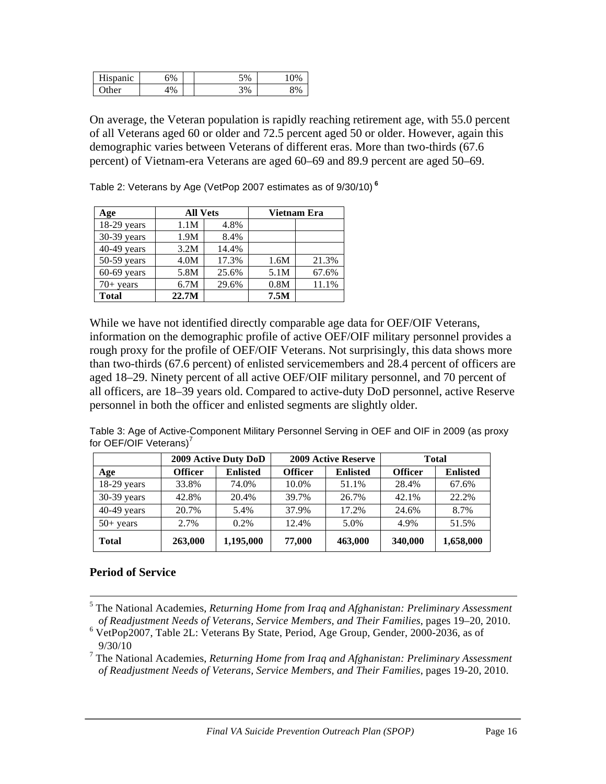| т т•<br>enanic | 6%    | 5%<br>◡ |       |
|----------------|-------|---------|-------|
| ٦tì<br>10r     | $1\%$ | 3%<br>◡ | $Q_0$ |

On average, the Veteran population is rapidly reaching retirement age, with 55.0 percent of all Veterans aged 60 or older and 72.5 percent aged 50 or older. However, again this demographic varies between Veterans of different eras. More than two-thirds (67.6 percent) of Vietnam-era Veterans are aged 60–69 and 89.9 percent are aged 50–69.

Table 2: Veterans by Age (VetPop 2007 estimates as of 9/30/10) **<sup>6</sup>**

| Age           | <b>All Vets</b><br>Vietnam Era |       |      |       |
|---------------|--------------------------------|-------|------|-------|
| $18-29$ years | 1.1M                           | 4.8%  |      |       |
| 30-39 years   | 1.9M                           | 8.4%  |      |       |
| $40-49$ years | 3.2M                           | 14.4% |      |       |
| 50-59 years   | 4.0M                           | 17.3% | 1.6M | 21.3% |
| $60-69$ years | 5.8M                           | 25.6% | 5.1M | 67.6% |
| $70+$ years   | 6.7M                           | 29.6% | 0.8M | 11.1% |
| <b>Total</b>  | 22.7M                          |       | 7.5M |       |

While we have not identified directly comparable age data for OEF/OIF Veterans, information on the demographic profile of active OEF/OIF military personnel provides a rough proxy for the profile of OEF/OIF Veterans. Not surprisingly, this data shows more than two-thirds (67.6 percent) of enlisted servicemembers and 28.4 percent of officers are aged 18–29. Ninety percent of all active OEF/OIF military personnel, and 70 percent of all officers, are 18–39 years old. Compared to active-duty DoD personnel, active Reserve personnel in both the officer and enlisted segments are slightly older.

Table 3: Age of Active-Component Military Personnel Serving in OEF and OIF in 2009 (as proxy for OEF/OIF Veterans)<sup>7</sup>

|               | 2009 Active Duty DoD |                 |                | <b>2009 Active Reserve</b> | <b>Total</b>   |                 |  |
|---------------|----------------------|-----------------|----------------|----------------------------|----------------|-----------------|--|
| Age           | <b>Officer</b>       | <b>Enlisted</b> | <b>Officer</b> | <b>Enlisted</b>            | <b>Officer</b> | <b>Enlisted</b> |  |
| $18-29$ years | 33.8%                | 74.0%           | 10.0%          | 51.1%                      | 28.4%          | 67.6%           |  |
| $30-39$ years | 42.8%                | 20.4%           | 39.7%          | 26.7%                      | 42.1%          | 22.2%           |  |
| $40-49$ years | 20.7%                | 5.4%            | 37.9%          | 17.2%                      | 24.6%          | 8.7%            |  |
| $50+$ years   | 2.7%                 | 0.2%            | 12.4%          | 5.0%                       | 4.9%           | 51.5%           |  |
| <b>Total</b>  | 263,000              | 1,195,000       | 77,000         | 463,000                    | 340,000        | 1,658,000       |  |

#### **Period of Service**

<sup>&</sup>lt;u> 1989 - Andrea San Andrew Maria (h. 1989).</u><br>1900 - Andrew Maria (h. 1980). <sup>5</sup> The National Academies, *Returning Home from Iraq and Afghanistan: Preliminary Assessment of Readjustment Needs of Veterans, Service Members, and Their Families*, pages 19–20, 2010.

<sup>6</sup> VetPop2007, Table 2L: Veterans By State, Period, Age Group, Gender, 2000-2036, as of 9/30/10

<sup>7</sup> The National Academies, *Returning Home from Iraq and Afghanistan: Preliminary Assessment of Readjustment Needs of Veterans, Service Members, and Their Families*, pages 19-20, 2010.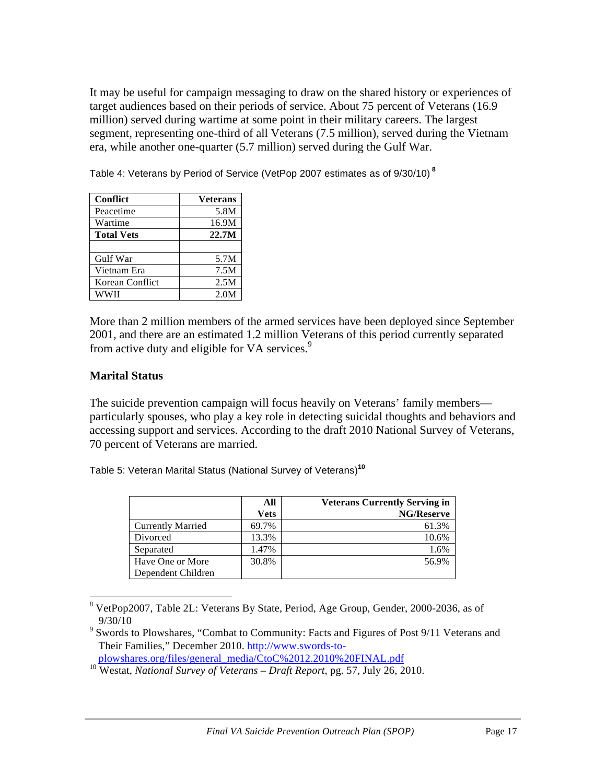It may be useful for campaign messaging to draw on the shared history or experiences of target audiences based on their periods of service. About 75 percent of Veterans (16.9 million) served during wartime at some point in their military careers. The largest segment, representing one-third of all Veterans (7.5 million), served during the Vietnam era, while another one-quarter (5.7 million) served during the Gulf War.

Table 4: Veterans by Period of Service (VetPop 2007 estimates as of 9/30/10) **<sup>8</sup>**

| <b>Conflict</b>   | <b>Veterans</b> |
|-------------------|-----------------|
| Peacetime         | 5.8M            |
| Wartime           | 16.9M           |
| <b>Total Vets</b> | 22.7M           |
|                   |                 |
| Gulf War          | 5.7M            |
| Vietnam Era       | 7.5M            |
| Korean Conflict   | 2.5M            |
| WWII              | 2.0M            |

 

More than 2 million members of the armed services have been deployed since September 2001, and there are an estimated 1.2 million Veterans of this period currently separated from active duty and eligible for VA services.<sup>9</sup>

#### **Marital Status**

The suicide prevention campaign will focus heavily on Veterans' family members particularly spouses, who play a key role in detecting suicidal thoughts and behaviors and accessing support and services. According to the draft 2010 National Survey of Veterans, 70 percent of Veterans are married.

Table 5: Veteran Marital Status (National Survey of Veterans)**<sup>10</sup>**

|                          | All         | <b>Veterans Currently Serving in</b> |
|--------------------------|-------------|--------------------------------------|
|                          | <b>Vets</b> | <b>NG/Reserve</b>                    |
| <b>Currently Married</b> | 69.7%       | 61.3%                                |
| Divorced                 | 13.3%       | 10.6%                                |
| Separated                | 1.47%       | 1.6%                                 |
| Have One or More         | 30.8%       | 56.9%                                |
| Dependent Children       |             |                                      |

<sup>8</sup> VetPop2007, Table 2L: Veterans By State, Period, Age Group, Gender, 2000-2036, as of 9/30/10

plowshares.org/files/general\_media/CtoC%2012.2010%20FINAL.pdf

<sup>&</sup>lt;sup>9</sup> Swords to Plowshares, "Combat to Community: Facts and Figures of Post 9/11 Veterans and Their Families," December 2010. http://www.swords-to-

<sup>10</sup> Westat, *National Survey of Veterans – Draft Report*, pg. 57, July 26, 2010.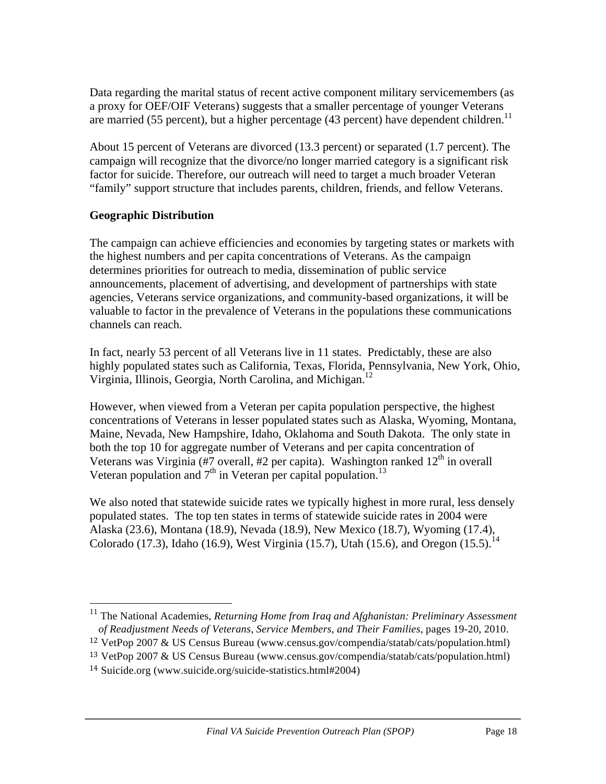Data regarding the marital status of recent active component military servicemembers (as a proxy for OEF/OIF Veterans) suggests that a smaller percentage of younger Veterans are married (55 percent), but a higher percentage (43 percent) have dependent children.<sup>11</sup>

About 15 percent of Veterans are divorced (13.3 percent) or separated (1.7 percent). The campaign will recognize that the divorce/no longer married category is a significant risk factor for suicide. Therefore, our outreach will need to target a much broader Veteran "family" support structure that includes parents, children, friends, and fellow Veterans.

#### **Geographic Distribution**

The campaign can achieve efficiencies and economies by targeting states or markets with the highest numbers and per capita concentrations of Veterans. As the campaign determines priorities for outreach to media, dissemination of public service announcements, placement of advertising, and development of partnerships with state agencies, Veterans service organizations, and community-based organizations, it will be valuable to factor in the prevalence of Veterans in the populations these communications channels can reach.

In fact, nearly 53 percent of all Veterans live in 11 states. Predictably, these are also highly populated states such as California, Texas, Florida, Pennsylvania, New York, Ohio, Virginia, Illinois, Georgia, North Carolina, and Michigan.<sup>12</sup>

However, when viewed from a Veteran per capita population perspective, the highest concentrations of Veterans in lesser populated states such as Alaska, Wyoming, Montana, Maine, Nevada, New Hampshire, Idaho, Oklahoma and South Dakota. The only state in both the top 10 for aggregate number of Veterans and per capita concentration of Veterans was Virginia (#7 overall, #2 per capita). Washington ranked  $12<sup>th</sup>$  in overall Veteran population and  $7<sup>th</sup>$  in Veteran per capital population.<sup>13</sup>

We also noted that statewide suicide rates we typically highest in more rural, less densely populated states. The top ten states in terms of statewide suicide rates in 2004 were Alaska (23.6), Montana (18.9), Nevada (18.9), New Mexico (18.7), Wyoming (17.4), Colorado (17.3), Idaho (16.9), West Virginia (15.7), Utah (15.6), and Oregon (15.5).<sup>14</sup>

 <sup>11</sup> The National Academies, *Returning Home from Iraq and Afghanistan: Preliminary Assessment of Readjustment Needs of Veterans, Service Members, and Their Families*, pages 19-20, 2010.

<sup>12</sup> VetPop 2007 & US Census Bureau (www.census.gov/compendia/statab/cats/population.html)

<sup>13</sup> VetPop 2007 & US Census Bureau (www.census.gov/compendia/statab/cats/population.html) <sup>14</sup> Suicide.org (www.suicide.org/suicide-statistics.html#2004)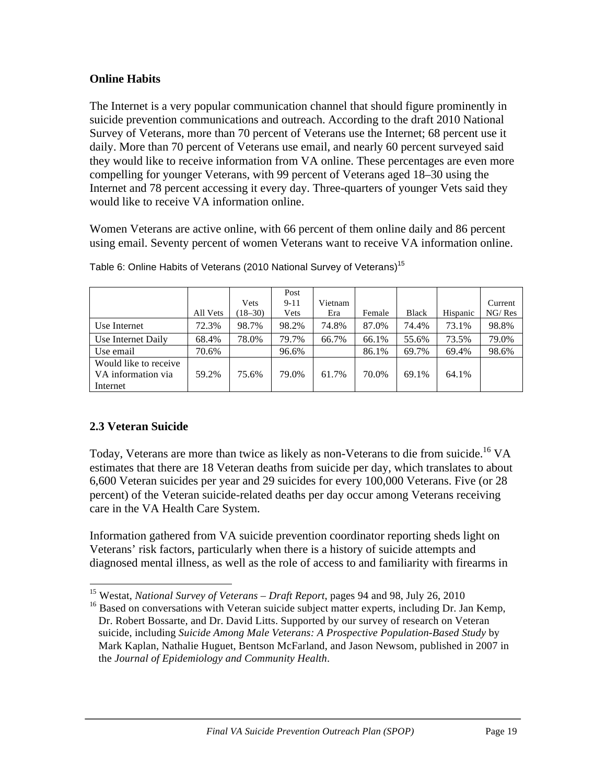#### **Online Habits**

The Internet is a very popular communication channel that should figure prominently in suicide prevention communications and outreach. According to the draft 2010 National Survey of Veterans, more than 70 percent of Veterans use the Internet; 68 percent use it daily. More than 70 percent of Veterans use email, and nearly 60 percent surveyed said they would like to receive information from VA online. These percentages are even more compelling for younger Veterans, with 99 percent of Veterans aged 18–30 using the Internet and 78 percent accessing it every day. Three-quarters of younger Vets said they would like to receive VA information online.

Women Veterans are active online, with 66 percent of them online daily and 86 percent using email. Seventy percent of women Veterans want to receive VA information online.

|                                                         | All Vets | Vets<br>$18 - 30$ | Post<br>$9-11$<br>Vets | Vietnam<br>Era | Female | Black | Hispanic | Current<br>NG/ Res |
|---------------------------------------------------------|----------|-------------------|------------------------|----------------|--------|-------|----------|--------------------|
| Use Internet                                            | 72.3%    | 98.7%             | 98.2%                  | 74.8%          | 87.0%  | 74.4% | 73.1%    | 98.8%              |
| Use Internet Daily                                      | 68.4%    | 78.0%             | 79.7%                  | 66.7%          | 66.1%  | 55.6% | 73.5%    | 79.0%              |
| Use email                                               | 70.6%    |                   | 96.6%                  |                | 86.1%  | 69.7% | 69.4%    | 98.6%              |
| Would like to receive<br>VA information via<br>Internet | 59.2%    | 75.6%             | 79.0%                  | 61.7%          | 70.0%  | 69.1% | 64.1%    |                    |

Table 6: Online Habits of Veterans (2010 National Survey of Veterans)<sup>15</sup>

#### **2.3 Veteran Suicide**

Today, Veterans are more than twice as likely as non-Veterans to die from suicide.<sup>16</sup> VA estimates that there are 18 Veteran deaths from suicide per day, which translates to about 6,600 Veteran suicides per year and 29 suicides for every 100,000 Veterans. Five (or 28 percent) of the Veteran suicide-related deaths per day occur among Veterans receiving care in the VA Health Care System.

Information gathered from VA suicide prevention coordinator reporting sheds light on Veterans' risk factors, particularly when there is a history of suicide attempts and diagnosed mental illness, as well as the role of access to and familiarity with firearms in

 <sup>15</sup> Westat, *National Survey of Veterans – Draft Report*, pages 94 and 98, July 26, 2010

 $16$  Based on conversations with Veteran suicide subject matter experts, including Dr. Jan Kemp, Dr. Robert Bossarte, and Dr. David Litts. Supported by our survey of research on Veteran suicide, including *Suicide Among Male Veterans: A Prospective Population-Based Study* by Mark Kaplan, Nathalie Huguet, Bentson McFarland, and Jason Newsom, published in 2007 in the *Journal of Epidemiology and Community Health*.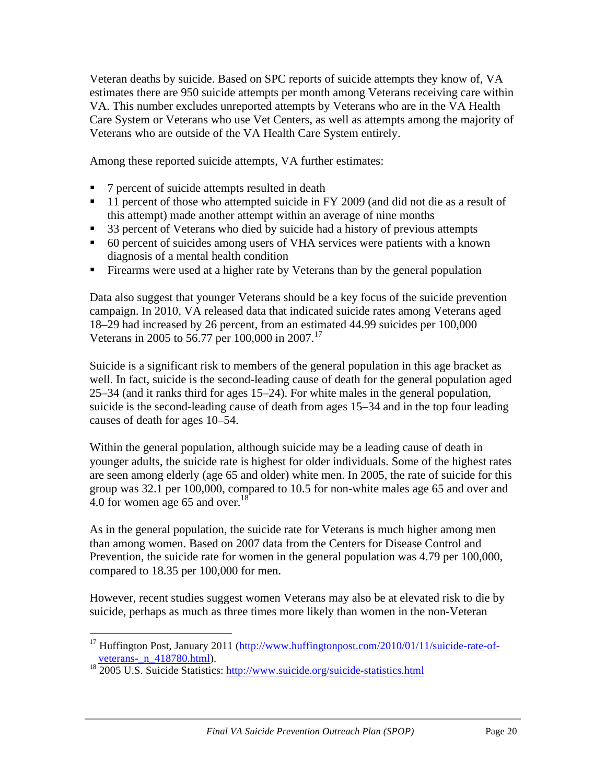Veteran deaths by suicide. Based on SPC reports of suicide attempts they know of, VA estimates there are 950 suicide attempts per month among Veterans receiving care within VA. This number excludes unreported attempts by Veterans who are in the VA Health Care System or Veterans who use Vet Centers, as well as attempts among the majority of Veterans who are outside of the VA Health Care System entirely.

Among these reported suicide attempts, VA further estimates:

- 7 percent of suicide attempts resulted in death
- <sup>11</sup> percent of those who attempted suicide in FY 2009 (and did not die as a result of this attempt) made another attempt within an average of nine months
- 33 percent of Veterans who died by suicide had a history of previous attempts
- 60 percent of suicides among users of VHA services were patients with a known diagnosis of a mental health condition
- Firearms were used at a higher rate by Veterans than by the general population

Data also suggest that younger Veterans should be a key focus of the suicide prevention campaign. In 2010, VA released data that indicated suicide rates among Veterans aged 18–29 had increased by 26 percent, from an estimated 44.99 suicides per 100,000 Veterans in 2005 to 56.77 per 100,000 in 2007.<sup>17</sup>

Suicide is a significant risk to members of the general population in this age bracket as well. In fact, suicide is the second-leading cause of death for the general population aged 25–34 (and it ranks third for ages 15–24). For white males in the general population, suicide is the second-leading cause of death from ages 15–34 and in the top four leading causes of death for ages 10–54.

Within the general population, although suicide may be a leading cause of death in younger adults, the suicide rate is highest for older individuals. Some of the highest rates are seen among elderly (age 65 and older) white men. In 2005, the rate of suicide for this group was 32.1 per 100,000, compared to 10.5 for non-white males age 65 and over and 4.0 for women age 65 and over.<sup>18</sup>

As in the general population, the suicide rate for Veterans is much higher among men than among women. Based on 2007 data from the Centers for Disease Control and Prevention, the suicide rate for women in the general population was 4.79 per 100,000, compared to 18.35 per 100,000 for men.

However, recent studies suggest women Veterans may also be at elevated risk to die by suicide, perhaps as much as three times more likely than women in the non-Veteran

 <sup>17</sup> Huffington Post, January 2011 (http://www.huffingtonpost.com/2010/01/11/suicide-rate-ofveterans- n 418780.html).

<sup>&</sup>lt;sup>18</sup> 2005 U.S. Suicide Statistics: http://www.suicide.org/suicide-statistics.html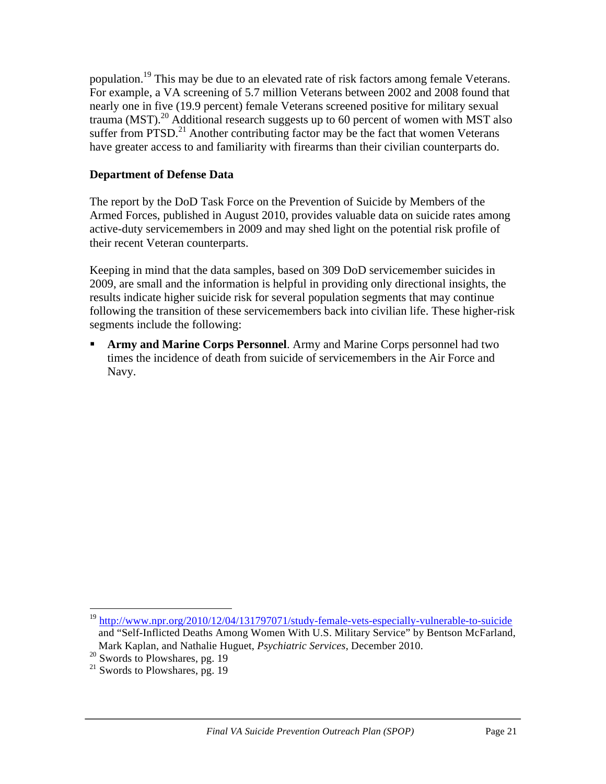population.19 This may be due to an elevated rate of risk factors among female Veterans. For example, a VA screening of 5.7 million Veterans between 2002 and 2008 found that nearly one in five (19.9 percent) female Veterans screened positive for military sexual trauma (MST).<sup>20</sup> Additional research suggests up to 60 percent of women with MST also suffer from PTSD.<sup>21</sup> Another contributing factor may be the fact that women Veterans have greater access to and familiarity with firearms than their civilian counterparts do.

#### **Department of Defense Data**

The report by the DoD Task Force on the Prevention of Suicide by Members of the Armed Forces, published in August 2010, provides valuable data on suicide rates among active-duty servicemembers in 2009 and may shed light on the potential risk profile of their recent Veteran counterparts.

Keeping in mind that the data samples, based on 309 DoD servicemember suicides in 2009, are small and the information is helpful in providing only directional insights, the results indicate higher suicide risk for several population segments that may continue following the transition of these servicemembers back into civilian life. These higher-risk segments include the following:

 **Army and Marine Corps Personnel**. Army and Marine Corps personnel had two times the incidence of death from suicide of servicemembers in the Air Force and Navy.

 <sup>19</sup> http://www.npr.org/2010/12/04/131797071/study-female-vets-especially-vulnerable-to-suicide and "Self-Inflicted Deaths Among Women With U.S. Military Service" by Bentson McFarland, Mark Kaplan, and Nathalie Huguet, *Psychiatric Services*, December 2010.

 $20$  Swords to Plowshares, pg. 19

 $21$  Swords to Plowshares, pg. 19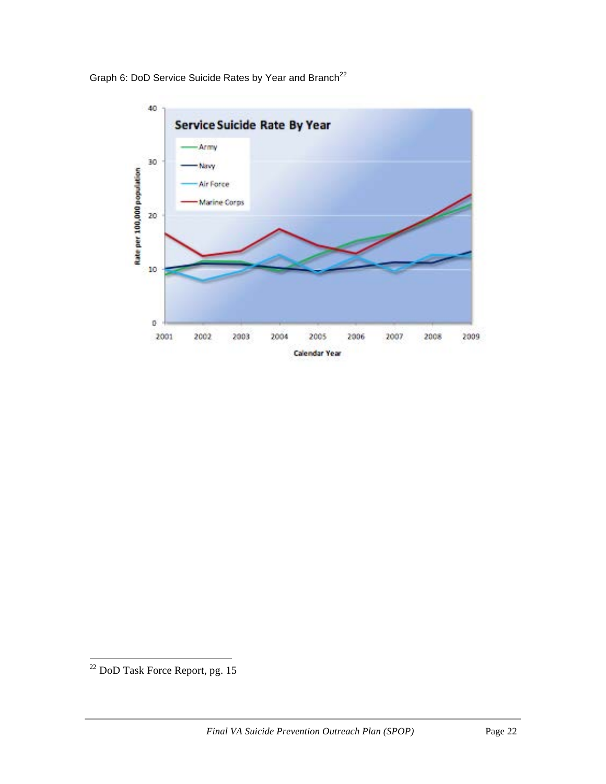

Graph 6: DoD Service Suicide Rates by Year and Branch<sup>22</sup>

 $\overline{\text{22 DoD Task Force Report}}$ , pg. 15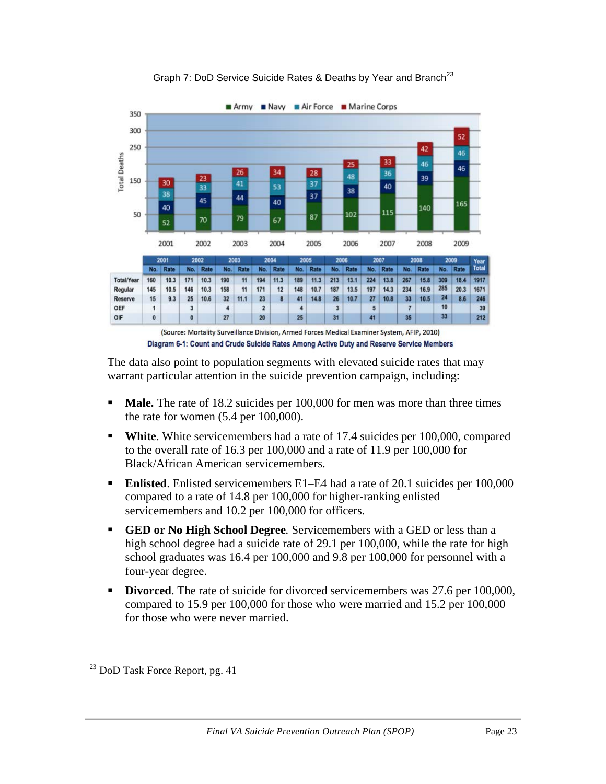



The data also point to population segments with elevated suicide rates that may warrant particular attention in the suicide prevention campaign, including:

- **Male.** The rate of 18.2 suicides per 100,000 for men was more than three times the rate for women (5.4 per 100,000).
- **White.** White servicemembers had a rate of 17.4 suicides per 100,000, compared to the overall rate of 16.3 per 100,000 and a rate of 11.9 per 100,000 for Black/African American servicemembers.
- **Enlisted**. Enlisted servicemembers E1–E4 had a rate of 20.1 suicides per 100,000 compared to a rate of 14.8 per 100,000 for higher-ranking enlisted servicemembers and 10.2 per 100,000 for officers.
- **GED or No High School Degree***.* Servicemembers with a GED or less than a high school degree had a suicide rate of 29.1 per 100,000, while the rate for high school graduates was 16.4 per 100,000 and 9.8 per 100,000 for personnel with a four-year degree.
- **Divorced**. The rate of suicide for divorced servicemembers was 27.6 per 100,000, compared to 15.9 per 100,000 for those who were married and 15.2 per 100,000 for those who were never married.

 <sup>23</sup> DoD Task Force Report, pg. <sup>41</sup>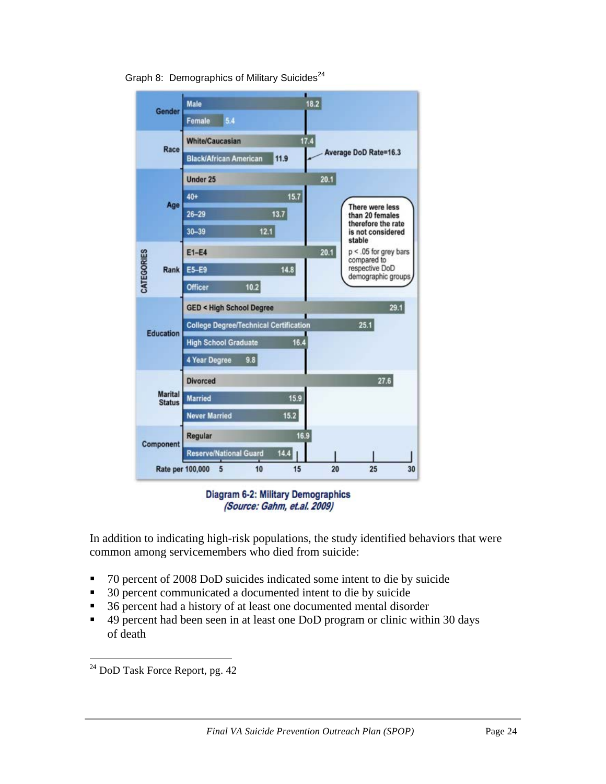

Graph 8: Demographics of Military Suicides<sup>24</sup>

**Diagram 6-2: Military Demographics** (Source: Gahm, et.al. 2009)

In addition to indicating high-risk populations, the study identified behaviors that were common among servicemembers who died from suicide:

- 70 percent of 2008 DoD suicides indicated some intent to die by suicide
- 30 percent communicated a documented intent to die by suicide
- 36 percent had a history of at least one documented mental disorder
- 49 percent had been seen in at least one DoD program or clinic within 30 days of death

 $24$  DoD Task Force Report, pg. 42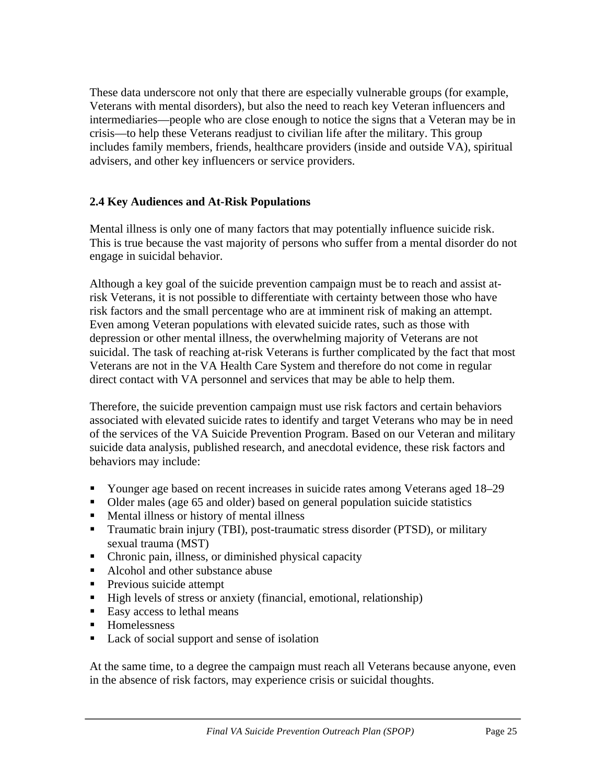These data underscore not only that there are especially vulnerable groups (for example, Veterans with mental disorders), but also the need to reach key Veteran influencers and intermediaries—people who are close enough to notice the signs that a Veteran may be in crisis—to help these Veterans readjust to civilian life after the military. This group includes family members, friends, healthcare providers (inside and outside VA), spiritual advisers, and other key influencers or service providers.

#### **2.4 Key Audiences and At-Risk Populations**

Mental illness is only one of many factors that may potentially influence suicide risk. This is true because the vast majority of persons who suffer from a mental disorder do not engage in suicidal behavior.

Although a key goal of the suicide prevention campaign must be to reach and assist atrisk Veterans, it is not possible to differentiate with certainty between those who have risk factors and the small percentage who are at imminent risk of making an attempt. Even among Veteran populations with elevated suicide rates, such as those with depression or other mental illness, the overwhelming majority of Veterans are not suicidal. The task of reaching at-risk Veterans is further complicated by the fact that most Veterans are not in the VA Health Care System and therefore do not come in regular direct contact with VA personnel and services that may be able to help them.

Therefore, the suicide prevention campaign must use risk factors and certain behaviors associated with elevated suicide rates to identify and target Veterans who may be in need of the services of the VA Suicide Prevention Program. Based on our Veteran and military suicide data analysis, published research, and anecdotal evidence, these risk factors and behaviors may include:

- Younger age based on recent increases in suicide rates among Veterans aged 18–29
- Older males (age 65 and older) based on general population suicide statistics
- Mental illness or history of mental illness
- Traumatic brain injury (TBI), post-traumatic stress disorder (PTSD), or military sexual trauma (MST)
- Chronic pain, illness, or diminished physical capacity
- Alcohol and other substance abuse
- **Previous suicide attempt**
- High levels of stress or anxiety (financial, emotional, relationship)
- Easy access to lethal means
- **Homelessness**
- Lack of social support and sense of isolation

At the same time, to a degree the campaign must reach all Veterans because anyone, even in the absence of risk factors, may experience crisis or suicidal thoughts.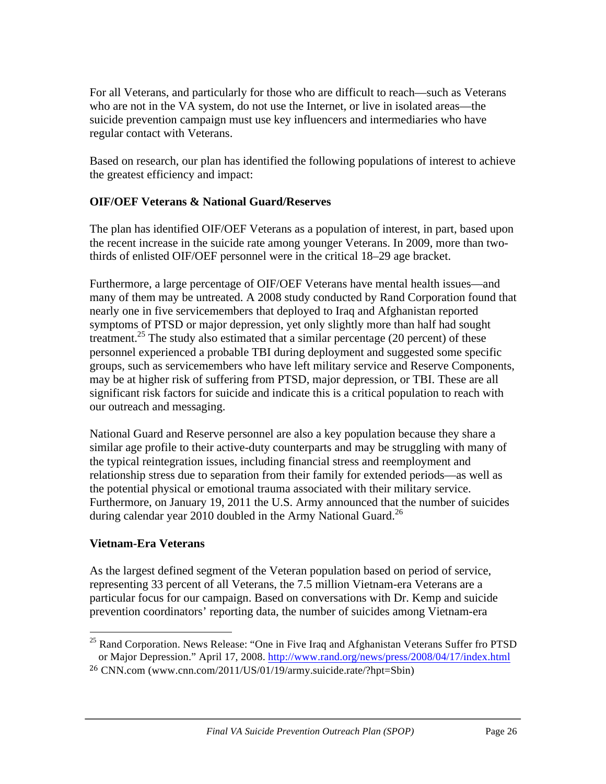For all Veterans, and particularly for those who are difficult to reach—such as Veterans who are not in the VA system, do not use the Internet, or live in isolated areas—the suicide prevention campaign must use key influencers and intermediaries who have regular contact with Veterans.

Based on research, our plan has identified the following populations of interest to achieve the greatest efficiency and impact:

## **OIF/OEF Veterans & National Guard/Reserves**

The plan has identified OIF/OEF Veterans as a population of interest, in part, based upon the recent increase in the suicide rate among younger Veterans. In 2009, more than twothirds of enlisted OIF/OEF personnel were in the critical 18–29 age bracket.

Furthermore, a large percentage of OIF/OEF Veterans have mental health issues—and many of them may be untreated. A 2008 study conducted by Rand Corporation found that nearly one in five servicemembers that deployed to Iraq and Afghanistan reported symptoms of PTSD or major depression, yet only slightly more than half had sought treatment.<sup>25</sup> The study also estimated that a similar percentage (20 percent) of these personnel experienced a probable TBI during deployment and suggested some specific groups, such as servicemembers who have left military service and Reserve Components, may be at higher risk of suffering from PTSD, major depression, or TBI. These are all significant risk factors for suicide and indicate this is a critical population to reach with our outreach and messaging.

National Guard and Reserve personnel are also a key population because they share a similar age profile to their active-duty counterparts and may be struggling with many of the typical reintegration issues, including financial stress and reemployment and relationship stress due to separation from their family for extended periods—as well as the potential physical or emotional trauma associated with their military service. Furthermore, on January 19, 2011 the U.S. Army announced that the number of suicides during calendar year 2010 doubled in the Army National Guard.<sup>26</sup>

#### **Vietnam-Era Veterans**

As the largest defined segment of the Veteran population based on period of service, representing 33 percent of all Veterans, the 7.5 million Vietnam-era Veterans are a particular focus for our campaign. Based on conversations with Dr. Kemp and suicide prevention coordinators' reporting data, the number of suicides among Vietnam-era

  $25$  Rand Corporation. News Release: "One in Five Iraq and Afghanistan Veterans Suffer fro PTSD or Major Depression." April 17, 2008. http://www.rand.org/news/press/2008/04/17/index.html

<sup>26</sup> CNN.com (www.cnn.com/2011/US/01/19/army.suicide.rate/?hpt=Sbin)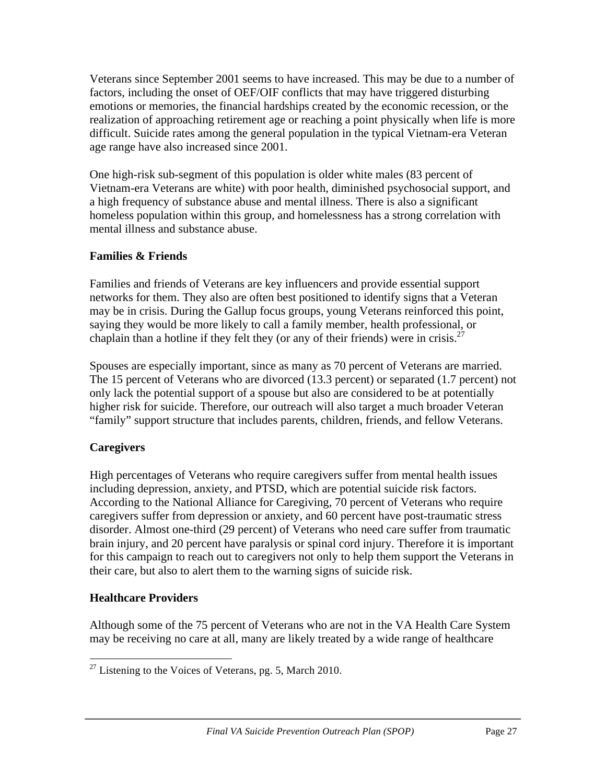Veterans since September 2001 seems to have increased. This may be due to a number of factors, including the onset of OEF/OIF conflicts that may have triggered disturbing emotions or memories, the financial hardships created by the economic recession, or the realization of approaching retirement age or reaching a point physically when life is more difficult. Suicide rates among the general population in the typical Vietnam-era Veteran age range have also increased since 2001.

One high-risk sub-segment of this population is older white males (83 percent of Vietnam-era Veterans are white) with poor health, diminished psychosocial support, and a high frequency of substance abuse and mental illness. There is also a significant homeless population within this group, and homelessness has a strong correlation with mental illness and substance abuse.

#### **Families & Friends**

Families and friends of Veterans are key influencers and provide essential support networks for them. They also are often best positioned to identify signs that a Veteran may be in crisis. During the Gallup focus groups, young Veterans reinforced this point, saying they would be more likely to call a family member, health professional, or chaplain than a hotline if they felt they (or any of their friends) were in crisis.<sup>27</sup>

Spouses are especially important, since as many as 70 percent of Veterans are married. The 15 percent of Veterans who are divorced (13.3 percent) or separated (1.7 percent) not only lack the potential support of a spouse but also are considered to be at potentially higher risk for suicide. Therefore, our outreach will also target a much broader Veteran "family" support structure that includes parents, children, friends, and fellow Veterans.

## **Caregivers**

High percentages of Veterans who require caregivers suffer from mental health issues including depression, anxiety, and PTSD, which are potential suicide risk factors. According to the National Alliance for Caregiving, 70 percent of Veterans who require caregivers suffer from depression or anxiety, and 60 percent have post-traumatic stress disorder. Almost one-third (29 percent) of Veterans who need care suffer from traumatic brain injury, and 20 percent have paralysis or spinal cord injury. Therefore it is important for this campaign to reach out to caregivers not only to help them support the Veterans in their care, but also to alert them to the warning signs of suicide risk.

## **Healthcare Providers**

Although some of the 75 percent of Veterans who are not in the VA Health Care System may be receiving no care at all, many are likely treated by a wide range of healthcare

 $^{27}$  Listening to the Voices of Veterans, pg. 5, March 2010.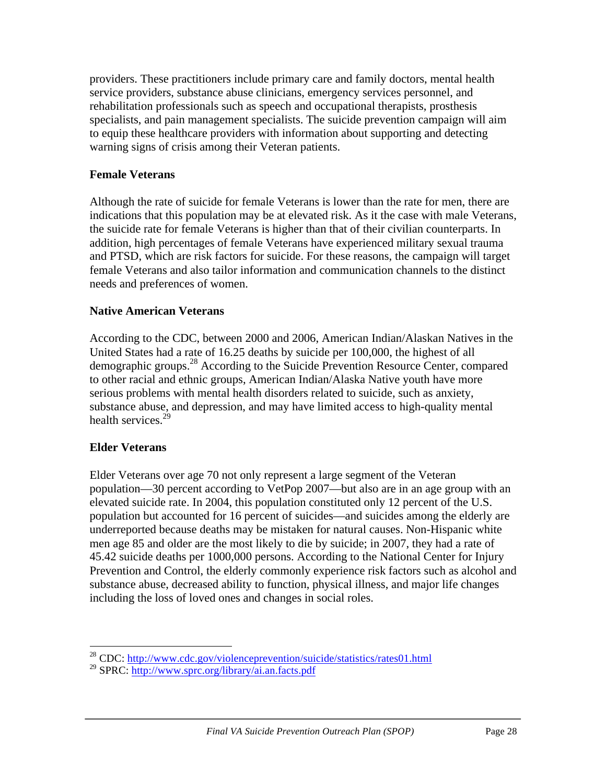providers. These practitioners include primary care and family doctors, mental health service providers, substance abuse clinicians, emergency services personnel, and rehabilitation professionals such as speech and occupational therapists, prosthesis specialists, and pain management specialists. The suicide prevention campaign will aim to equip these healthcare providers with information about supporting and detecting warning signs of crisis among their Veteran patients.

#### **Female Veterans**

Although the rate of suicide for female Veterans is lower than the rate for men, there are indications that this population may be at elevated risk. As it the case with male Veterans, the suicide rate for female Veterans is higher than that of their civilian counterparts. In addition, high percentages of female Veterans have experienced military sexual trauma and PTSD, which are risk factors for suicide. For these reasons, the campaign will target female Veterans and also tailor information and communication channels to the distinct needs and preferences of women.

#### **Native American Veterans**

According to the CDC, between 2000 and 2006, American Indian/Alaskan Natives in the United States had a rate of 16.25 deaths by suicide per 100,000, the highest of all demographic groups.28 According to the Suicide Prevention Resource Center, compared to other racial and ethnic groups, American Indian/Alaska Native youth have more serious problems with mental health disorders related to suicide, such as anxiety, substance abuse, and depression, and may have limited access to high-quality mental health services.<sup>29</sup>

#### **Elder Veterans**

Elder Veterans over age 70 not only represent a large segment of the Veteran population—30 percent according to VetPop 2007—but also are in an age group with an elevated suicide rate. In 2004, this population constituted only 12 percent of the U.S. population but accounted for 16 percent of suicides—and suicides among the elderly are underreported because deaths may be mistaken for natural causes. Non-Hispanic white men age 85 and older are the most likely to die by suicide; in 2007, they had a rate of 45.42 suicide deaths per 1000,000 persons. According to the National Center for Injury Prevention and Control, the elderly commonly experience risk factors such as alcohol and substance abuse, decreased ability to function, physical illness, and major life changes including the loss of loved ones and changes in social roles.

 <sup>28</sup> CDC: http://www.cdc.gov/violenceprevention/suicide/statistics/rates01.html

<sup>29</sup> SPRC: http://www.sprc.org/library/ai.an.facts.pdf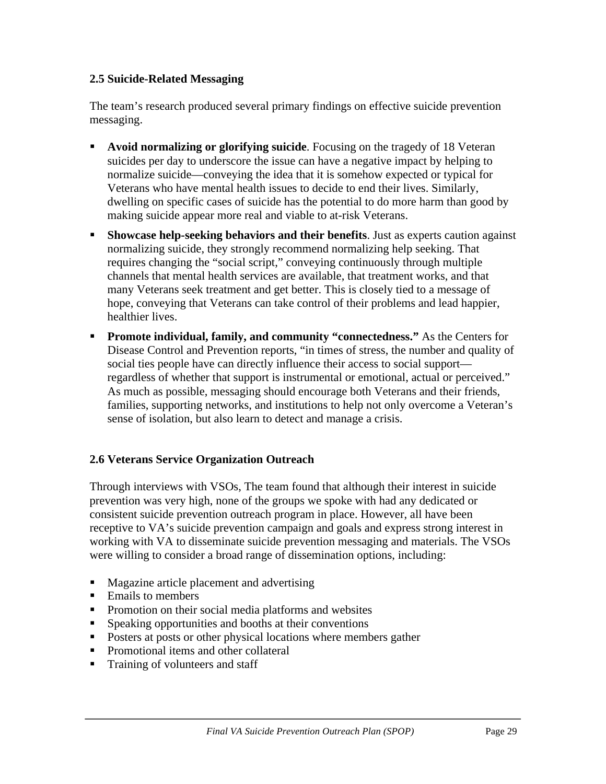#### **2.5 Suicide-Related Messaging**

The team's research produced several primary findings on effective suicide prevention messaging.

- **Avoid normalizing or glorifying suicide**. Focusing on the tragedy of 18 Veteran suicides per day to underscore the issue can have a negative impact by helping to normalize suicide—conveying the idea that it is somehow expected or typical for Veterans who have mental health issues to decide to end their lives. Similarly, dwelling on specific cases of suicide has the potential to do more harm than good by making suicide appear more real and viable to at-risk Veterans.
- **Showcase help-seeking behaviors and their benefits**. Just as experts caution against normalizing suicide, they strongly recommend normalizing help seeking. That requires changing the "social script," conveying continuously through multiple channels that mental health services are available, that treatment works, and that many Veterans seek treatment and get better. This is closely tied to a message of hope, conveying that Veterans can take control of their problems and lead happier, healthier lives.
- **Promote individual, family, and community "connectedness."** As the Centers for Disease Control and Prevention reports, "in times of stress, the number and quality of social ties people have can directly influence their access to social support regardless of whether that support is instrumental or emotional, actual or perceived." As much as possible, messaging should encourage both Veterans and their friends, families, supporting networks, and institutions to help not only overcome a Veteran's sense of isolation, but also learn to detect and manage a crisis.

#### **2.6 Veterans Service Organization Outreach**

Through interviews with VSOs, The team found that although their interest in suicide prevention was very high, none of the groups we spoke with had any dedicated or consistent suicide prevention outreach program in place. However, all have been receptive to VA's suicide prevention campaign and goals and express strong interest in working with VA to disseminate suicide prevention messaging and materials. The VSOs were willing to consider a broad range of dissemination options, including:

- **Magazine article placement and advertising**
- Emails to members
- Promotion on their social media platforms and websites
- **Speaking opportunities and booths at their conventions**
- **Posters at posts or other physical locations where members gather**
- Promotional items and other collateral
- Training of volunteers and staff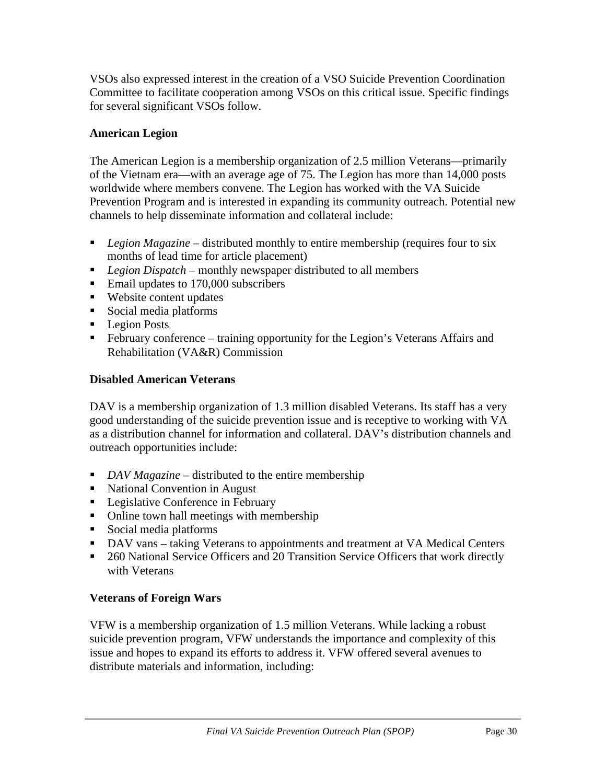VSOs also expressed interest in the creation of a VSO Suicide Prevention Coordination Committee to facilitate cooperation among VSOs on this critical issue. Specific findings for several significant VSOs follow.

## **American Legion**

The American Legion is a membership organization of 2.5 million Veterans—primarily of the Vietnam era—with an average age of 75. The Legion has more than 14,000 posts worldwide where members convene. The Legion has worked with the VA Suicide Prevention Program and is interested in expanding its community outreach. Potential new channels to help disseminate information and collateral include:

- *Legion Magazine* distributed monthly to entire membership (requires four to six months of lead time for article placement)
- *Legion Dispatch* monthly newspaper distributed to all members
- Email updates to 170,000 subscribers
- Website content updates
- Social media platforms
- Legion Posts
- February conference training opportunity for the Legion's Veterans Affairs and Rehabilitation (VA&R) Commission

#### **Disabled American Veterans**

DAV is a membership organization of 1.3 million disabled Veterans. Its staff has a very good understanding of the suicide prevention issue and is receptive to working with VA as a distribution channel for information and collateral. DAV's distribution channels and outreach opportunities include:

- *DAV Magazine* distributed to the entire membership
- National Convention in August
- Legislative Conference in February
- Online town hall meetings with membership
- Social media platforms
- DAV vans taking Veterans to appointments and treatment at VA Medical Centers
- 260 National Service Officers and 20 Transition Service Officers that work directly with Veterans

## **Veterans of Foreign Wars**

VFW is a membership organization of 1.5 million Veterans. While lacking a robust suicide prevention program, VFW understands the importance and complexity of this issue and hopes to expand its efforts to address it. VFW offered several avenues to distribute materials and information, including: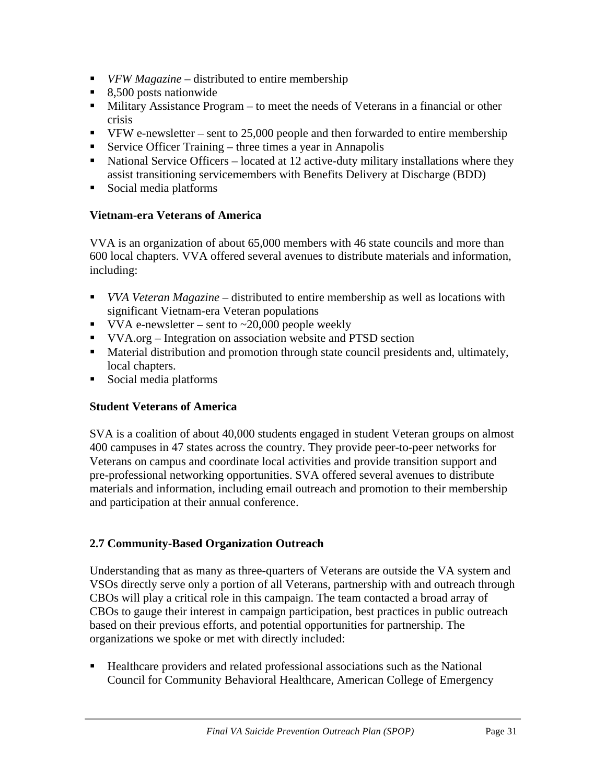- *VFW Magazine* distributed to entire membership
- 8,500 posts nationwide
- Military Assistance Program to meet the needs of Veterans in a financial or other crisis
- $\blacksquare$  VFW e-newsletter sent to 25,000 people and then forwarded to entire membership
- Service Officer Training three times a year in Annapolis
- National Service Officers located at 12 active-duty military installations where they assist transitioning servicemembers with Benefits Delivery at Discharge (BDD)
- Social media platforms

## **Vietnam-era Veterans of America**

VVA is an organization of about 65,000 members with 46 state councils and more than 600 local chapters. VVA offered several avenues to distribute materials and information, including:

- *VVA Veteran Magazine* distributed to entire membership as well as locations with significant Vietnam-era Veteran populations
- VVA e-newsletter sent to  $\approx$  20,000 people weekly
- VVA.org Integration on association website and PTSD section
- **Material distribution and promotion through state council presidents and, ultimately,** local chapters.
- Social media platforms

## **Student Veterans of America**

SVA is a coalition of about 40,000 students engaged in student Veteran groups on almost 400 campuses in 47 states across the country. They provide peer-to-peer networks for Veterans on campus and coordinate local activities and provide transition support and pre-professional networking opportunities. SVA offered several avenues to distribute materials and information, including email outreach and promotion to their membership and participation at their annual conference.

## **2.7 Community-Based Organization Outreach**

Understanding that as many as three-quarters of Veterans are outside the VA system and VSOs directly serve only a portion of all Veterans, partnership with and outreach through CBOs will play a critical role in this campaign. The team contacted a broad array of CBOs to gauge their interest in campaign participation, best practices in public outreach based on their previous efforts, and potential opportunities for partnership. The organizations we spoke or met with directly included:

 Healthcare providers and related professional associations such as the National Council for Community Behavioral Healthcare, American College of Emergency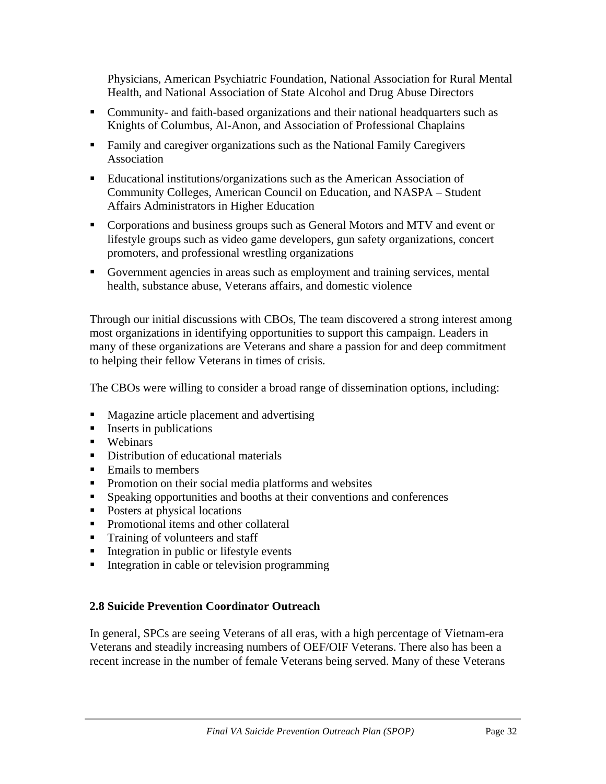Physicians, American Psychiatric Foundation, National Association for Rural Mental Health, and National Association of State Alcohol and Drug Abuse Directors

- Community- and faith-based organizations and their national headquarters such as Knights of Columbus, Al-Anon, and Association of Professional Chaplains
- Family and caregiver organizations such as the National Family Caregivers Association
- Educational institutions/organizations such as the American Association of Community Colleges, American Council on Education, and NASPA – Student Affairs Administrators in Higher Education
- Corporations and business groups such as General Motors and MTV and event or lifestyle groups such as video game developers, gun safety organizations, concert promoters, and professional wrestling organizations
- Government agencies in areas such as employment and training services, mental health, substance abuse, Veterans affairs, and domestic violence

Through our initial discussions with CBOs, The team discovered a strong interest among most organizations in identifying opportunities to support this campaign. Leaders in many of these organizations are Veterans and share a passion for and deep commitment to helping their fellow Veterans in times of crisis.

The CBOs were willing to consider a broad range of dissemination options, including:

- **Magazine article placement and advertising**
- **Inserts in publications**
- **Webinars**
- Distribution of educational materials
- Emails to members
- **Promotion on their social media platforms and websites**
- Speaking opportunities and booths at their conventions and conferences
- Posters at physical locations
- Promotional items and other collateral
- Training of volunteers and staff
- **Integration in public or lifestyle events**
- Integration in cable or television programming

#### **2.8 Suicide Prevention Coordinator Outreach**

In general, SPCs are seeing Veterans of all eras, with a high percentage of Vietnam-era Veterans and steadily increasing numbers of OEF/OIF Veterans. There also has been a recent increase in the number of female Veterans being served. Many of these Veterans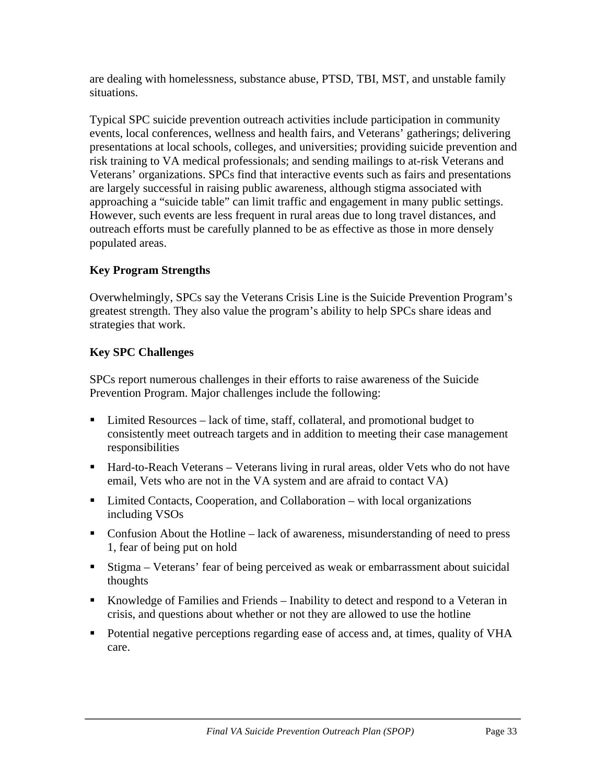are dealing with homelessness, substance abuse, PTSD, TBI, MST, and unstable family situations.

Typical SPC suicide prevention outreach activities include participation in community events, local conferences, wellness and health fairs, and Veterans' gatherings; delivering presentations at local schools, colleges, and universities; providing suicide prevention and risk training to VA medical professionals; and sending mailings to at-risk Veterans and Veterans' organizations. SPCs find that interactive events such as fairs and presentations are largely successful in raising public awareness, although stigma associated with approaching a "suicide table" can limit traffic and engagement in many public settings. However, such events are less frequent in rural areas due to long travel distances, and outreach efforts must be carefully planned to be as effective as those in more densely populated areas.

## **Key Program Strengths**

Overwhelmingly, SPCs say the Veterans Crisis Line is the Suicide Prevention Program's greatest strength. They also value the program's ability to help SPCs share ideas and strategies that work.

## **Key SPC Challenges**

SPCs report numerous challenges in their efforts to raise awareness of the Suicide Prevention Program. Major challenges include the following:

- Limited Resources lack of time, staff, collateral, and promotional budget to consistently meet outreach targets and in addition to meeting their case management responsibilities
- Hard-to-Reach Veterans Veterans living in rural areas, older Vets who do not have email, Vets who are not in the VA system and are afraid to contact VA)
- Limited Contacts, Cooperation, and Collaboration with local organizations including VSOs
- Confusion About the Hotline lack of awareness, misunderstanding of need to press 1, fear of being put on hold
- Stigma Veterans' fear of being perceived as weak or embarrassment about suicidal thoughts
- Knowledge of Families and Friends Inability to detect and respond to a Veteran in crisis, and questions about whether or not they are allowed to use the hotline
- Potential negative perceptions regarding ease of access and, at times, quality of VHA care.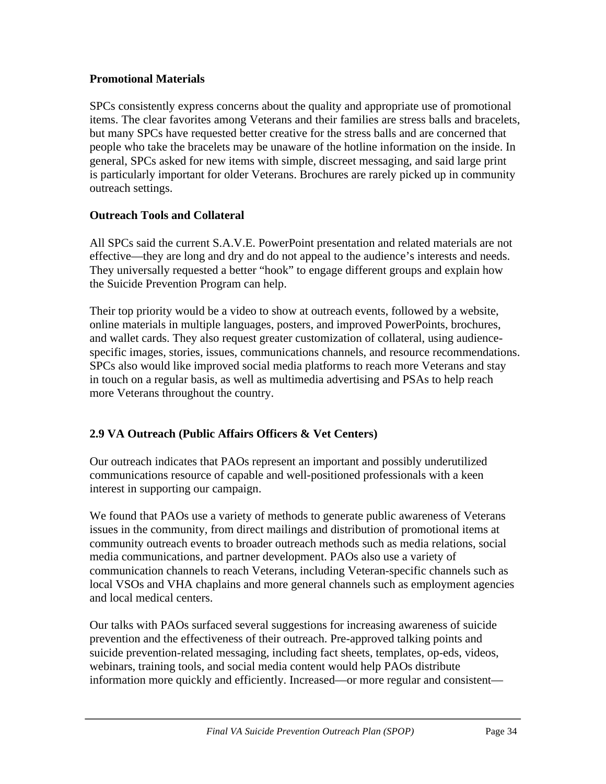### **Promotional Materials**

SPCs consistently express concerns about the quality and appropriate use of promotional items. The clear favorites among Veterans and their families are stress balls and bracelets, but many SPCs have requested better creative for the stress balls and are concerned that people who take the bracelets may be unaware of the hotline information on the inside. In general, SPCs asked for new items with simple, discreet messaging, and said large print is particularly important for older Veterans. Brochures are rarely picked up in community outreach settings.

### **Outreach Tools and Collateral**

All SPCs said the current S.A.V.E. PowerPoint presentation and related materials are not effective—they are long and dry and do not appeal to the audience's interests and needs. They universally requested a better "hook" to engage different groups and explain how the Suicide Prevention Program can help.

Their top priority would be a video to show at outreach events, followed by a website, online materials in multiple languages, posters, and improved PowerPoints, brochures, and wallet cards. They also request greater customization of collateral, using audiencespecific images, stories, issues, communications channels, and resource recommendations. SPCs also would like improved social media platforms to reach more Veterans and stay in touch on a regular basis, as well as multimedia advertising and PSAs to help reach more Veterans throughout the country.

## **2.9 VA Outreach (Public Affairs Officers & Vet Centers)**

Our outreach indicates that PAOs represent an important and possibly underutilized communications resource of capable and well-positioned professionals with a keen interest in supporting our campaign.

We found that PAOs use a variety of methods to generate public awareness of Veterans issues in the community, from direct mailings and distribution of promotional items at community outreach events to broader outreach methods such as media relations, social media communications, and partner development. PAOs also use a variety of communication channels to reach Veterans, including Veteran-specific channels such as local VSOs and VHA chaplains and more general channels such as employment agencies and local medical centers.

Our talks with PAOs surfaced several suggestions for increasing awareness of suicide prevention and the effectiveness of their outreach. Pre-approved talking points and suicide prevention-related messaging, including fact sheets, templates, op-eds, videos, webinars, training tools, and social media content would help PAOs distribute information more quickly and efficiently. Increased—or more regular and consistent—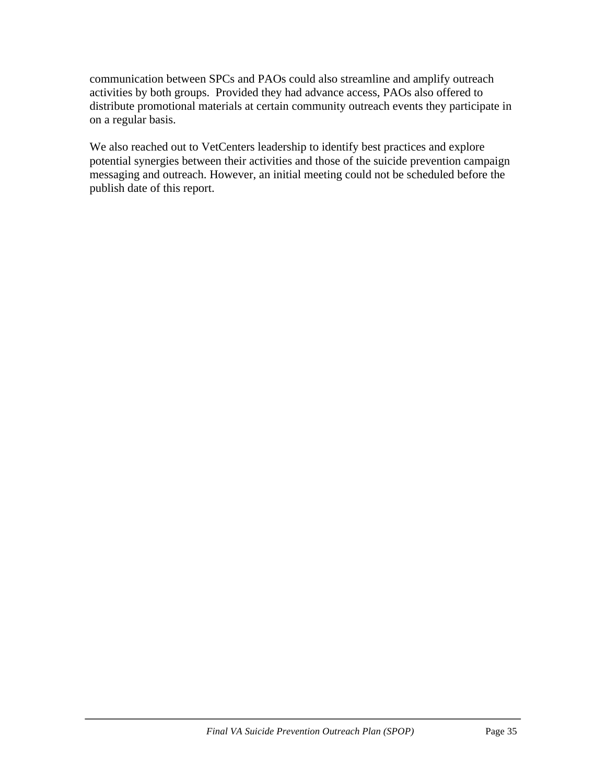communication between SPCs and PAOs could also streamline and amplify outreach activities by both groups. Provided they had advance access, PAOs also offered to distribute promotional materials at certain community outreach events they participate in on a regular basis.

We also reached out to VetCenters leadership to identify best practices and explore potential synergies between their activities and those of the suicide prevention campaign messaging and outreach. However, an initial meeting could not be scheduled before the publish date of this report.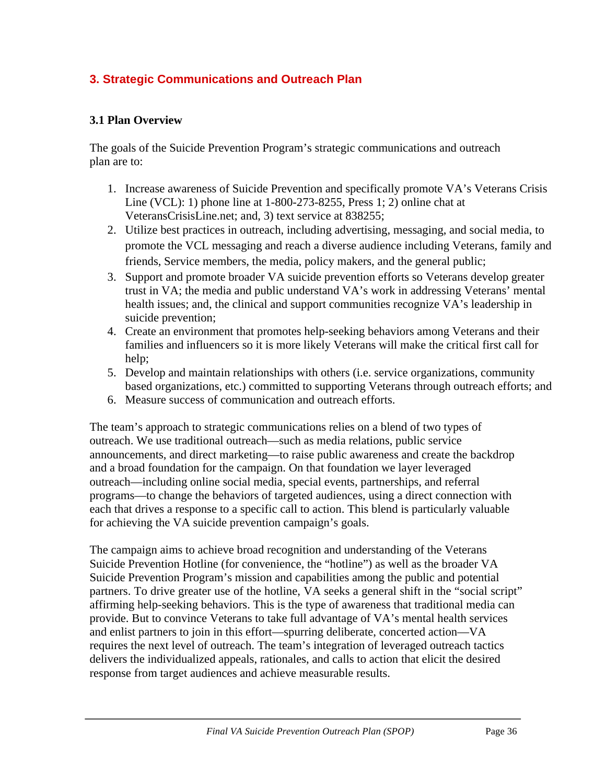# **3. Strategic Communications and Outreach Plan**

### **3.1 Plan Overview**

The goals of the Suicide Prevention Program's strategic communications and outreach plan are to:

- 1. Increase awareness of Suicide Prevention and specifically promote VA's Veterans Crisis Line (VCL): 1) phone line at 1-800-273-8255, Press 1; 2) online chat at VeteransCrisisLine.net; and, 3) text service at 838255;
- 2. Utilize best practices in outreach, including advertising, messaging, and social media, to promote the VCL messaging and reach a diverse audience including Veterans, family and friends, Service members, the media, policy makers, and the general public;
- 3. Support and promote broader VA suicide prevention efforts so Veterans develop greater trust in VA; the media and public understand VA's work in addressing Veterans' mental health issues; and, the clinical and support communities recognize VA's leadership in suicide prevention;
- 4. Create an environment that promotes help-seeking behaviors among Veterans and their families and influencers so it is more likely Veterans will make the critical first call for help;
- 5. Develop and maintain relationships with others (i.e. service organizations, community based organizations, etc.) committed to supporting Veterans through outreach efforts; and
- 6. Measure success of communication and outreach efforts.

The team's approach to strategic communications relies on a blend of two types of outreach. We use traditional outreach—such as media relations, public service announcements, and direct marketing—to raise public awareness and create the backdrop and a broad foundation for the campaign. On that foundation we layer leveraged outreach—including online social media, special events, partnerships, and referral programs—to change the behaviors of targeted audiences, using a direct connection with each that drives a response to a specific call to action. This blend is particularly valuable for achieving the VA suicide prevention campaign's goals.

The campaign aims to achieve broad recognition and understanding of the Veterans Suicide Prevention Hotline (for convenience, the "hotline") as well as the broader VA Suicide Prevention Program's mission and capabilities among the public and potential partners. To drive greater use of the hotline, VA seeks a general shift in the "social script" affirming help-seeking behaviors. This is the type of awareness that traditional media can provide. But to convince Veterans to take full advantage of VA's mental health services and enlist partners to join in this effort—spurring deliberate, concerted action—VA requires the next level of outreach. The team's integration of leveraged outreach tactics delivers the individualized appeals, rationales, and calls to action that elicit the desired response from target audiences and achieve measurable results.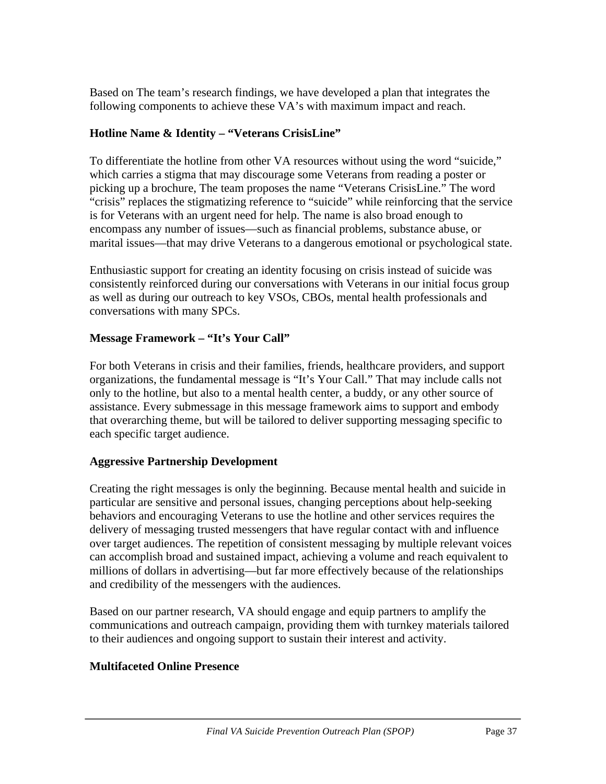Based on The team's research findings, we have developed a plan that integrates the following components to achieve these VA's with maximum impact and reach.

### **Hotline Name & Identity – "Veterans CrisisLine"**

To differentiate the hotline from other VA resources without using the word "suicide," which carries a stigma that may discourage some Veterans from reading a poster or picking up a brochure, The team proposes the name "Veterans CrisisLine." The word "crisis" replaces the stigmatizing reference to "suicide" while reinforcing that the service is for Veterans with an urgent need for help. The name is also broad enough to encompass any number of issues—such as financial problems, substance abuse, or marital issues—that may drive Veterans to a dangerous emotional or psychological state.

Enthusiastic support for creating an identity focusing on crisis instead of suicide was consistently reinforced during our conversations with Veterans in our initial focus group as well as during our outreach to key VSOs, CBOs, mental health professionals and conversations with many SPCs.

### **Message Framework – "It's Your Call"**

For both Veterans in crisis and their families, friends, healthcare providers, and support organizations, the fundamental message is "It's Your Call." That may include calls not only to the hotline, but also to a mental health center, a buddy, or any other source of assistance. Every submessage in this message framework aims to support and embody that overarching theme, but will be tailored to deliver supporting messaging specific to each specific target audience.

## **Aggressive Partnership Development**

Creating the right messages is only the beginning. Because mental health and suicide in particular are sensitive and personal issues, changing perceptions about help-seeking behaviors and encouraging Veterans to use the hotline and other services requires the delivery of messaging trusted messengers that have regular contact with and influence over target audiences. The repetition of consistent messaging by multiple relevant voices can accomplish broad and sustained impact, achieving a volume and reach equivalent to millions of dollars in advertising—but far more effectively because of the relationships and credibility of the messengers with the audiences.

Based on our partner research, VA should engage and equip partners to amplify the communications and outreach campaign, providing them with turnkey materials tailored to their audiences and ongoing support to sustain their interest and activity.

## **Multifaceted Online Presence**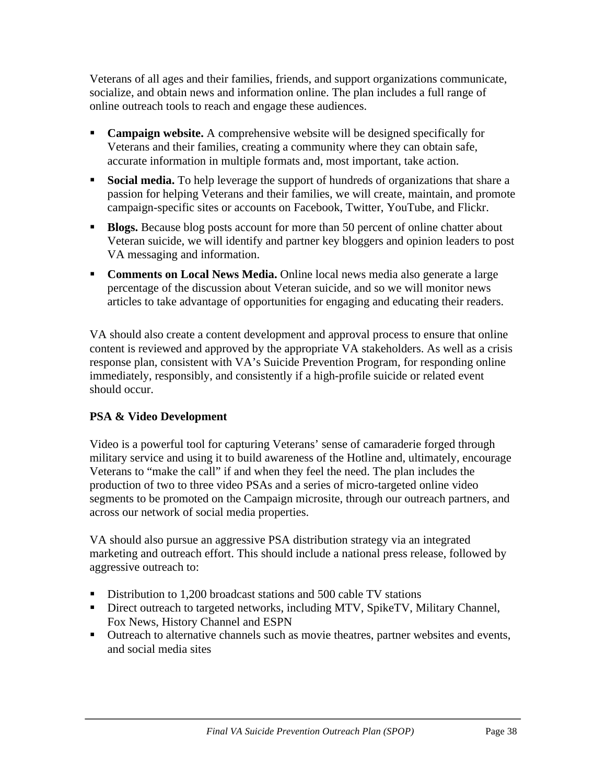Veterans of all ages and their families, friends, and support organizations communicate, socialize, and obtain news and information online. The plan includes a full range of online outreach tools to reach and engage these audiences.

- **Campaign website.** A comprehensive website will be designed specifically for Veterans and their families, creating a community where they can obtain safe, accurate information in multiple formats and, most important, take action.
- **Social media.** To help leverage the support of hundreds of organizations that share a passion for helping Veterans and their families, we will create, maintain, and promote campaign-specific sites or accounts on Facebook, Twitter, YouTube, and Flickr.
- **Blogs.** Because blog posts account for more than 50 percent of online chatter about Veteran suicide, we will identify and partner key bloggers and opinion leaders to post VA messaging and information.
- **Comments on Local News Media.** Online local news media also generate a large percentage of the discussion about Veteran suicide, and so we will monitor news articles to take advantage of opportunities for engaging and educating their readers.

VA should also create a content development and approval process to ensure that online content is reviewed and approved by the appropriate VA stakeholders. As well as a crisis response plan, consistent with VA's Suicide Prevention Program, for responding online immediately, responsibly, and consistently if a high-profile suicide or related event should occur.

# **PSA & Video Development**

Video is a powerful tool for capturing Veterans' sense of camaraderie forged through military service and using it to build awareness of the Hotline and, ultimately, encourage Veterans to "make the call" if and when they feel the need. The plan includes the production of two to three video PSAs and a series of micro-targeted online video segments to be promoted on the Campaign microsite, through our outreach partners, and across our network of social media properties.

VA should also pursue an aggressive PSA distribution strategy via an integrated marketing and outreach effort. This should include a national press release, followed by aggressive outreach to:

- Distribution to 1,200 broadcast stations and 500 cable TV stations
- Direct outreach to targeted networks, including MTV, SpikeTV, Military Channel, Fox News, History Channel and ESPN
- Outreach to alternative channels such as movie theatres, partner websites and events, and social media sites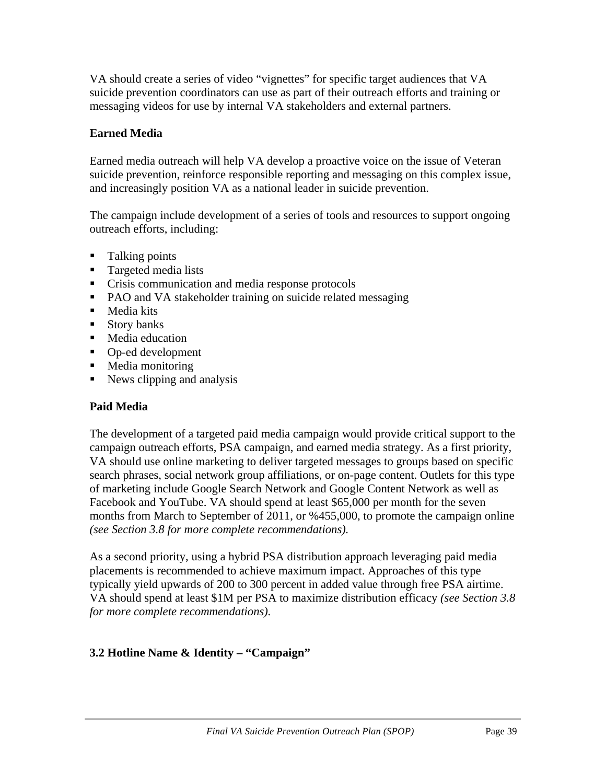VA should create a series of video "vignettes" for specific target audiences that VA suicide prevention coordinators can use as part of their outreach efforts and training or messaging videos for use by internal VA stakeholders and external partners.

## **Earned Media**

Earned media outreach will help VA develop a proactive voice on the issue of Veteran suicide prevention, reinforce responsible reporting and messaging on this complex issue, and increasingly position VA as a national leader in suicide prevention.

The campaign include development of a series of tools and resources to support ongoing outreach efforts, including:

- Talking points
- **Targeted media lists**
- Crisis communication and media response protocols
- PAO and VA stakeholder training on suicide related messaging
- $\blacksquare$  Media kits
- **Story banks**
- **Media education**
- Op-ed development
- **Media monitoring**
- $\blacksquare$  News clipping and analysis

#### **Paid Media**

The development of a targeted paid media campaign would provide critical support to the campaign outreach efforts, PSA campaign, and earned media strategy. As a first priority, VA should use online marketing to deliver targeted messages to groups based on specific search phrases, social network group affiliations, or on-page content. Outlets for this type of marketing include Google Search Network and Google Content Network as well as Facebook and YouTube. VA should spend at least \$65,000 per month for the seven months from March to September of 2011, or %455,000, to promote the campaign online *(see Section 3.8 for more complete recommendations).*

As a second priority, using a hybrid PSA distribution approach leveraging paid media placements is recommended to achieve maximum impact. Approaches of this type typically yield upwards of 200 to 300 percent in added value through free PSA airtime. VA should spend at least \$1M per PSA to maximize distribution efficacy *(see Section 3.8 for more complete recommendations).* 

## **3.2 Hotline Name & Identity – "Campaign"**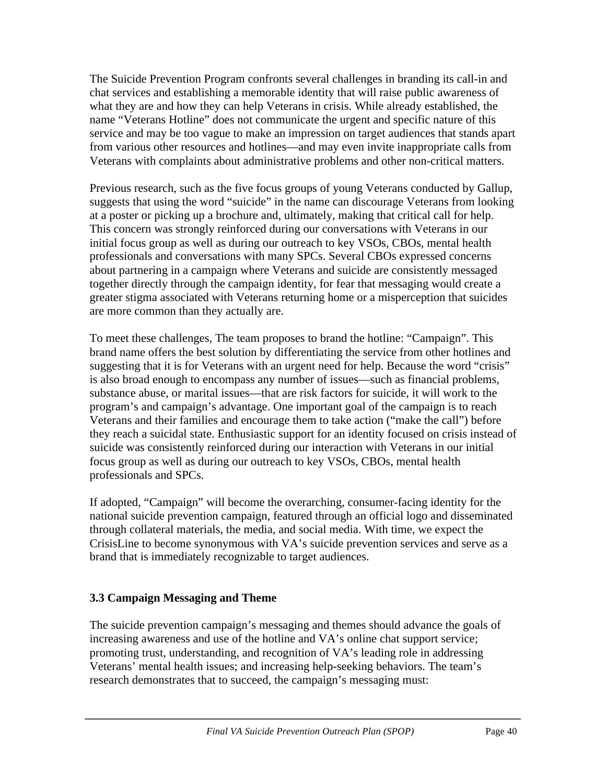The Suicide Prevention Program confronts several challenges in branding its call-in and chat services and establishing a memorable identity that will raise public awareness of what they are and how they can help Veterans in crisis. While already established, the name "Veterans Hotline" does not communicate the urgent and specific nature of this service and may be too vague to make an impression on target audiences that stands apart from various other resources and hotlines—and may even invite inappropriate calls from Veterans with complaints about administrative problems and other non-critical matters.

Previous research, such as the five focus groups of young Veterans conducted by Gallup, suggests that using the word "suicide" in the name can discourage Veterans from looking at a poster or picking up a brochure and, ultimately, making that critical call for help. This concern was strongly reinforced during our conversations with Veterans in our initial focus group as well as during our outreach to key VSOs, CBOs, mental health professionals and conversations with many SPCs. Several CBOs expressed concerns about partnering in a campaign where Veterans and suicide are consistently messaged together directly through the campaign identity, for fear that messaging would create a greater stigma associated with Veterans returning home or a misperception that suicides are more common than they actually are.

To meet these challenges, The team proposes to brand the hotline: "Campaign". This brand name offers the best solution by differentiating the service from other hotlines and suggesting that it is for Veterans with an urgent need for help. Because the word "crisis" is also broad enough to encompass any number of issues—such as financial problems, substance abuse, or marital issues—that are risk factors for suicide, it will work to the program's and campaign's advantage. One important goal of the campaign is to reach Veterans and their families and encourage them to take action ("make the call") before they reach a suicidal state. Enthusiastic support for an identity focused on crisis instead of suicide was consistently reinforced during our interaction with Veterans in our initial focus group as well as during our outreach to key VSOs, CBOs, mental health professionals and SPCs.

If adopted, "Campaign" will become the overarching, consumer-facing identity for the national suicide prevention campaign, featured through an official logo and disseminated through collateral materials, the media, and social media. With time, we expect the CrisisLine to become synonymous with VA's suicide prevention services and serve as a brand that is immediately recognizable to target audiences.

## **3.3 Campaign Messaging and Theme**

The suicide prevention campaign's messaging and themes should advance the goals of increasing awareness and use of the hotline and VA's online chat support service; promoting trust, understanding, and recognition of VA's leading role in addressing Veterans' mental health issues; and increasing help-seeking behaviors. The team's research demonstrates that to succeed, the campaign's messaging must: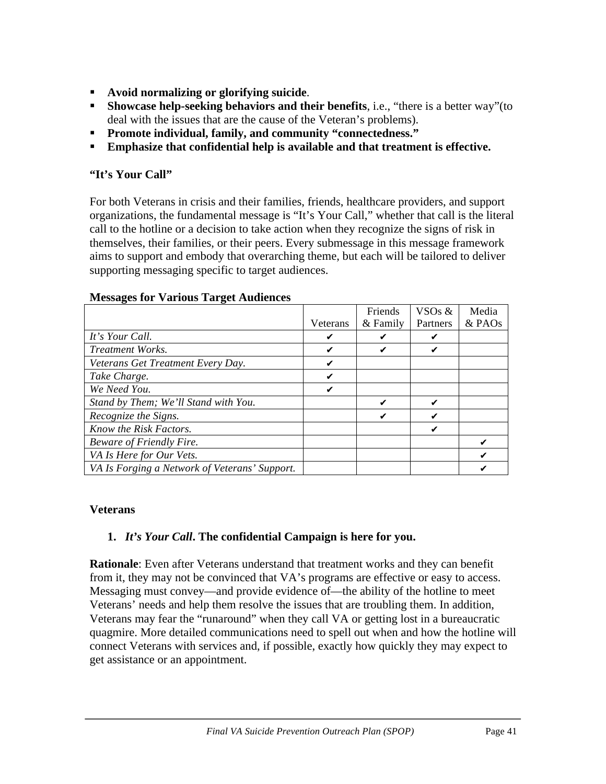- **Avoid normalizing or glorifying suicide**.
- **Showcase help-seeking behaviors and their benefits**, i.e., "there is a better way"(to deal with the issues that are the cause of the Veteran's problems).
- **Promote individual, family, and community "connectedness."**
- **Emphasize that confidential help is available and that treatment is effective.**

### **"It's Your Call"**

For both Veterans in crisis and their families, friends, healthcare providers, and support organizations, the fundamental message is "It's Your Call," whether that call is the literal call to the hotline or a decision to take action when they recognize the signs of risk in themselves, their families, or their peers. Every submessage in this message framework aims to support and embody that overarching theme, but each will be tailored to deliver supporting messaging specific to target audiences.

|                                               |          | Friends  | VSO <sub>s</sub> & | Media    |
|-----------------------------------------------|----------|----------|--------------------|----------|
|                                               | Veterans | & Family | Partners           | $&$ PAOs |
| It's Your Call.                               |          | ✔        | ✔                  |          |
| Treatment Works.                              |          | ✔        | ✔                  |          |
| Veterans Get Treatment Every Day.             |          |          |                    |          |
| Take Charge.                                  |          |          |                    |          |
| We Need You.                                  |          |          |                    |          |
| Stand by Them; We'll Stand with You.          |          | ✔        |                    |          |
| Recognize the Signs.                          |          | ✔        |                    |          |
| Know the Risk Factors.                        |          |          | ✔                  |          |
| Beware of Friendly Fire.                      |          |          |                    |          |
| VA Is Here for Our Vets.                      |          |          |                    |          |
| VA Is Forging a Network of Veterans' Support. |          |          |                    |          |

#### **Messages for Various Target Audiences**

#### **Veterans**

## **1.** *It's Your Call***. The confidential Campaign is here for you.**

**Rationale**: Even after Veterans understand that treatment works and they can benefit from it, they may not be convinced that VA's programs are effective or easy to access. Messaging must convey—and provide evidence of—the ability of the hotline to meet Veterans' needs and help them resolve the issues that are troubling them. In addition, Veterans may fear the "runaround" when they call VA or getting lost in a bureaucratic quagmire. More detailed communications need to spell out when and how the hotline will connect Veterans with services and, if possible, exactly how quickly they may expect to get assistance or an appointment.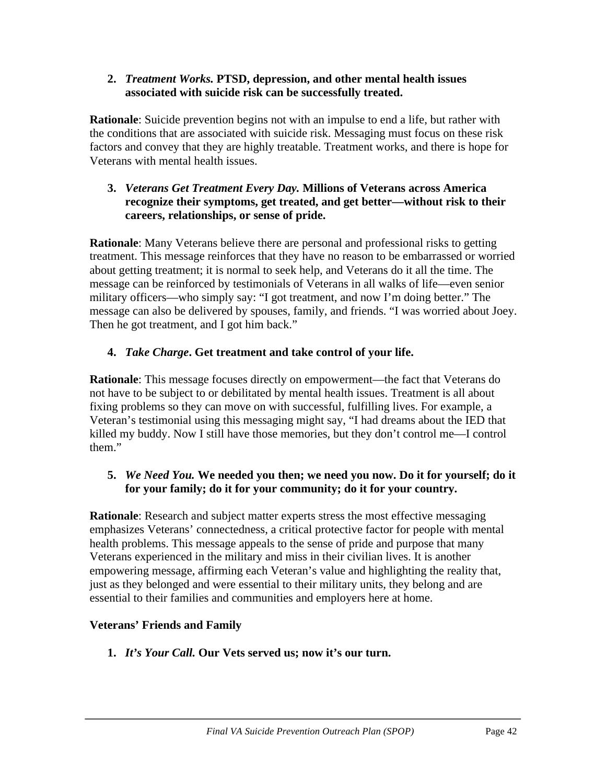#### **2.** *Treatment Works.* **PTSD, depression, and other mental health issues associated with suicide risk can be successfully treated.**

**Rationale**: Suicide prevention begins not with an impulse to end a life, but rather with the conditions that are associated with suicide risk. Messaging must focus on these risk factors and convey that they are highly treatable. Treatment works, and there is hope for Veterans with mental health issues.

#### **3.** *Veterans Get Treatment Every Day.* **Millions of Veterans across America recognize their symptoms, get treated, and get better—without risk to their careers, relationships, or sense of pride.**

**Rationale**: Many Veterans believe there are personal and professional risks to getting treatment. This message reinforces that they have no reason to be embarrassed or worried about getting treatment; it is normal to seek help, and Veterans do it all the time. The message can be reinforced by testimonials of Veterans in all walks of life—even senior military officers—who simply say: "I got treatment, and now I'm doing better." The message can also be delivered by spouses, family, and friends. "I was worried about Joey. Then he got treatment, and I got him back."

# **4.** *Take Charge***. Get treatment and take control of your life.**

**Rationale**: This message focuses directly on empowerment—the fact that Veterans do not have to be subject to or debilitated by mental health issues. Treatment is all about fixing problems so they can move on with successful, fulfilling lives. For example, a Veteran's testimonial using this messaging might say, "I had dreams about the IED that killed my buddy. Now I still have those memories, but they don't control me—I control them."

### **5.** *We Need You.* **We needed you then; we need you now. Do it for yourself; do it for your family; do it for your community; do it for your country.**

**Rationale**: Research and subject matter experts stress the most effective messaging emphasizes Veterans' connectedness, a critical protective factor for people with mental health problems. This message appeals to the sense of pride and purpose that many Veterans experienced in the military and miss in their civilian lives. It is another empowering message, affirming each Veteran's value and highlighting the reality that, just as they belonged and were essential to their military units, they belong and are essential to their families and communities and employers here at home.

## **Veterans' Friends and Family**

# **1.** *It's Your Call.* **Our Vets served us; now it's our turn.**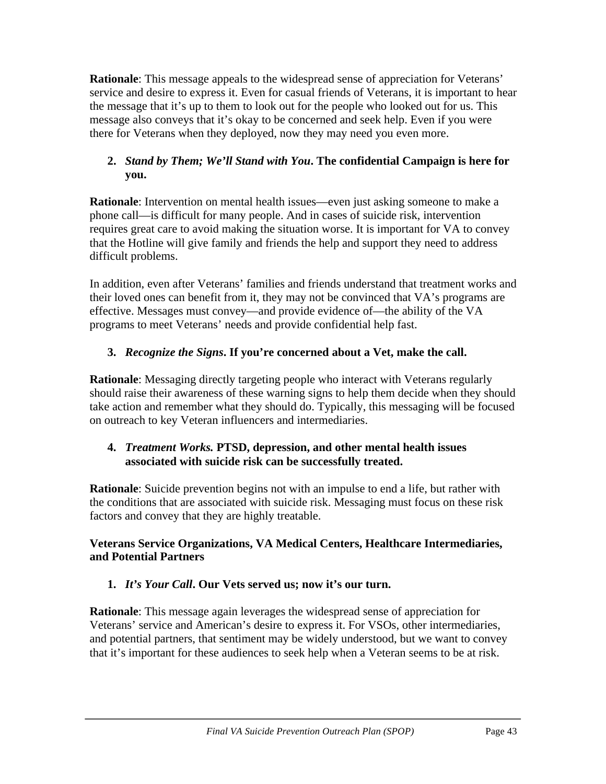**Rationale**: This message appeals to the widespread sense of appreciation for Veterans' service and desire to express it. Even for casual friends of Veterans, it is important to hear the message that it's up to them to look out for the people who looked out for us. This message also conveys that it's okay to be concerned and seek help. Even if you were there for Veterans when they deployed, now they may need you even more.

## **2.** *Stand by Them; We'll Stand with You***. The confidential Campaign is here for you.**

**Rationale**: Intervention on mental health issues—even just asking someone to make a phone call—is difficult for many people. And in cases of suicide risk, intervention requires great care to avoid making the situation worse. It is important for VA to convey that the Hotline will give family and friends the help and support they need to address difficult problems.

In addition, even after Veterans' families and friends understand that treatment works and their loved ones can benefit from it, they may not be convinced that VA's programs are effective. Messages must convey—and provide evidence of—the ability of the VA programs to meet Veterans' needs and provide confidential help fast.

# **3.** *Recognize the Signs***. If you're concerned about a Vet, make the call.**

**Rationale**: Messaging directly targeting people who interact with Veterans regularly should raise their awareness of these warning signs to help them decide when they should take action and remember what they should do. Typically, this messaging will be focused on outreach to key Veteran influencers and intermediaries.

## **4.** *Treatment Works.* **PTSD, depression, and other mental health issues associated with suicide risk can be successfully treated.**

**Rationale**: Suicide prevention begins not with an impulse to end a life, but rather with the conditions that are associated with suicide risk. Messaging must focus on these risk factors and convey that they are highly treatable.

## **Veterans Service Organizations, VA Medical Centers, Healthcare Intermediaries, and Potential Partners**

# **1.** *It's Your Call***. Our Vets served us; now it's our turn.**

**Rationale**: This message again leverages the widespread sense of appreciation for Veterans' service and American's desire to express it. For VSOs, other intermediaries, and potential partners, that sentiment may be widely understood, but we want to convey that it's important for these audiences to seek help when a Veteran seems to be at risk.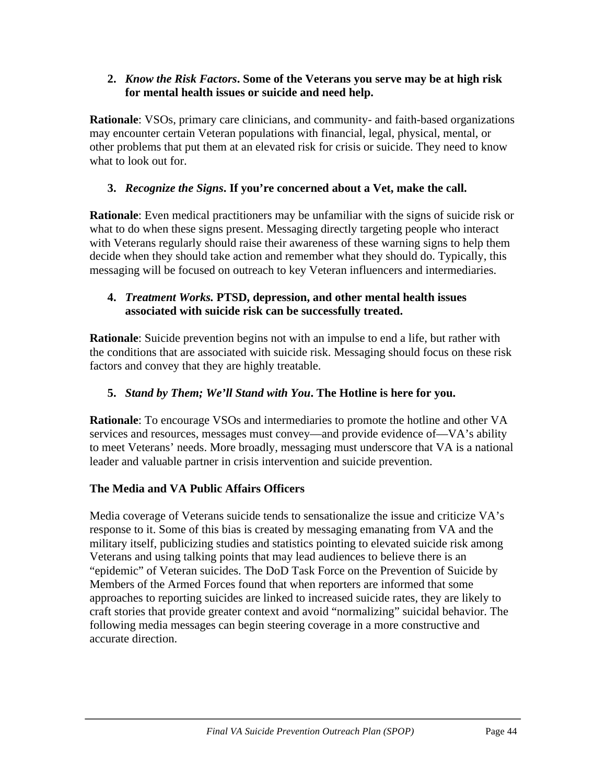#### **2.** *Know the Risk Factors***. Some of the Veterans you serve may be at high risk for mental health issues or suicide and need help.**

**Rationale**: VSOs, primary care clinicians, and community- and faith-based organizations may encounter certain Veteran populations with financial, legal, physical, mental, or other problems that put them at an elevated risk for crisis or suicide. They need to know what to look out for.

## **3.** *Recognize the Signs***. If you're concerned about a Vet, make the call.**

**Rationale**: Even medical practitioners may be unfamiliar with the signs of suicide risk or what to do when these signs present. Messaging directly targeting people who interact with Veterans regularly should raise their awareness of these warning signs to help them decide when they should take action and remember what they should do. Typically, this messaging will be focused on outreach to key Veteran influencers and intermediaries.

#### **4.** *Treatment Works.* **PTSD, depression, and other mental health issues associated with suicide risk can be successfully treated.**

**Rationale**: Suicide prevention begins not with an impulse to end a life, but rather with the conditions that are associated with suicide risk. Messaging should focus on these risk factors and convey that they are highly treatable.

### **5.** *Stand by Them; We'll Stand with You***. The Hotline is here for you.**

**Rationale**: To encourage VSOs and intermediaries to promote the hotline and other VA services and resources, messages must convey—and provide evidence of—VA's ability to meet Veterans' needs. More broadly, messaging must underscore that VA is a national leader and valuable partner in crisis intervention and suicide prevention.

#### **The Media and VA Public Affairs Officers**

Media coverage of Veterans suicide tends to sensationalize the issue and criticize VA's response to it. Some of this bias is created by messaging emanating from VA and the military itself, publicizing studies and statistics pointing to elevated suicide risk among Veterans and using talking points that may lead audiences to believe there is an "epidemic" of Veteran suicides. The DoD Task Force on the Prevention of Suicide by Members of the Armed Forces found that when reporters are informed that some approaches to reporting suicides are linked to increased suicide rates, they are likely to craft stories that provide greater context and avoid "normalizing" suicidal behavior. The following media messages can begin steering coverage in a more constructive and accurate direction.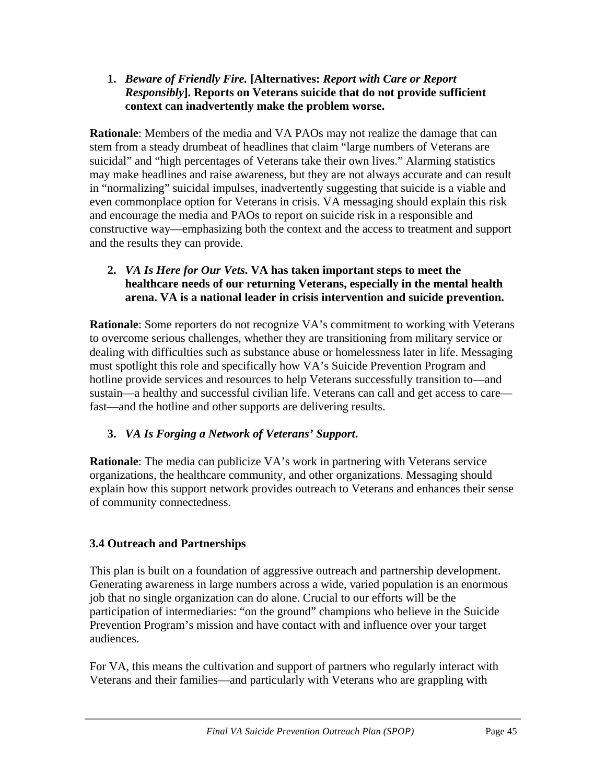#### **1.** *Beware of Friendly Fire.* **[Alternatives:** *Report with Care or Report Responsibly***]. Reports on Veterans suicide that do not provide sufficient context can inadvertently make the problem worse.**

**Rationale**: Members of the media and VA PAOs may not realize the damage that can stem from a steady drumbeat of headlines that claim "large numbers of Veterans are suicidal" and "high percentages of Veterans take their own lives." Alarming statistics may make headlines and raise awareness, but they are not always accurate and can result in "normalizing" suicidal impulses, inadvertently suggesting that suicide is a viable and even commonplace option for Veterans in crisis. VA messaging should explain this risk and encourage the media and PAOs to report on suicide risk in a responsible and constructive way—emphasizing both the context and the access to treatment and support and the results they can provide.

### **2.** *VA Is Here for Our Vets***. VA has taken important steps to meet the healthcare needs of our returning Veterans, especially in the mental health arena. VA is a national leader in crisis intervention and suicide prevention.**

**Rationale**: Some reporters do not recognize VA's commitment to working with Veterans to overcome serious challenges, whether they are transitioning from military service or dealing with difficulties such as substance abuse or homelessness later in life. Messaging must spotlight this role and specifically how VA's Suicide Prevention Program and hotline provide services and resources to help Veterans successfully transition to—and sustain—a healthy and successful civilian life. Veterans can call and get access to care fast—and the hotline and other supports are delivering results.

# **3.** *VA Is Forging a Network of Veterans' Support***.**

**Rationale**: The media can publicize VA's work in partnering with Veterans service organizations, the healthcare community, and other organizations. Messaging should explain how this support network provides outreach to Veterans and enhances their sense of community connectedness.

# **3.4 Outreach and Partnerships**

This plan is built on a foundation of aggressive outreach and partnership development. Generating awareness in large numbers across a wide, varied population is an enormous job that no single organization can do alone. Crucial to our efforts will be the participation of intermediaries: "on the ground" champions who believe in the Suicide Prevention Program's mission and have contact with and influence over your target audiences.

For VA, this means the cultivation and support of partners who regularly interact with Veterans and their families—and particularly with Veterans who are grappling with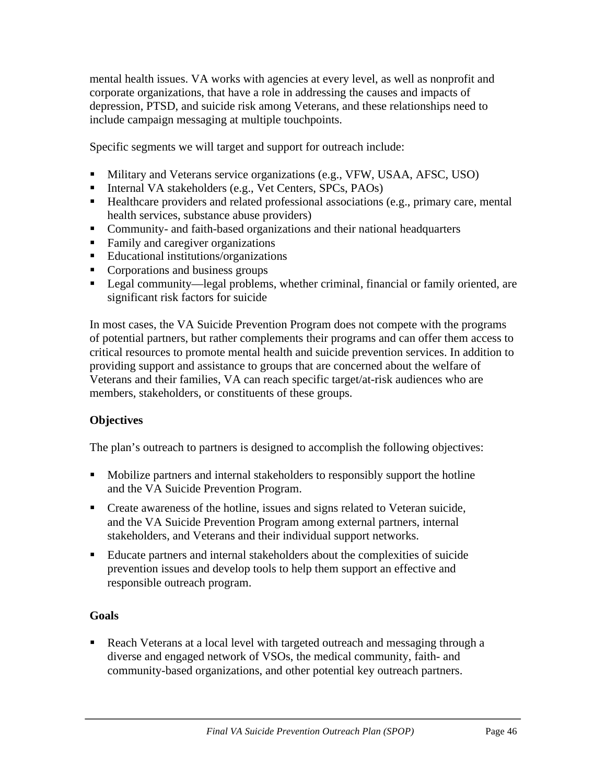mental health issues. VA works with agencies at every level, as well as nonprofit and corporate organizations, that have a role in addressing the causes and impacts of depression, PTSD, and suicide risk among Veterans, and these relationships need to include campaign messaging at multiple touchpoints.

Specific segments we will target and support for outreach include:

- Military and Veterans service organizations (e.g., VFW, USAA, AFSC, USO)
- Internal VA stakeholders (e.g., Vet Centers, SPCs, PAOs)
- Healthcare providers and related professional associations (e.g., primary care, mental health services, substance abuse providers)
- Community- and faith-based organizations and their national headquarters
- Family and caregiver organizations
- Educational institutions/organizations
- Corporations and business groups
- Legal community—legal problems, whether criminal, financial or family oriented, are significant risk factors for suicide

In most cases, the VA Suicide Prevention Program does not compete with the programs of potential partners, but rather complements their programs and can offer them access to critical resources to promote mental health and suicide prevention services. In addition to providing support and assistance to groups that are concerned about the welfare of Veterans and their families, VA can reach specific target/at-risk audiences who are members, stakeholders, or constituents of these groups.

## **Objectives**

The plan's outreach to partners is designed to accomplish the following objectives:

- Mobilize partners and internal stakeholders to responsibly support the hotline and the VA Suicide Prevention Program.
- Create awareness of the hotline, issues and signs related to Veteran suicide, and the VA Suicide Prevention Program among external partners, internal stakeholders, and Veterans and their individual support networks.
- Educate partners and internal stakeholders about the complexities of suicide prevention issues and develop tools to help them support an effective and responsible outreach program.

## **Goals**

Reach Veterans at a local level with targeted outreach and messaging through a diverse and engaged network of VSOs, the medical community, faith- and community-based organizations, and other potential key outreach partners.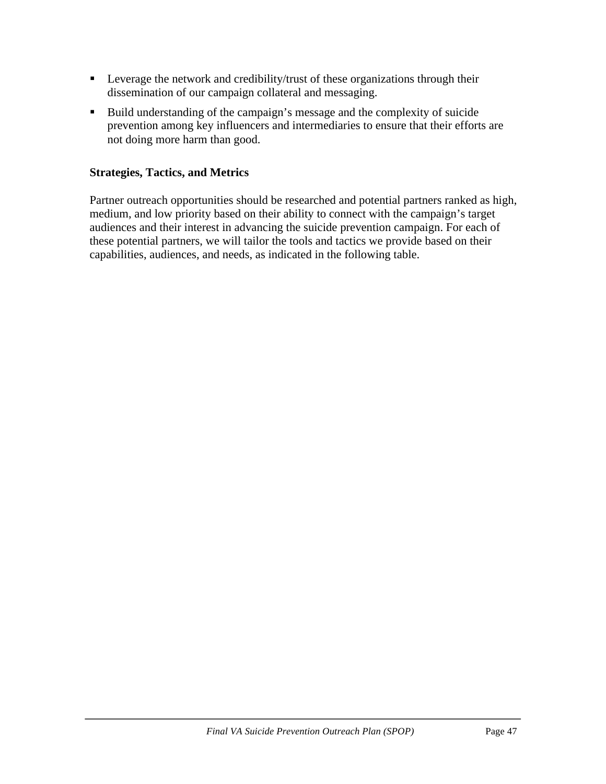- **Leverage the network and credibility/trust of these organizations through their** dissemination of our campaign collateral and messaging.
- Build understanding of the campaign's message and the complexity of suicide prevention among key influencers and intermediaries to ensure that their efforts are not doing more harm than good.

#### **Strategies, Tactics, and Metrics**

Partner outreach opportunities should be researched and potential partners ranked as high, medium, and low priority based on their ability to connect with the campaign's target audiences and their interest in advancing the suicide prevention campaign. For each of these potential partners, we will tailor the tools and tactics we provide based on their capabilities, audiences, and needs, as indicated in the following table.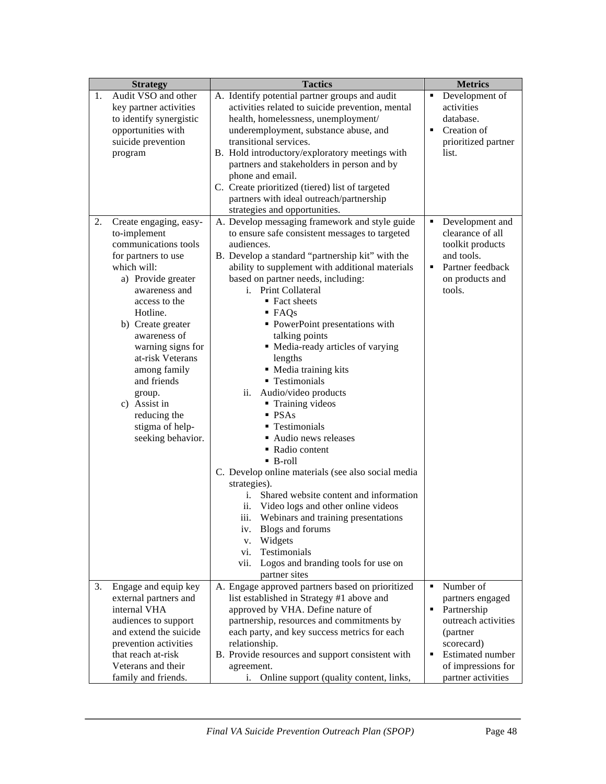| <b>Strategy</b> |                                                                                                                                                                                                                                                                                                                                                                         | <b>Tactics</b>                                                                                                                                                                                                                                                                                                                                                                                                                                                                                                                                                                                                                                                                                                                                                                                                                                                                                                                                                             | <b>Metrics</b>                                                                                                                                                     |  |
|-----------------|-------------------------------------------------------------------------------------------------------------------------------------------------------------------------------------------------------------------------------------------------------------------------------------------------------------------------------------------------------------------------|----------------------------------------------------------------------------------------------------------------------------------------------------------------------------------------------------------------------------------------------------------------------------------------------------------------------------------------------------------------------------------------------------------------------------------------------------------------------------------------------------------------------------------------------------------------------------------------------------------------------------------------------------------------------------------------------------------------------------------------------------------------------------------------------------------------------------------------------------------------------------------------------------------------------------------------------------------------------------|--------------------------------------------------------------------------------------------------------------------------------------------------------------------|--|
| 1.              | Audit VSO and other<br>key partner activities<br>to identify synergistic<br>opportunities with<br>suicide prevention<br>program                                                                                                                                                                                                                                         | A. Identify potential partner groups and audit<br>activities related to suicide prevention, mental<br>health, homelessness, unemployment/<br>underemployment, substance abuse, and<br>transitional services.<br>B. Hold introductory/exploratory meetings with<br>partners and stakeholders in person and by<br>phone and email.<br>C. Create prioritized (tiered) list of targeted<br>partners with ideal outreach/partnership<br>strategies and opportunities.                                                                                                                                                                                                                                                                                                                                                                                                                                                                                                           | Development of<br>٠<br>activities<br>database.<br>Creation of<br>٠<br>prioritized partner<br>list.                                                                 |  |
| 2.              | Create engaging, easy-<br>to-implement<br>communications tools<br>for partners to use<br>which will:<br>a) Provide greater<br>awareness and<br>access to the<br>Hotline.<br>b) Create greater<br>awareness of<br>warning signs for<br>at-risk Veterans<br>among family<br>and friends<br>group.<br>c) Assist in<br>reducing the<br>stigma of help-<br>seeking behavior. | A. Develop messaging framework and style guide<br>to ensure safe consistent messages to targeted<br>audiences.<br>B. Develop a standard "partnership kit" with the<br>ability to supplement with additional materials<br>based on partner needs, including:<br>i. Print Collateral<br>■ Fact sheets<br>$\blacksquare$ FAQs<br>• PowerPoint presentations with<br>talking points<br>• Media-ready articles of varying<br>lengths<br>• Media training kits<br>• Testimonials<br>ii.<br>Audio/video products<br>• Training videos<br>PSAs<br>• Testimonials<br>Audio news releases<br>• Radio content<br>$\blacksquare$ B-roll<br>C. Develop online materials (see also social media<br>strategies).<br>Shared website content and information<br>i.<br>ii. Video logs and other online videos<br>iii. Webinars and training presentations<br>Blogs and forums<br>iv.<br>Widgets<br>V.<br>Testimonials<br>vi.<br>vii.<br>Logos and branding tools for use on<br>partner sites | Development and<br>clearance of all<br>toolkit products<br>and tools.<br>Partner feedback<br>on products and<br>tools.                                             |  |
| 3.              | Engage and equip key<br>external partners and<br>internal VHA<br>audiences to support<br>and extend the suicide<br>prevention activities<br>that reach at-risk<br>Veterans and their<br>family and friends.                                                                                                                                                             | A. Engage approved partners based on prioritized<br>list established in Strategy #1 above and<br>approved by VHA. Define nature of<br>partnership, resources and commitments by<br>each party, and key success metrics for each<br>relationship.<br>B. Provide resources and support consistent with<br>agreement.<br>Online support (quality content, links,<br>i.                                                                                                                                                                                                                                                                                                                                                                                                                                                                                                                                                                                                        | Number of<br>partners engaged<br>٠<br>Partnership<br>outreach activities<br>(partner<br>scorecard)<br>Estimated number<br>of impressions for<br>partner activities |  |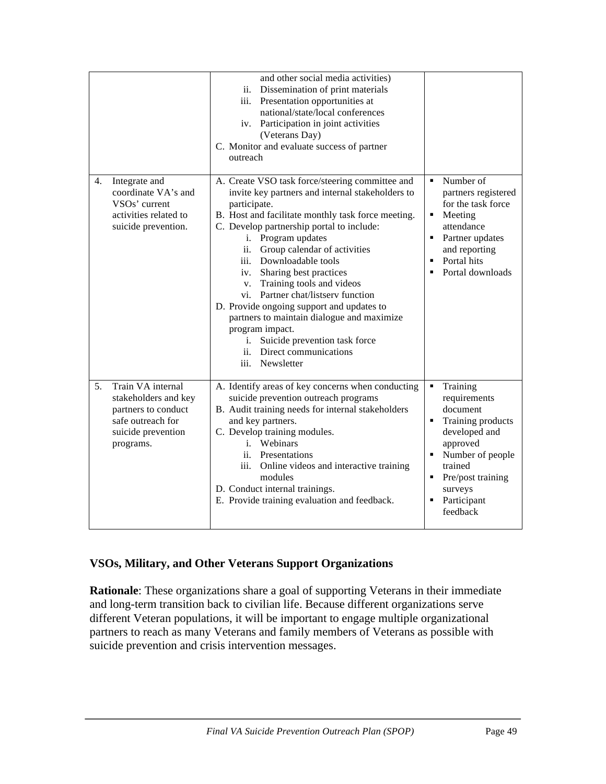|                                                                                                                                | and other social media activities)<br>ii. Dissemination of print materials<br>Presentation opportunities at<br>iii.<br>national/state/local conferences<br>iv. Participation in joint activities<br>(Veterans Day)<br>C. Monitor and evaluate success of partner<br>outreach                                                                                                                                                                                                                                                                                                                                                  |                                                                                                                                                                                                  |
|--------------------------------------------------------------------------------------------------------------------------------|-------------------------------------------------------------------------------------------------------------------------------------------------------------------------------------------------------------------------------------------------------------------------------------------------------------------------------------------------------------------------------------------------------------------------------------------------------------------------------------------------------------------------------------------------------------------------------------------------------------------------------|--------------------------------------------------------------------------------------------------------------------------------------------------------------------------------------------------|
| Integrate and<br>4.<br>coordinate VA's and<br>VSO <sub>s</sub> ' current<br>activities related to<br>suicide prevention.       | A. Create VSO task force/steering committee and<br>invite key partners and internal stakeholders to<br>participate.<br>B. Host and facilitate monthly task force meeting.<br>C. Develop partnership portal to include:<br>i. Program updates<br>ii.<br>Group calendar of activities<br>iii. Downloadable tools<br>Sharing best practices<br>iv.<br>Training tools and videos<br>V.<br>vi. Partner chat/listserv function<br>D. Provide ongoing support and updates to<br>partners to maintain dialogue and maximize<br>program impact.<br>Suicide prevention task force<br>i.<br>ii. Direct communications<br>iii. Newsletter | Number of<br>٠<br>partners registered<br>for the task force<br>Meeting<br>٠<br>attendance<br>Partner updates<br>٠<br>and reporting<br>Portal hits<br>Portal downloads                            |
| Train VA internal<br>5.<br>stakeholders and key<br>partners to conduct<br>safe outreach for<br>suicide prevention<br>programs. | A. Identify areas of key concerns when conducting<br>suicide prevention outreach programs<br>B. Audit training needs for internal stakeholders<br>and key partners.<br>C. Develop training modules.<br>i. Webinars<br>ii. Presentations<br>iii. Online videos and interactive training<br>modules<br>D. Conduct internal trainings.<br>E. Provide training evaluation and feedback.                                                                                                                                                                                                                                           | Training<br>٠<br>requirements<br>document<br>Training products<br>٠<br>developed and<br>approved<br>Number of people<br>trained<br>Pre/post training<br>٠.<br>surveys<br>Participant<br>feedback |

#### **VSOs, Military, and Other Veterans Support Organizations**

**Rationale**: These organizations share a goal of supporting Veterans in their immediate and long-term transition back to civilian life. Because different organizations serve different Veteran populations, it will be important to engage multiple organizational partners to reach as many Veterans and family members of Veterans as possible with suicide prevention and crisis intervention messages.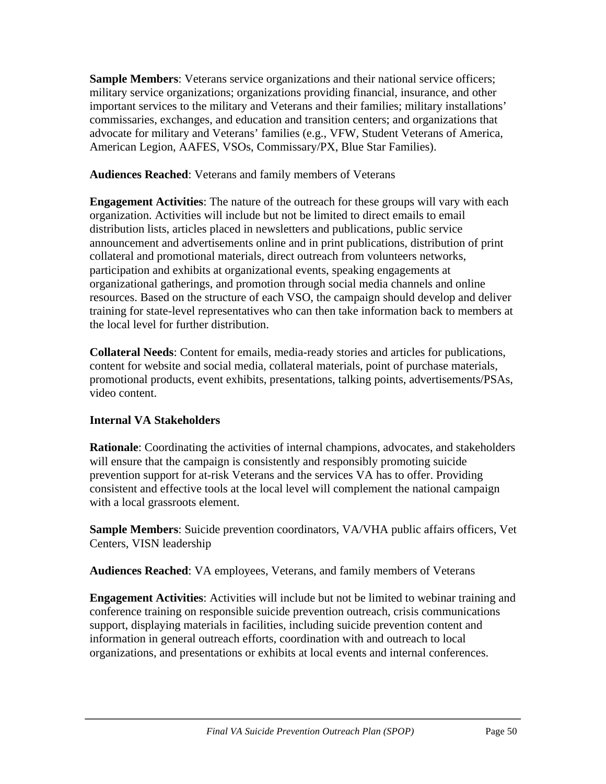**Sample Members**: Veterans service organizations and their national service officers; military service organizations; organizations providing financial, insurance, and other important services to the military and Veterans and their families; military installations' commissaries, exchanges, and education and transition centers; and organizations that advocate for military and Veterans' families (e.g., VFW, Student Veterans of America, American Legion, AAFES, VSOs, Commissary/PX, Blue Star Families).

**Audiences Reached**: Veterans and family members of Veterans

**Engagement Activities**: The nature of the outreach for these groups will vary with each organization. Activities will include but not be limited to direct emails to email distribution lists, articles placed in newsletters and publications, public service announcement and advertisements online and in print publications, distribution of print collateral and promotional materials, direct outreach from volunteers networks, participation and exhibits at organizational events, speaking engagements at organizational gatherings, and promotion through social media channels and online resources. Based on the structure of each VSO, the campaign should develop and deliver training for state-level representatives who can then take information back to members at the local level for further distribution.

**Collateral Needs**: Content for emails, media-ready stories and articles for publications, content for website and social media, collateral materials, point of purchase materials, promotional products, event exhibits, presentations, talking points, advertisements/PSAs, video content.

## **Internal VA Stakeholders**

**Rationale**: Coordinating the activities of internal champions, advocates, and stakeholders will ensure that the campaign is consistently and responsibly promoting suicide prevention support for at-risk Veterans and the services VA has to offer. Providing consistent and effective tools at the local level will complement the national campaign with a local grassroots element.

**Sample Members**: Suicide prevention coordinators, VA/VHA public affairs officers, Vet Centers, VISN leadership

**Audiences Reached**: VA employees, Veterans, and family members of Veterans

**Engagement Activities**: Activities will include but not be limited to webinar training and conference training on responsible suicide prevention outreach, crisis communications support, displaying materials in facilities, including suicide prevention content and information in general outreach efforts, coordination with and outreach to local organizations, and presentations or exhibits at local events and internal conferences.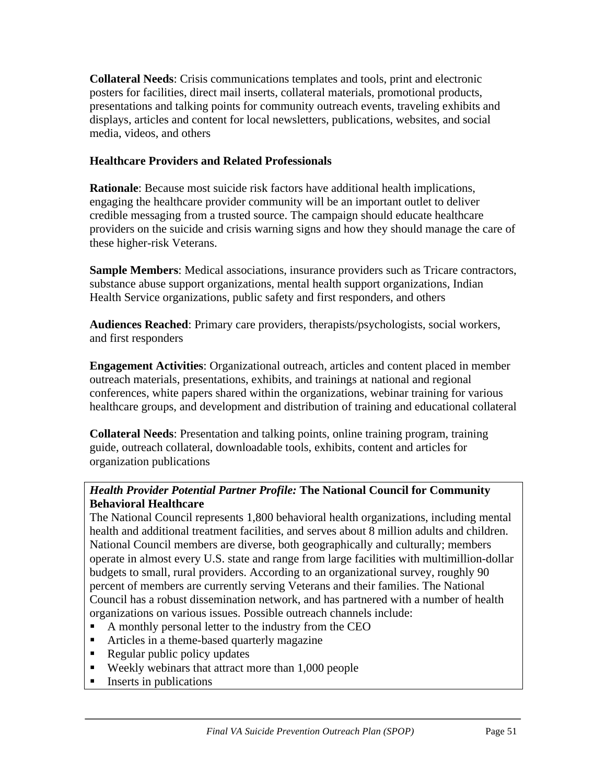**Collateral Needs**: Crisis communications templates and tools, print and electronic posters for facilities, direct mail inserts, collateral materials, promotional products, presentations and talking points for community outreach events, traveling exhibits and displays, articles and content for local newsletters, publications, websites, and social media, videos, and others

### **Healthcare Providers and Related Professionals**

**Rationale**: Because most suicide risk factors have additional health implications, engaging the healthcare provider community will be an important outlet to deliver credible messaging from a trusted source. The campaign should educate healthcare providers on the suicide and crisis warning signs and how they should manage the care of these higher-risk Veterans.

**Sample Members**: Medical associations, insurance providers such as Tricare contractors, substance abuse support organizations, mental health support organizations, Indian Health Service organizations, public safety and first responders, and others

**Audiences Reached**: Primary care providers, therapists/psychologists, social workers, and first responders

**Engagement Activities**: Organizational outreach, articles and content placed in member outreach materials, presentations, exhibits, and trainings at national and regional conferences, white papers shared within the organizations, webinar training for various healthcare groups, and development and distribution of training and educational collateral

**Collateral Needs**: Presentation and talking points, online training program, training guide, outreach collateral, downloadable tools, exhibits, content and articles for organization publications

## *Health Provider Potential Partner Profile:* **The National Council for Community Behavioral Healthcare**

The National Council represents 1,800 behavioral health organizations, including mental health and additional treatment facilities, and serves about 8 million adults and children. National Council members are diverse, both geographically and culturally; members operate in almost every U.S. state and range from large facilities with multimillion-dollar budgets to small, rural providers. According to an organizational survey, roughly 90 percent of members are currently serving Veterans and their families. The National Council has a robust dissemination network, and has partnered with a number of health organizations on various issues. Possible outreach channels include:

- A monthly personal letter to the industry from the CEO
- Articles in a theme-based quarterly magazine
- Regular public policy updates
- Weekly webinars that attract more than 1,000 people
- $\blacksquare$  Inserts in publications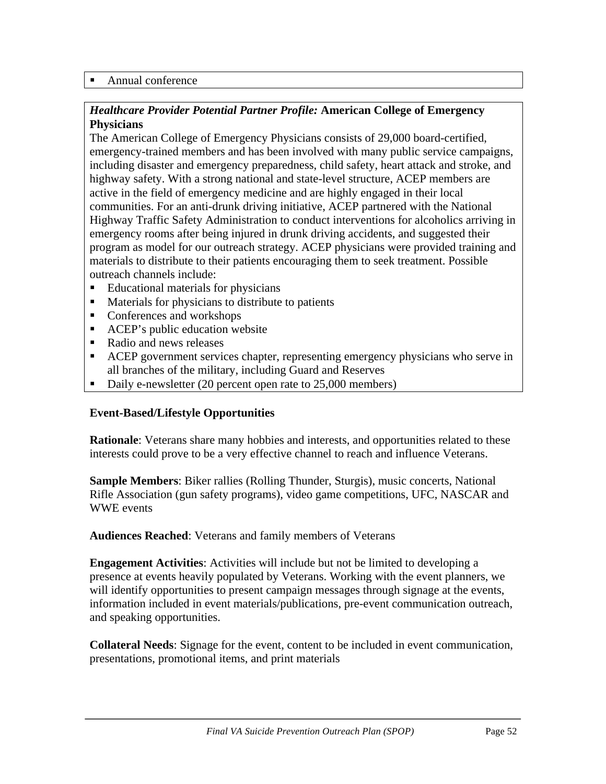#### ■ Annual conference

### *Healthcare Provider Potential Partner Profile:* **American College of Emergency Physicians**

The American College of Emergency Physicians consists of 29,000 board-certified, emergency-trained members and has been involved with many public service campaigns, including disaster and emergency preparedness, child safety, heart attack and stroke, and highway safety. With a strong national and state-level structure, ACEP members are active in the field of emergency medicine and are highly engaged in their local communities. For an anti-drunk driving initiative, ACEP partnered with the National Highway Traffic Safety Administration to conduct interventions for alcoholics arriving in emergency rooms after being injured in drunk driving accidents, and suggested their program as model for our outreach strategy. ACEP physicians were provided training and materials to distribute to their patients encouraging them to seek treatment. Possible outreach channels include:

- Educational materials for physicians
- Materials for physicians to distribute to patients
- Conferences and workshops
- ACEP's public education website
- Radio and news releases
- ACEP government services chapter, representing emergency physicians who serve in all branches of the military, including Guard and Reserves
- Daily e-newsletter (20 percent open rate to 25,000 members)

#### **Event-Based/Lifestyle Opportunities**

**Rationale**: Veterans share many hobbies and interests, and opportunities related to these interests could prove to be a very effective channel to reach and influence Veterans.

**Sample Members**: Biker rallies (Rolling Thunder, Sturgis), music concerts, National Rifle Association (gun safety programs), video game competitions, UFC, NASCAR and WWE events

**Audiences Reached**: Veterans and family members of Veterans

**Engagement Activities**: Activities will include but not be limited to developing a presence at events heavily populated by Veterans. Working with the event planners, we will identify opportunities to present campaign messages through signage at the events, information included in event materials/publications, pre-event communication outreach, and speaking opportunities.

**Collateral Needs**: Signage for the event, content to be included in event communication, presentations, promotional items, and print materials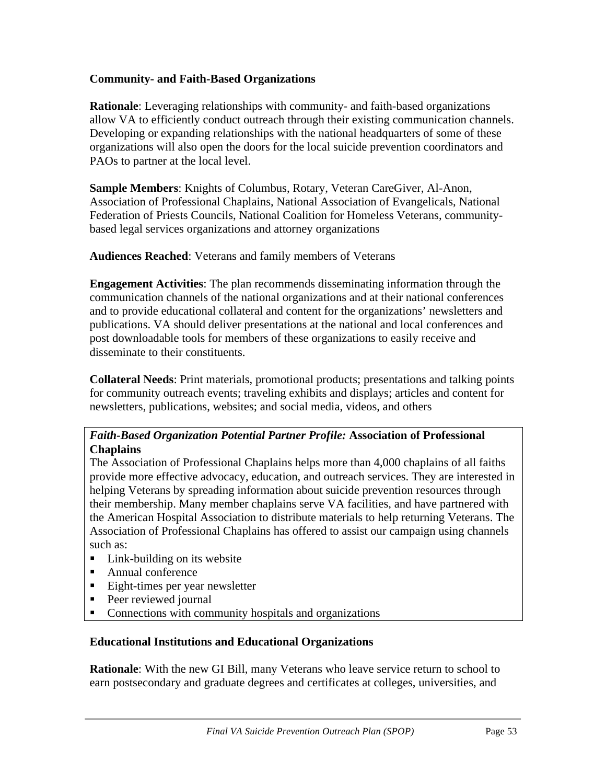#### **Community- and Faith-Based Organizations**

**Rationale**: Leveraging relationships with community- and faith-based organizations allow VA to efficiently conduct outreach through their existing communication channels. Developing or expanding relationships with the national headquarters of some of these organizations will also open the doors for the local suicide prevention coordinators and PAOs to partner at the local level.

**Sample Members**: Knights of Columbus, Rotary, Veteran CareGiver, Al-Anon, Association of Professional Chaplains, National Association of Evangelicals, National Federation of Priests Councils, National Coalition for Homeless Veterans, communitybased legal services organizations and attorney organizations

**Audiences Reached**: Veterans and family members of Veterans

**Engagement Activities**: The plan recommends disseminating information through the communication channels of the national organizations and at their national conferences and to provide educational collateral and content for the organizations' newsletters and publications. VA should deliver presentations at the national and local conferences and post downloadable tools for members of these organizations to easily receive and disseminate to their constituents.

**Collateral Needs**: Print materials, promotional products; presentations and talking points for community outreach events; traveling exhibits and displays; articles and content for newsletters, publications, websites; and social media, videos, and others

### *Faith-Based Organization Potential Partner Profile:* **Association of Professional Chaplains**

The Association of Professional Chaplains helps more than 4,000 chaplains of all faiths provide more effective advocacy, education, and outreach services. They are interested in helping Veterans by spreading information about suicide prevention resources through their membership. Many member chaplains serve VA facilities, and have partnered with the American Hospital Association to distribute materials to help returning Veterans. The Association of Professional Chaplains has offered to assist our campaign using channels such as:

- Link-building on its website
- Annual conference
- Eight-times per year newsletter
- Peer reviewed journal
- Connections with community hospitals and organizations

#### **Educational Institutions and Educational Organizations**

**Rationale**: With the new GI Bill, many Veterans who leave service return to school to earn postsecondary and graduate degrees and certificates at colleges, universities, and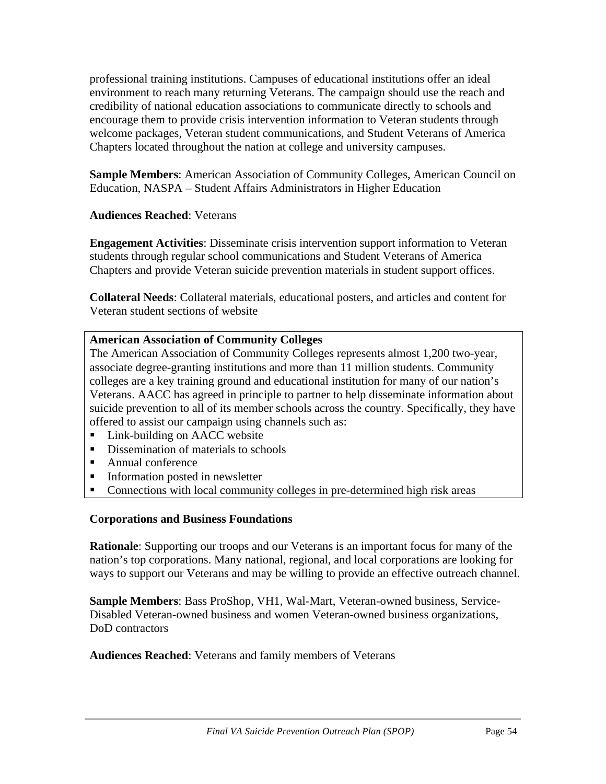professional training institutions. Campuses of educational institutions offer an ideal environment to reach many returning Veterans. The campaign should use the reach and credibility of national education associations to communicate directly to schools and encourage them to provide crisis intervention information to Veteran students through welcome packages, Veteran student communications, and Student Veterans of America Chapters located throughout the nation at college and university campuses.

**Sample Members**: American Association of Community Colleges, American Council on Education, NASPA – Student Affairs Administrators in Higher Education

### **Audiences Reached**: Veterans

**Engagement Activities**: Disseminate crisis intervention support information to Veteran students through regular school communications and Student Veterans of America Chapters and provide Veteran suicide prevention materials in student support offices.

**Collateral Needs**: Collateral materials, educational posters, and articles and content for Veteran student sections of website

### **American Association of Community Colleges**

The American Association of Community Colleges represents almost 1,200 two-year, associate degree-granting institutions and more than 11 million students. Community colleges are a key training ground and educational institution for many of our nation's Veterans. AACC has agreed in principle to partner to help disseminate information about suicide prevention to all of its member schools across the country. Specifically, they have offered to assist our campaign using channels such as:

- Link-building on AACC website
- Dissemination of materials to schools
- Annual conference
- Information posted in newsletter
- Connections with local community colleges in pre-determined high risk areas

#### **Corporations and Business Foundations**

**Rationale**: Supporting our troops and our Veterans is an important focus for many of the nation's top corporations. Many national, regional, and local corporations are looking for ways to support our Veterans and may be willing to provide an effective outreach channel.

**Sample Members**: Bass ProShop, VH1, Wal-Mart, Veteran-owned business, Service-Disabled Veteran-owned business and women Veteran-owned business organizations, DoD contractors

**Audiences Reached**: Veterans and family members of Veterans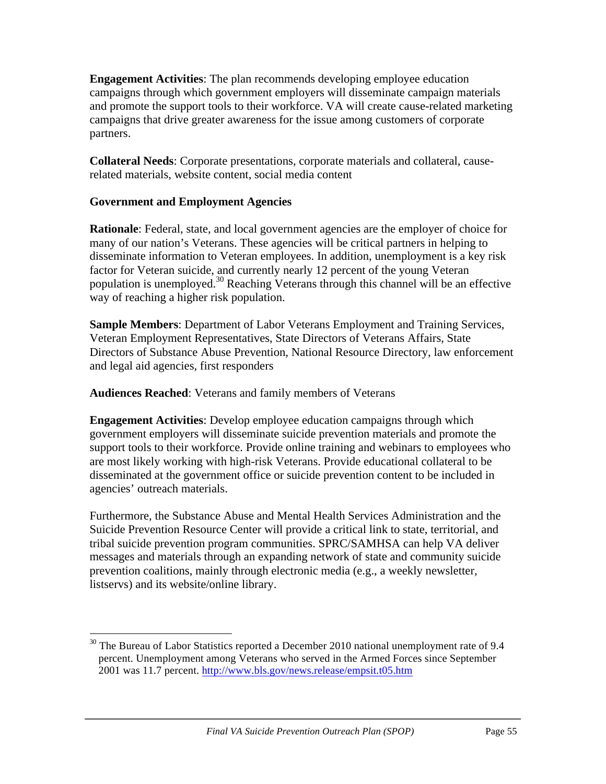**Engagement Activities**: The plan recommends developing employee education campaigns through which government employers will disseminate campaign materials and promote the support tools to their workforce. VA will create cause-related marketing campaigns that drive greater awareness for the issue among customers of corporate partners.

**Collateral Needs**: Corporate presentations, corporate materials and collateral, causerelated materials, website content, social media content

## **Government and Employment Agencies**

**Rationale**: Federal, state, and local government agencies are the employer of choice for many of our nation's Veterans. These agencies will be critical partners in helping to disseminate information to Veteran employees. In addition, unemployment is a key risk factor for Veteran suicide, and currently nearly 12 percent of the young Veteran population is unemployed. <sup>30</sup> Reaching Veterans through this channel will be an effective way of reaching a higher risk population.

**Sample Members**: Department of Labor Veterans Employment and Training Services, Veteran Employment Representatives, State Directors of Veterans Affairs, State Directors of Substance Abuse Prevention, National Resource Directory, law enforcement and legal aid agencies, first responders

**Audiences Reached**: Veterans and family members of Veterans

**Engagement Activities**: Develop employee education campaigns through which government employers will disseminate suicide prevention materials and promote the support tools to their workforce. Provide online training and webinars to employees who are most likely working with high-risk Veterans. Provide educational collateral to be disseminated at the government office or suicide prevention content to be included in agencies' outreach materials.

Furthermore, the Substance Abuse and Mental Health Services Administration and the Suicide Prevention Resource Center will provide a critical link to state, territorial, and tribal suicide prevention program communities. SPRC/SAMHSA can help VA deliver messages and materials through an expanding network of state and community suicide prevention coalitions, mainly through electronic media (e.g., a weekly newsletter, listservs) and its website/online library.

  $30$  The Bureau of Labor Statistics reported a December 2010 national unemployment rate of 9.4 percent. Unemployment among Veterans who served in the Armed Forces since September 2001 was 11.7 percent. http://www.bls.gov/news.release/empsit.t05.htm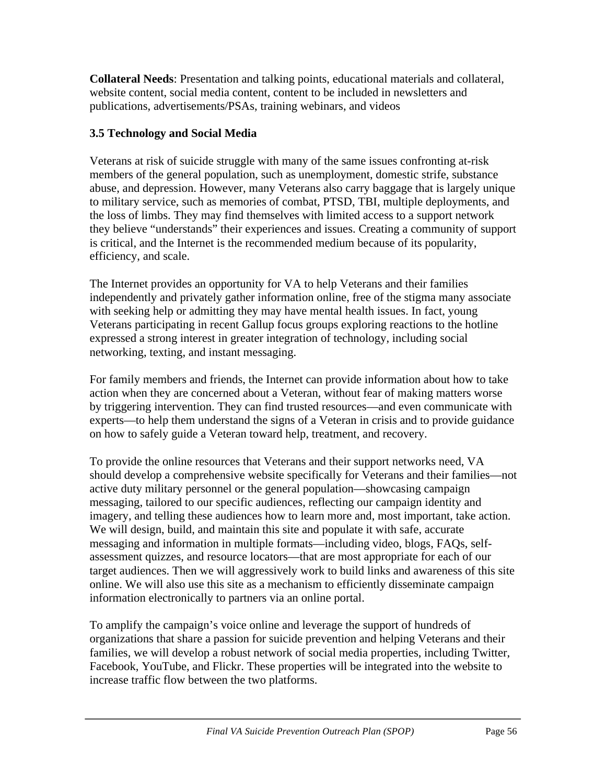**Collateral Needs**: Presentation and talking points, educational materials and collateral, website content, social media content, content to be included in newsletters and publications, advertisements/PSAs, training webinars, and videos

# **3.5 Technology and Social Media**

Veterans at risk of suicide struggle with many of the same issues confronting at-risk members of the general population, such as unemployment, domestic strife, substance abuse, and depression. However, many Veterans also carry baggage that is largely unique to military service, such as memories of combat, PTSD, TBI, multiple deployments, and the loss of limbs. They may find themselves with limited access to a support network they believe "understands" their experiences and issues. Creating a community of support is critical, and the Internet is the recommended medium because of its popularity, efficiency, and scale.

The Internet provides an opportunity for VA to help Veterans and their families independently and privately gather information online, free of the stigma many associate with seeking help or admitting they may have mental health issues. In fact, young Veterans participating in recent Gallup focus groups exploring reactions to the hotline expressed a strong interest in greater integration of technology, including social networking, texting, and instant messaging.

For family members and friends, the Internet can provide information about how to take action when they are concerned about a Veteran, without fear of making matters worse by triggering intervention. They can find trusted resources—and even communicate with experts—to help them understand the signs of a Veteran in crisis and to provide guidance on how to safely guide a Veteran toward help, treatment, and recovery.

To provide the online resources that Veterans and their support networks need, VA should develop a comprehensive website specifically for Veterans and their families—not active duty military personnel or the general population—showcasing campaign messaging, tailored to our specific audiences, reflecting our campaign identity and imagery, and telling these audiences how to learn more and, most important, take action. We will design, build, and maintain this site and populate it with safe, accurate messaging and information in multiple formats—including video, blogs, FAQs, selfassessment quizzes, and resource locators—that are most appropriate for each of our target audiences. Then we will aggressively work to build links and awareness of this site online. We will also use this site as a mechanism to efficiently disseminate campaign information electronically to partners via an online portal.

To amplify the campaign's voice online and leverage the support of hundreds of organizations that share a passion for suicide prevention and helping Veterans and their families, we will develop a robust network of social media properties, including Twitter, Facebook, YouTube, and Flickr. These properties will be integrated into the website to increase traffic flow between the two platforms.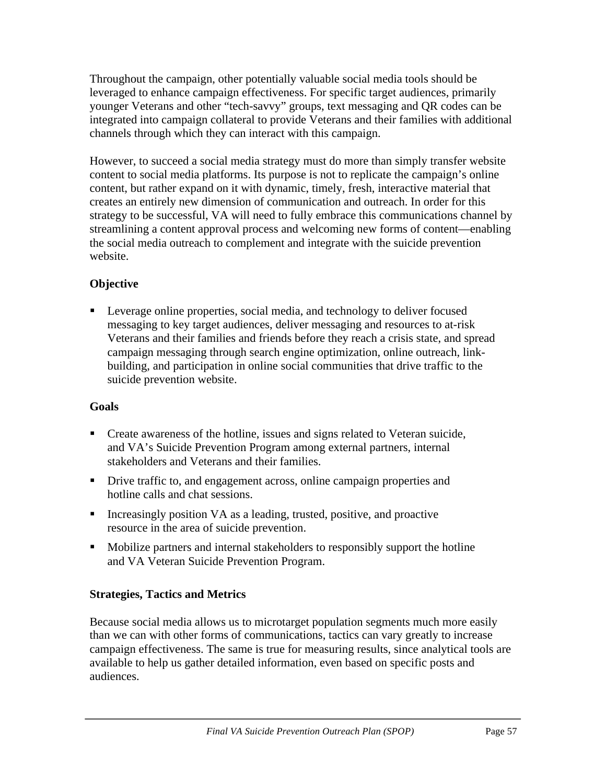Throughout the campaign, other potentially valuable social media tools should be leveraged to enhance campaign effectiveness. For specific target audiences, primarily younger Veterans and other "tech-savvy" groups, text messaging and QR codes can be integrated into campaign collateral to provide Veterans and their families with additional channels through which they can interact with this campaign.

However, to succeed a social media strategy must do more than simply transfer website content to social media platforms. Its purpose is not to replicate the campaign's online content, but rather expand on it with dynamic, timely, fresh, interactive material that creates an entirely new dimension of communication and outreach. In order for this strategy to be successful, VA will need to fully embrace this communications channel by streamlining a content approval process and welcoming new forms of content—enabling the social media outreach to complement and integrate with the suicide prevention website.

# **Objective**

 Leverage online properties, social media, and technology to deliver focused messaging to key target audiences, deliver messaging and resources to at-risk Veterans and their families and friends before they reach a crisis state, and spread campaign messaging through search engine optimization, online outreach, linkbuilding, and participation in online social communities that drive traffic to the suicide prevention website.

## **Goals**

- Create awareness of the hotline, issues and signs related to Veteran suicide, and VA's Suicide Prevention Program among external partners, internal stakeholders and Veterans and their families.
- Drive traffic to, and engagement across, online campaign properties and hotline calls and chat sessions.
- Increasingly position VA as a leading, trusted, positive, and proactive resource in the area of suicide prevention.
- Mobilize partners and internal stakeholders to responsibly support the hotline and VA Veteran Suicide Prevention Program.

# **Strategies, Tactics and Metrics**

Because social media allows us to microtarget population segments much more easily than we can with other forms of communications, tactics can vary greatly to increase campaign effectiveness. The same is true for measuring results, since analytical tools are available to help us gather detailed information, even based on specific posts and audiences.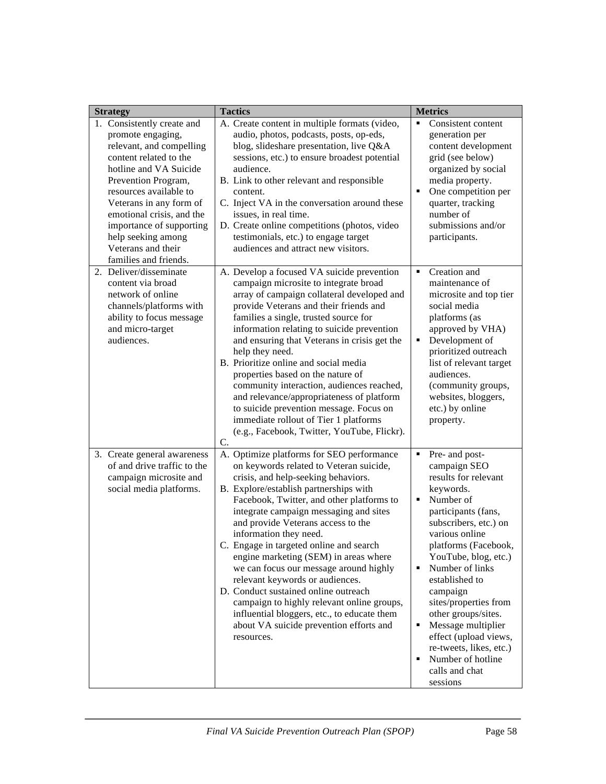| <b>Strategy</b>                                                                                                                                                                                                                                                                                                                           | <b>Tactics</b>                                                                                                                                                                                                                                                                                                                                                                                                                                                                                                                                                                                                                                                                              | <b>Metrics</b>                                                                                                                                                                                                                                                                                                                                                                                                                                                    |
|-------------------------------------------------------------------------------------------------------------------------------------------------------------------------------------------------------------------------------------------------------------------------------------------------------------------------------------------|---------------------------------------------------------------------------------------------------------------------------------------------------------------------------------------------------------------------------------------------------------------------------------------------------------------------------------------------------------------------------------------------------------------------------------------------------------------------------------------------------------------------------------------------------------------------------------------------------------------------------------------------------------------------------------------------|-------------------------------------------------------------------------------------------------------------------------------------------------------------------------------------------------------------------------------------------------------------------------------------------------------------------------------------------------------------------------------------------------------------------------------------------------------------------|
| 1. Consistently create and<br>promote engaging,<br>relevant, and compelling<br>content related to the<br>hotline and VA Suicide<br>Prevention Program,<br>resources available to<br>Veterans in any form of<br>emotional crisis, and the<br>importance of supporting<br>help seeking among<br>Veterans and their<br>families and friends. | A. Create content in multiple formats (video,<br>audio, photos, podcasts, posts, op-eds,<br>blog, slideshare presentation, live Q&A<br>sessions, etc.) to ensure broadest potential<br>audience.<br>B. Link to other relevant and responsible<br>content.<br>C. Inject VA in the conversation around these<br>issues, in real time.<br>D. Create online competitions (photos, video<br>testimonials, etc.) to engage target<br>audiences and attract new visitors.                                                                                                                                                                                                                          | Consistent content<br>٠<br>generation per<br>content development<br>grid (see below)<br>organized by social<br>media property.<br>One competition per<br>$\blacksquare$<br>quarter, tracking<br>number of<br>submissions and/or<br>participants.                                                                                                                                                                                                                  |
| 2. Deliver/disseminate<br>content via broad<br>network of online<br>channels/platforms with<br>ability to focus message<br>and micro-target<br>audiences.                                                                                                                                                                                 | A. Develop a focused VA suicide prevention<br>campaign microsite to integrate broad<br>array of campaign collateral developed and<br>provide Veterans and their friends and<br>families a single, trusted source for<br>information relating to suicide prevention<br>and ensuring that Veterans in crisis get the<br>help they need.<br>B. Prioritize online and social media<br>properties based on the nature of<br>community interaction, audiences reached,<br>and relevance/appropriateness of platform<br>to suicide prevention message. Focus on<br>immediate rollout of Tier 1 platforms<br>(e.g., Facebook, Twitter, YouTube, Flickr).<br>C.                                      | Creation and<br>٠<br>maintenance of<br>microsite and top tier<br>social media<br>platforms (as<br>approved by VHA)<br>٠<br>Development of<br>prioritized outreach<br>list of relevant target<br>audiences.<br>(community groups,<br>websites, bloggers,<br>etc.) by online<br>property.                                                                                                                                                                           |
| 3. Create general awareness<br>of and drive traffic to the<br>campaign microsite and<br>social media platforms.                                                                                                                                                                                                                           | A. Optimize platforms for SEO performance<br>on keywords related to Veteran suicide,<br>crisis, and help-seeking behaviors.<br>B. Explore/establish partnerships with<br>Facebook, Twitter, and other platforms to<br>integrate campaign messaging and sites<br>and provide Veterans access to the<br>information they need.<br>C. Engage in targeted online and search<br>engine marketing (SEM) in areas where<br>we can focus our message around highly<br>relevant keywords or audiences.<br>D. Conduct sustained online outreach<br>campaign to highly relevant online groups,<br>influential bloggers, etc., to educate them<br>about VA suicide prevention efforts and<br>resources. | Pre- and post-<br>campaign SEO<br>results for relevant<br>keywords.<br>Number of<br>$\blacksquare$<br>participants (fans,<br>subscribers, etc.) on<br>various online<br>platforms (Facebook,<br>YouTube, blog, etc.)<br>Number of links<br>٠<br>established to<br>campaign<br>sites/properties from<br>other groups/sites.<br>Message multiplier<br>٠<br>effect (upload views,<br>re-tweets, likes, etc.)<br>Number of hotline<br>٠<br>calls and chat<br>sessions |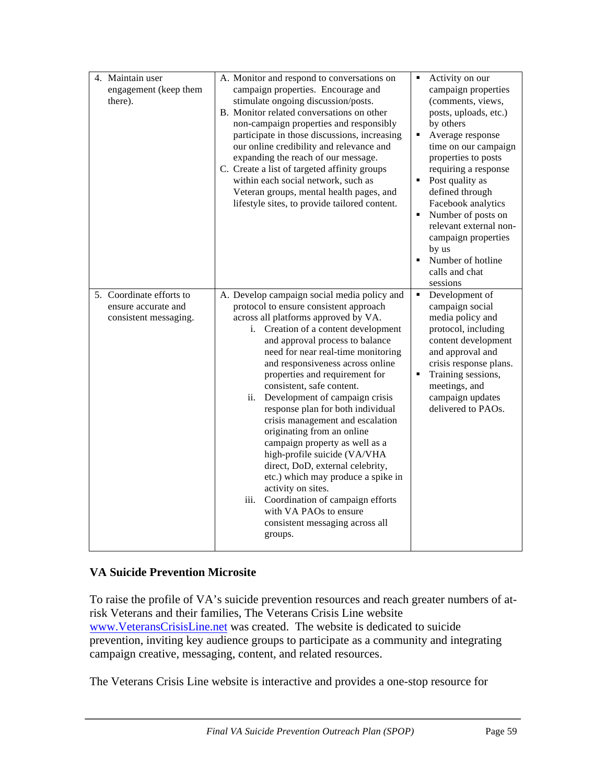| 4. Maintain user<br>engagement (keep them<br>there).                     | A. Monitor and respond to conversations on<br>campaign properties. Encourage and<br>stimulate ongoing discussion/posts.<br>B. Monitor related conversations on other<br>non-campaign properties and responsibly<br>participate in those discussions, increasing<br>our online credibility and relevance and<br>expanding the reach of our message.<br>C. Create a list of targeted affinity groups<br>within each social network, such as<br>Veteran groups, mental health pages, and<br>lifestyle sites, to provide tailored content.                                                                                                                                                                                                                                                  | $\blacksquare$<br>٠<br>$\blacksquare$<br>$\blacksquare$ | Activity on our<br>campaign properties<br>(comments, views,<br>posts, uploads, etc.)<br>by others<br>Average response<br>time on our campaign<br>properties to posts<br>requiring a response<br>Post quality as<br>defined through<br>Facebook analytics<br>Number of posts on<br>relevant external non-<br>campaign properties<br>by us<br>Number of hotline<br>calls and chat<br>sessions |
|--------------------------------------------------------------------------|-----------------------------------------------------------------------------------------------------------------------------------------------------------------------------------------------------------------------------------------------------------------------------------------------------------------------------------------------------------------------------------------------------------------------------------------------------------------------------------------------------------------------------------------------------------------------------------------------------------------------------------------------------------------------------------------------------------------------------------------------------------------------------------------|---------------------------------------------------------|---------------------------------------------------------------------------------------------------------------------------------------------------------------------------------------------------------------------------------------------------------------------------------------------------------------------------------------------------------------------------------------------|
| 5. Coordinate efforts to<br>ensure accurate and<br>consistent messaging. | A. Develop campaign social media policy and<br>protocol to ensure consistent approach<br>across all platforms approved by VA.<br>i. Creation of a content development<br>and approval process to balance<br>need for near real-time monitoring<br>and responsiveness across online<br>properties and requirement for<br>consistent, safe content.<br>Development of campaign crisis<br>ii.<br>response plan for both individual<br>crisis management and escalation<br>originating from an online<br>campaign property as well as a<br>high-profile suicide (VA/VHA<br>direct, DoD, external celebrity,<br>etc.) which may produce a spike in<br>activity on sites.<br>Coordination of campaign efforts<br>iii.<br>with VA PAOs to ensure<br>consistent messaging across all<br>groups. | $\blacksquare$<br>$\blacksquare$                        | Development of<br>campaign social<br>media policy and<br>protocol, including<br>content development<br>and approval and<br>crisis response plans.<br>Training sessions,<br>meetings, and<br>campaign updates<br>delivered to PAOs.                                                                                                                                                          |

## **VA Suicide Prevention Microsite**

To raise the profile of VA's suicide prevention resources and reach greater numbers of atrisk Veterans and their families, The Veterans Crisis Line website www.VeteransCrisisLine.net was created. The website is dedicated to suicide prevention, inviting key audience groups to participate as a community and integrating campaign creative, messaging, content, and related resources.

The Veterans Crisis Line website is interactive and provides a one-stop resource for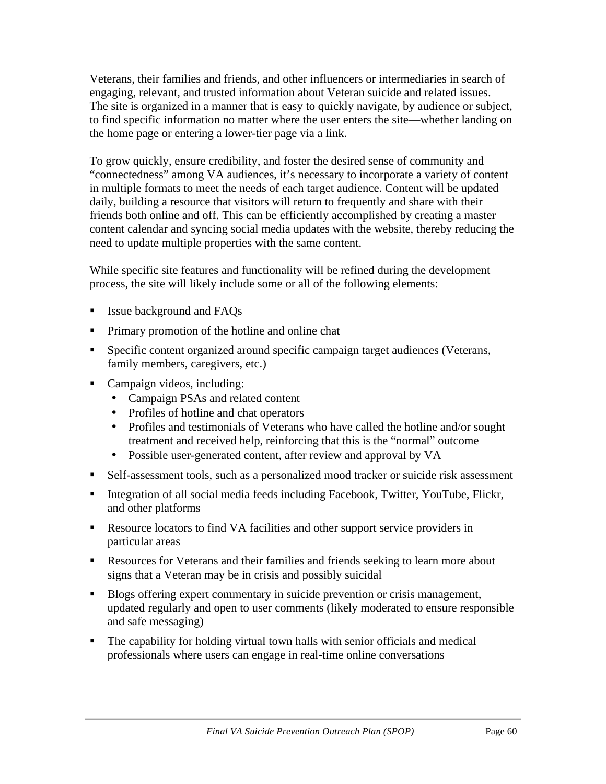Veterans, their families and friends, and other influencers or intermediaries in search of engaging, relevant, and trusted information about Veteran suicide and related issues. The site is organized in a manner that is easy to quickly navigate, by audience or subject, to find specific information no matter where the user enters the site—whether landing on the home page or entering a lower-tier page via a link.

To grow quickly, ensure credibility, and foster the desired sense of community and "connectedness" among VA audiences, it's necessary to incorporate a variety of content in multiple formats to meet the needs of each target audience. Content will be updated daily, building a resource that visitors will return to frequently and share with their friends both online and off. This can be efficiently accomplished by creating a master content calendar and syncing social media updates with the website, thereby reducing the need to update multiple properties with the same content.

While specific site features and functionality will be refined during the development process, the site will likely include some or all of the following elements:

- Issue background and FAQs
- Primary promotion of the hotline and online chat
- Specific content organized around specific campaign target audiences (Veterans, family members, caregivers, etc.)
- Campaign videos, including:
	- Campaign PSAs and related content
	- Profiles of hotline and chat operators
	- Profiles and testimonials of Veterans who have called the hotline and/or sought treatment and received help, reinforcing that this is the "normal" outcome
	- Possible user-generated content, after review and approval by VA
- Self-assessment tools, such as a personalized mood tracker or suicide risk assessment
- Integration of all social media feeds including Facebook, Twitter, YouTube, Flickr, and other platforms
- Resource locators to find VA facilities and other support service providers in particular areas
- Resources for Veterans and their families and friends seeking to learn more about signs that a Veteran may be in crisis and possibly suicidal
- Blogs offering expert commentary in suicide prevention or crisis management, updated regularly and open to user comments (likely moderated to ensure responsible and safe messaging)
- The capability for holding virtual town halls with senior officials and medical professionals where users can engage in real-time online conversations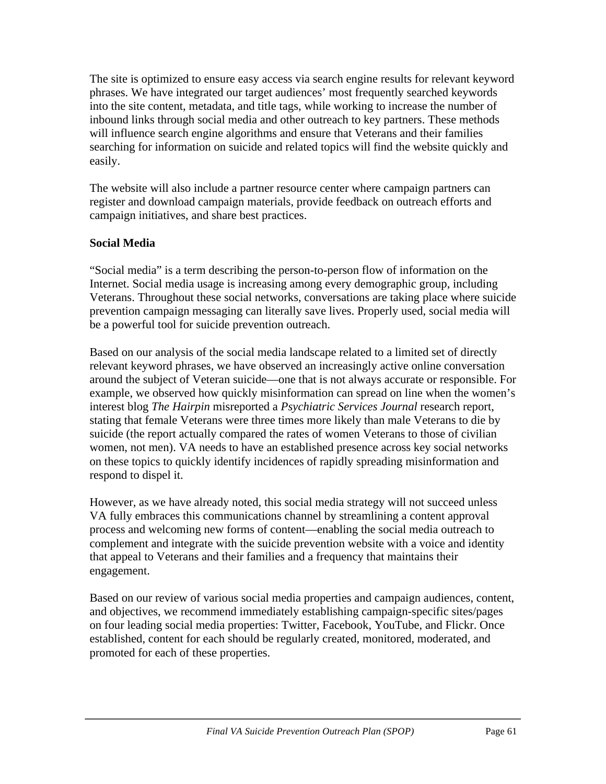The site is optimized to ensure easy access via search engine results for relevant keyword phrases. We have integrated our target audiences' most frequently searched keywords into the site content, metadata, and title tags, while working to increase the number of inbound links through social media and other outreach to key partners. These methods will influence search engine algorithms and ensure that Veterans and their families searching for information on suicide and related topics will find the website quickly and easily.

The website will also include a partner resource center where campaign partners can register and download campaign materials, provide feedback on outreach efforts and campaign initiatives, and share best practices.

## **Social Media**

"Social media" is a term describing the person-to-person flow of information on the Internet. Social media usage is increasing among every demographic group, including Veterans. Throughout these social networks, conversations are taking place where suicide prevention campaign messaging can literally save lives. Properly used, social media will be a powerful tool for suicide prevention outreach.

Based on our analysis of the social media landscape related to a limited set of directly relevant keyword phrases, we have observed an increasingly active online conversation around the subject of Veteran suicide—one that is not always accurate or responsible. For example, we observed how quickly misinformation can spread on line when the women's interest blog *The Hairpin* misreported a *Psychiatric Services Journal* research report, stating that female Veterans were three times more likely than male Veterans to die by suicide (the report actually compared the rates of women Veterans to those of civilian women, not men). VA needs to have an established presence across key social networks on these topics to quickly identify incidences of rapidly spreading misinformation and respond to dispel it.

However, as we have already noted, this social media strategy will not succeed unless VA fully embraces this communications channel by streamlining a content approval process and welcoming new forms of content—enabling the social media outreach to complement and integrate with the suicide prevention website with a voice and identity that appeal to Veterans and their families and a frequency that maintains their engagement.

Based on our review of various social media properties and campaign audiences, content, and objectives, we recommend immediately establishing campaign-specific sites/pages on four leading social media properties: Twitter, Facebook, YouTube, and Flickr. Once established, content for each should be regularly created, monitored, moderated, and promoted for each of these properties.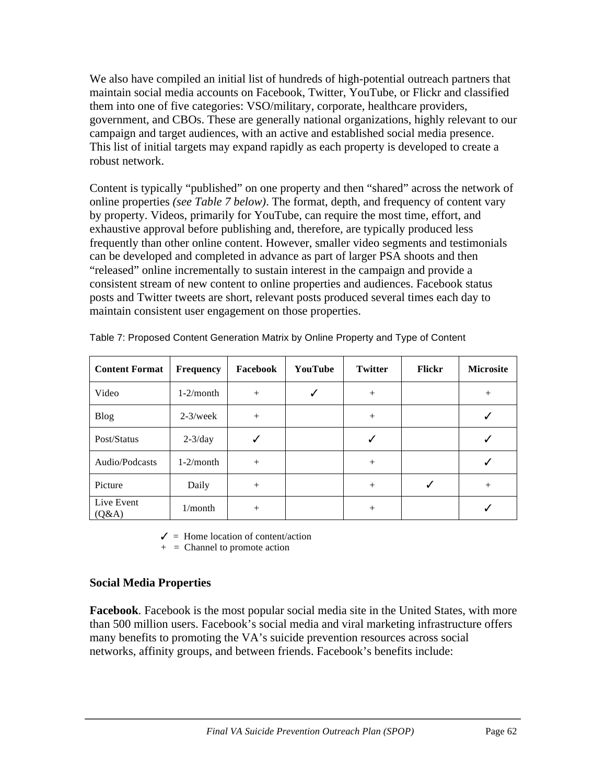We also have compiled an initial list of hundreds of high-potential outreach partners that maintain social media accounts on Facebook, Twitter, YouTube, or Flickr and classified them into one of five categories: VSO/military, corporate, healthcare providers, government, and CBOs. These are generally national organizations, highly relevant to our campaign and target audiences, with an active and established social media presence. This list of initial targets may expand rapidly as each property is developed to create a robust network.

Content is typically "published" on one property and then "shared" across the network of online properties *(see Table 7 below)*. The format, depth, and frequency of content vary by property. Videos, primarily for YouTube, can require the most time, effort, and exhaustive approval before publishing and, therefore, are typically produced less frequently than other online content. However, smaller video segments and testimonials can be developed and completed in advance as part of larger PSA shoots and then "released" online incrementally to sustain interest in the campaign and provide a consistent stream of new content to online properties and audiences. Facebook status posts and Twitter tweets are short, relevant posts produced several times each day to maintain consistent user engagement on those properties.

| <b>Content Format</b> | <b>Frequency</b> | Facebook | YouTube | <b>Twitter</b> | <b>Flickr</b> | <b>Microsite</b> |
|-----------------------|------------------|----------|---------|----------------|---------------|------------------|
| Video                 | $1-2/m$ onth     | $+$      |         | $^{+}$         |               | $^{+}$           |
| <b>Blog</b>           | $2-3$ /week      | $+$      |         | $+$            |               |                  |
| Post/Status           | $2-3/day$        |          |         |                |               |                  |
| Audio/Podcasts        | $1-2/m$ onth     | $+$      |         | $^{+}$         |               |                  |
| Picture               | Daily            | $+$      |         | $+$            |               | $^{+}$           |
| Live Event<br>(Q&A)   | $1/m$ onth       | $^{+}$   |         | $+$            |               |                  |

| Table 7: Proposed Content Generation Matrix by Online Property and Type of Content |  |  |
|------------------------------------------------------------------------------------|--|--|
|                                                                                    |  |  |

 $\checkmark$  = Home location of content/action

 $+$  = Channel to promote action

#### **Social Media Properties**

**Facebook**. Facebook is the most popular social media site in the United States, with more than 500 million users. Facebook's social media and viral marketing infrastructure offers many benefits to promoting the VA's suicide prevention resources across social networks, affinity groups, and between friends. Facebook's benefits include: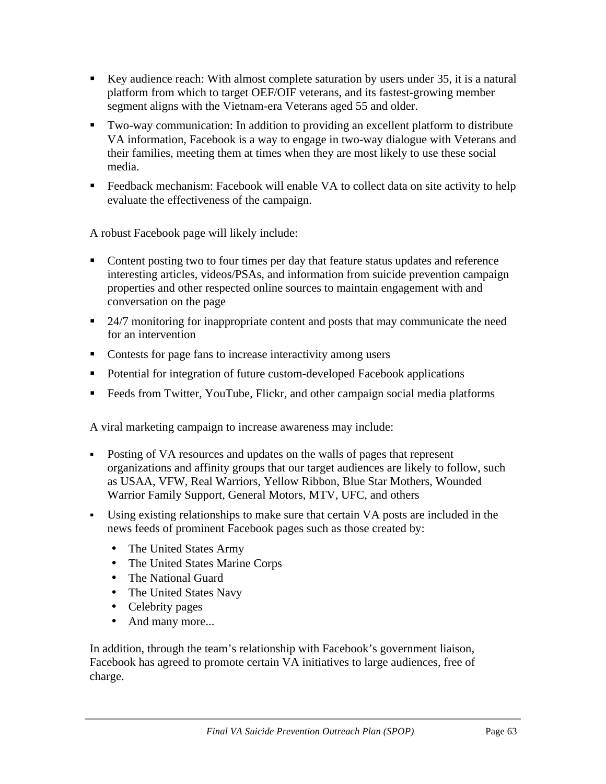- Key audience reach: With almost complete saturation by users under 35, it is a natural platform from which to target OEF/OIF veterans, and its fastest-growing member segment aligns with the Vietnam-era Veterans aged 55 and older.
- Two-way communication: In addition to providing an excellent platform to distribute VA information, Facebook is a way to engage in two-way dialogue with Veterans and their families, meeting them at times when they are most likely to use these social media.
- Feedback mechanism: Facebook will enable VA to collect data on site activity to help evaluate the effectiveness of the campaign.

A robust Facebook page will likely include:

- Content posting two to four times per day that feature status updates and reference interesting articles, videos/PSAs, and information from suicide prevention campaign properties and other respected online sources to maintain engagement with and conversation on the page
- <sup>24/7</sup> monitoring for inappropriate content and posts that may communicate the need for an intervention
- Contests for page fans to increase interactivity among users
- Potential for integration of future custom-developed Facebook applications
- Feeds from Twitter, YouTube, Flickr, and other campaign social media platforms

A viral marketing campaign to increase awareness may include:

- Posting of VA resources and updates on the walls of pages that represent organizations and affinity groups that our target audiences are likely to follow, such as USAA, VFW, Real Warriors, Yellow Ribbon, Blue Star Mothers, Wounded Warrior Family Support, General Motors, MTV, UFC, and others
- Using existing relationships to make sure that certain VA posts are included in the news feeds of prominent Facebook pages such as those created by:
	- The United States Army
	- The United States Marine Corps
	- The National Guard
	- The United States Navy
	- Celebrity pages
	- And many more...

In addition, through the team's relationship with Facebook's government liaison, Facebook has agreed to promote certain VA initiatives to large audiences, free of charge.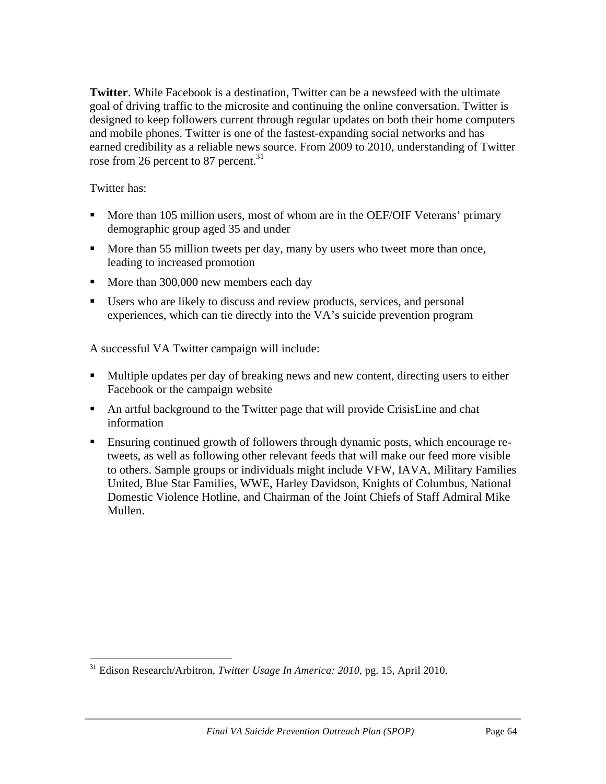**Twitter**. While Facebook is a destination, Twitter can be a newsfeed with the ultimate goal of driving traffic to the microsite and continuing the online conversation. Twitter is designed to keep followers current through regular updates on both their home computers and mobile phones. Twitter is one of the fastest-expanding social networks and has earned credibility as a reliable news source. From 2009 to 2010, understanding of Twitter rose from 26 percent to 87 percent.<sup>31</sup>

Twitter has:

- More than 105 million users, most of whom are in the OEF/OIF Veterans' primary demographic group aged 35 and under
- More than 55 million tweets per day, many by users who tweet more than once, leading to increased promotion
- More than 300,000 new members each day
- Users who are likely to discuss and review products, services, and personal experiences, which can tie directly into the VA's suicide prevention program

A successful VA Twitter campaign will include:

- Multiple updates per day of breaking news and new content, directing users to either Facebook or the campaign website
- An artful background to the Twitter page that will provide CrisisLine and chat information
- Ensuring continued growth of followers through dynamic posts, which encourage retweets, as well as following other relevant feeds that will make our feed more visible to others. Sample groups or individuals might include VFW, IAVA, Military Families United, Blue Star Families, WWE, Harley Davidson, Knights of Columbus, National Domestic Violence Hotline, and Chairman of the Joint Chiefs of Staff Admiral Mike Mullen.

 <sup>31</sup> Edison Research/Arbitron, *Twitter Usage In America: 2010*, pg. 15, April 2010.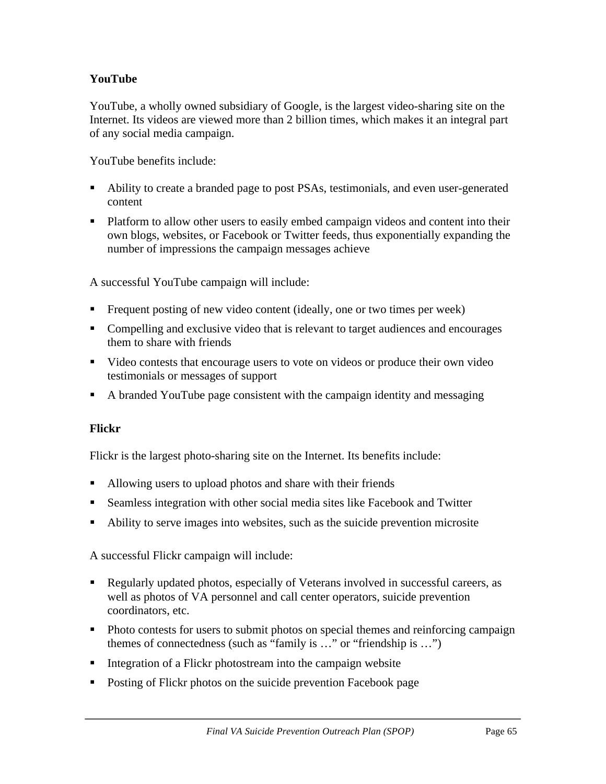# **YouTube**

YouTube, a wholly owned subsidiary of Google, is the largest video-sharing site on the Internet. Its videos are viewed more than 2 billion times, which makes it an integral part of any social media campaign.

YouTube benefits include:

- Ability to create a branded page to post PSAs, testimonials, and even user-generated content
- Platform to allow other users to easily embed campaign videos and content into their own blogs, websites, or Facebook or Twitter feeds, thus exponentially expanding the number of impressions the campaign messages achieve

A successful YouTube campaign will include:

- Frequent posting of new video content (ideally, one or two times per week)
- Compelling and exclusive video that is relevant to target audiences and encourages them to share with friends
- video contests that encourage users to vote on videos or produce their own video testimonials or messages of support
- A branded YouTube page consistent with the campaign identity and messaging

#### **Flickr**

Flickr is the largest photo-sharing site on the Internet. Its benefits include:

- Allowing users to upload photos and share with their friends
- Seamless integration with other social media sites like Facebook and Twitter
- Ability to serve images into websites, such as the suicide prevention microsite

A successful Flickr campaign will include:

- Regularly updated photos, especially of Veterans involved in successful careers, as well as photos of VA personnel and call center operators, suicide prevention coordinators, etc.
- Photo contests for users to submit photos on special themes and reinforcing campaign themes of connectedness (such as "family is …" or "friendship is …")
- **Integration of a Flickr photostream into the campaign website**
- **Posting of Flickr photos on the suicide prevention Facebook page**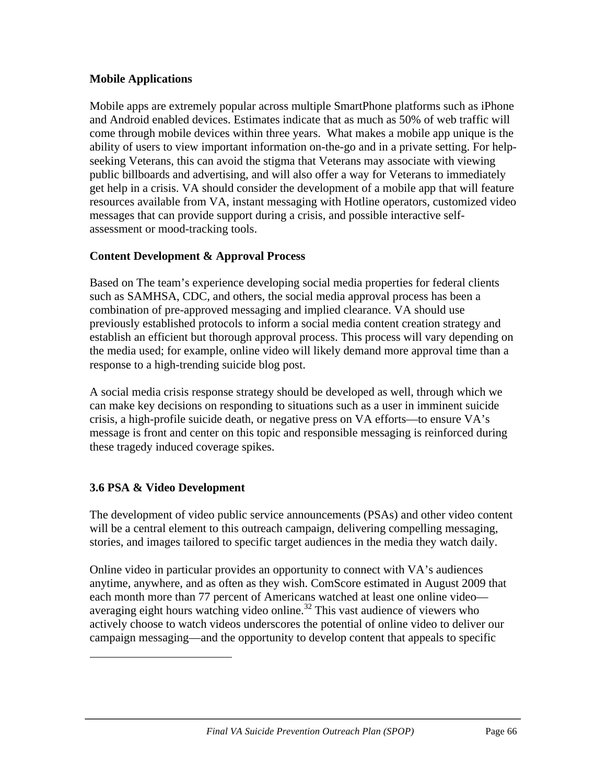### **Mobile Applications**

Mobile apps are extremely popular across multiple SmartPhone platforms such as iPhone and Android enabled devices. Estimates indicate that as much as 50% of web traffic will come through mobile devices within three years. What makes a mobile app unique is the ability of users to view important information on-the-go and in a private setting. For helpseeking Veterans, this can avoid the stigma that Veterans may associate with viewing public billboards and advertising, and will also offer a way for Veterans to immediately get help in a crisis. VA should consider the development of a mobile app that will feature resources available from VA, instant messaging with Hotline operators, customized video messages that can provide support during a crisis, and possible interactive selfassessment or mood-tracking tools.

# **Content Development & Approval Process**

Based on The team's experience developing social media properties for federal clients such as SAMHSA, CDC, and others, the social media approval process has been a combination of pre-approved messaging and implied clearance. VA should use previously established protocols to inform a social media content creation strategy and establish an efficient but thorough approval process. This process will vary depending on the media used; for example, online video will likely demand more approval time than a response to a high-trending suicide blog post.

A social media crisis response strategy should be developed as well, through which we can make key decisions on responding to situations such as a user in imminent suicide crisis, a high-profile suicide death, or negative press on VA efforts—to ensure VA's message is front and center on this topic and responsible messaging is reinforced during these tragedy induced coverage spikes.

# **3.6 PSA & Video Development**

 

The development of video public service announcements (PSAs) and other video content will be a central element to this outreach campaign, delivering compelling messaging, stories, and images tailored to specific target audiences in the media they watch daily.

Online video in particular provides an opportunity to connect with VA's audiences anytime, anywhere, and as often as they wish. ComScore estimated in August 2009 that each month more than 77 percent of Americans watched at least one online video averaging eight hours watching video online.<sup>32</sup> This vast audience of viewers who actively choose to watch videos underscores the potential of online video to deliver our campaign messaging—and the opportunity to develop content that appeals to specific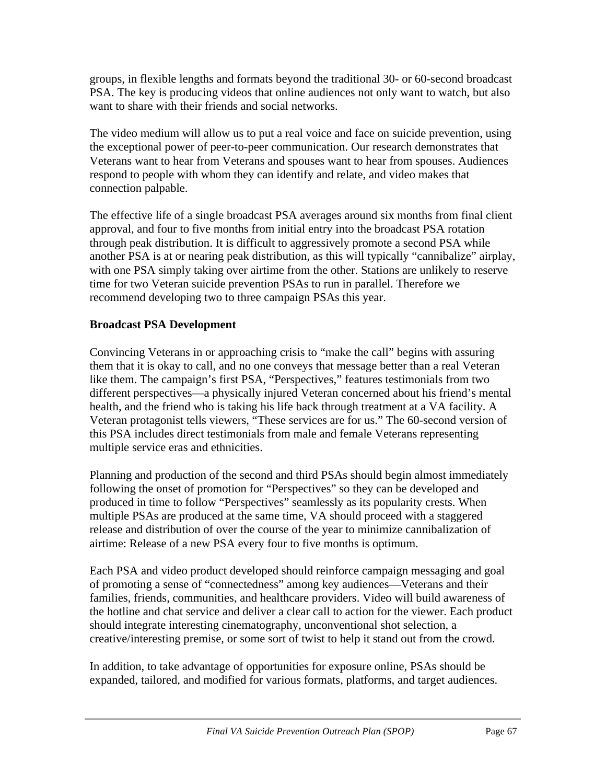groups, in flexible lengths and formats beyond the traditional 30- or 60-second broadcast PSA. The key is producing videos that online audiences not only want to watch, but also want to share with their friends and social networks.

The video medium will allow us to put a real voice and face on suicide prevention, using the exceptional power of peer-to-peer communication. Our research demonstrates that Veterans want to hear from Veterans and spouses want to hear from spouses. Audiences respond to people with whom they can identify and relate, and video makes that connection palpable.

The effective life of a single broadcast PSA averages around six months from final client approval, and four to five months from initial entry into the broadcast PSA rotation through peak distribution. It is difficult to aggressively promote a second PSA while another PSA is at or nearing peak distribution, as this will typically "cannibalize" airplay, with one PSA simply taking over airtime from the other. Stations are unlikely to reserve time for two Veteran suicide prevention PSAs to run in parallel. Therefore we recommend developing two to three campaign PSAs this year.

### **Broadcast PSA Development**

Convincing Veterans in or approaching crisis to "make the call" begins with assuring them that it is okay to call, and no one conveys that message better than a real Veteran like them. The campaign's first PSA, "Perspectives," features testimonials from two different perspectives—a physically injured Veteran concerned about his friend's mental health, and the friend who is taking his life back through treatment at a VA facility. A Veteran protagonist tells viewers, "These services are for us." The 60-second version of this PSA includes direct testimonials from male and female Veterans representing multiple service eras and ethnicities.

Planning and production of the second and third PSAs should begin almost immediately following the onset of promotion for "Perspectives" so they can be developed and produced in time to follow "Perspectives" seamlessly as its popularity crests. When multiple PSAs are produced at the same time, VA should proceed with a staggered release and distribution of over the course of the year to minimize cannibalization of airtime: Release of a new PSA every four to five months is optimum.

Each PSA and video product developed should reinforce campaign messaging and goal of promoting a sense of "connectedness" among key audiences—Veterans and their families, friends, communities, and healthcare providers. Video will build awareness of the hotline and chat service and deliver a clear call to action for the viewer. Each product should integrate interesting cinematography, unconventional shot selection, a creative/interesting premise, or some sort of twist to help it stand out from the crowd.

In addition, to take advantage of opportunities for exposure online, PSAs should be expanded, tailored, and modified for various formats, platforms, and target audiences.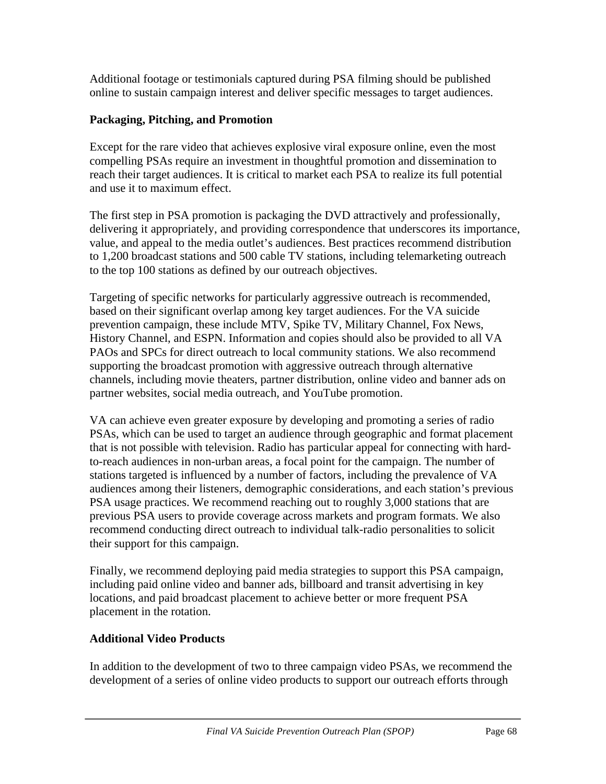Additional footage or testimonials captured during PSA filming should be published online to sustain campaign interest and deliver specific messages to target audiences.

## **Packaging, Pitching, and Promotion**

Except for the rare video that achieves explosive viral exposure online, even the most compelling PSAs require an investment in thoughtful promotion and dissemination to reach their target audiences. It is critical to market each PSA to realize its full potential and use it to maximum effect.

The first step in PSA promotion is packaging the DVD attractively and professionally, delivering it appropriately, and providing correspondence that underscores its importance, value, and appeal to the media outlet's audiences. Best practices recommend distribution to 1,200 broadcast stations and 500 cable TV stations, including telemarketing outreach to the top 100 stations as defined by our outreach objectives.

Targeting of specific networks for particularly aggressive outreach is recommended, based on their significant overlap among key target audiences. For the VA suicide prevention campaign, these include MTV, Spike TV, Military Channel, Fox News, History Channel, and ESPN. Information and copies should also be provided to all VA PAOs and SPCs for direct outreach to local community stations. We also recommend supporting the broadcast promotion with aggressive outreach through alternative channels, including movie theaters, partner distribution, online video and banner ads on partner websites, social media outreach, and YouTube promotion.

VA can achieve even greater exposure by developing and promoting a series of radio PSAs, which can be used to target an audience through geographic and format placement that is not possible with television. Radio has particular appeal for connecting with hardto-reach audiences in non-urban areas, a focal point for the campaign. The number of stations targeted is influenced by a number of factors, including the prevalence of VA audiences among their listeners, demographic considerations, and each station's previous PSA usage practices. We recommend reaching out to roughly 3,000 stations that are previous PSA users to provide coverage across markets and program formats. We also recommend conducting direct outreach to individual talk-radio personalities to solicit their support for this campaign.

Finally, we recommend deploying paid media strategies to support this PSA campaign, including paid online video and banner ads, billboard and transit advertising in key locations, and paid broadcast placement to achieve better or more frequent PSA placement in the rotation.

## **Additional Video Products**

In addition to the development of two to three campaign video PSAs, we recommend the development of a series of online video products to support our outreach efforts through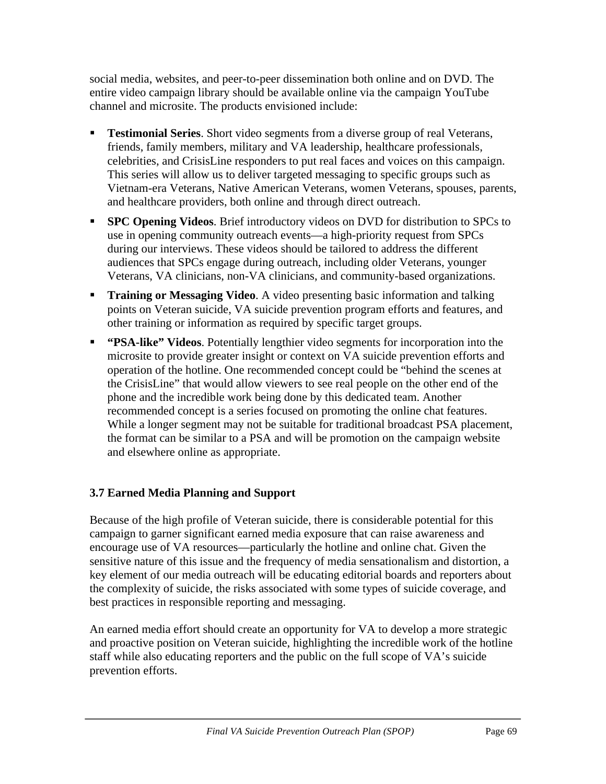social media, websites, and peer-to-peer dissemination both online and on DVD. The entire video campaign library should be available online via the campaign YouTube channel and microsite. The products envisioned include:

- **Testimonial Series**. Short video segments from a diverse group of real Veterans, friends, family members, military and VA leadership, healthcare professionals, celebrities, and CrisisLine responders to put real faces and voices on this campaign. This series will allow us to deliver targeted messaging to specific groups such as Vietnam-era Veterans, Native American Veterans, women Veterans, spouses, parents, and healthcare providers, both online and through direct outreach.
- **SPC Opening Videos**. Brief introductory videos on DVD for distribution to SPCs to use in opening community outreach events—a high-priority request from SPCs during our interviews. These videos should be tailored to address the different audiences that SPCs engage during outreach, including older Veterans, younger Veterans, VA clinicians, non-VA clinicians, and community-based organizations.
- **Training or Messaging Video.** A video presenting basic information and talking points on Veteran suicide, VA suicide prevention program efforts and features, and other training or information as required by specific target groups.
- **"PSA-like" Videos**. Potentially lengthier video segments for incorporation into the microsite to provide greater insight or context on VA suicide prevention efforts and operation of the hotline. One recommended concept could be "behind the scenes at the CrisisLine" that would allow viewers to see real people on the other end of the phone and the incredible work being done by this dedicated team. Another recommended concept is a series focused on promoting the online chat features. While a longer segment may not be suitable for traditional broadcast PSA placement, the format can be similar to a PSA and will be promotion on the campaign website and elsewhere online as appropriate.

# **3.7 Earned Media Planning and Support**

Because of the high profile of Veteran suicide, there is considerable potential for this campaign to garner significant earned media exposure that can raise awareness and encourage use of VA resources—particularly the hotline and online chat. Given the sensitive nature of this issue and the frequency of media sensationalism and distortion, a key element of our media outreach will be educating editorial boards and reporters about the complexity of suicide, the risks associated with some types of suicide coverage, and best practices in responsible reporting and messaging.

An earned media effort should create an opportunity for VA to develop a more strategic and proactive position on Veteran suicide, highlighting the incredible work of the hotline staff while also educating reporters and the public on the full scope of VA's suicide prevention efforts.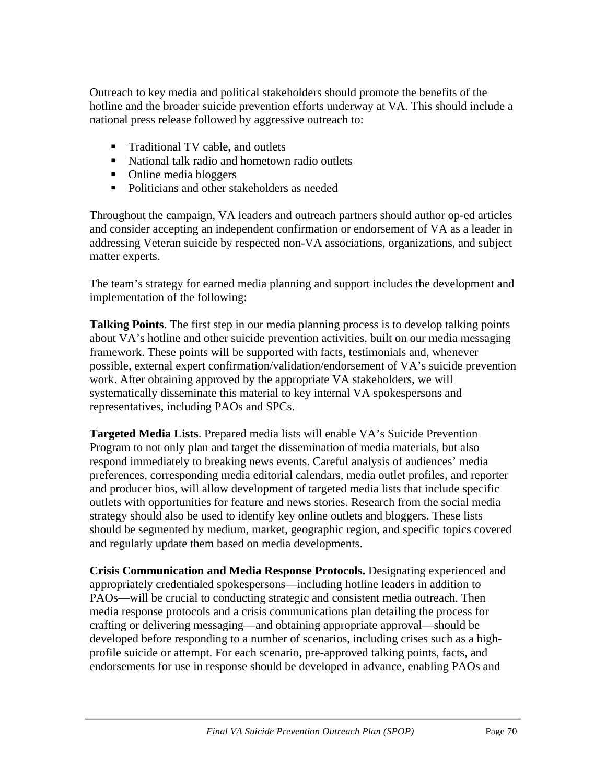Outreach to key media and political stakeholders should promote the benefits of the hotline and the broader suicide prevention efforts underway at VA. This should include a national press release followed by aggressive outreach to:

- Traditional TV cable, and outlets
- National talk radio and hometown radio outlets
- Online media bloggers
- Politicians and other stakeholders as needed

Throughout the campaign, VA leaders and outreach partners should author op-ed articles and consider accepting an independent confirmation or endorsement of VA as a leader in addressing Veteran suicide by respected non-VA associations, organizations, and subject matter experts.

The team's strategy for earned media planning and support includes the development and implementation of the following:

**Talking Points**. The first step in our media planning process is to develop talking points about VA's hotline and other suicide prevention activities, built on our media messaging framework. These points will be supported with facts, testimonials and, whenever possible, external expert confirmation/validation/endorsement of VA's suicide prevention work. After obtaining approved by the appropriate VA stakeholders, we will systematically disseminate this material to key internal VA spokespersons and representatives, including PAOs and SPCs.

**Targeted Media Lists**. Prepared media lists will enable VA's Suicide Prevention Program to not only plan and target the dissemination of media materials, but also respond immediately to breaking news events. Careful analysis of audiences' media preferences, corresponding media editorial calendars, media outlet profiles, and reporter and producer bios, will allow development of targeted media lists that include specific outlets with opportunities for feature and news stories. Research from the social media strategy should also be used to identify key online outlets and bloggers. These lists should be segmented by medium, market, geographic region, and specific topics covered and regularly update them based on media developments.

**Crisis Communication and Media Response Protocols.** Designating experienced and appropriately credentialed spokespersons—including hotline leaders in addition to PAOs—will be crucial to conducting strategic and consistent media outreach. Then media response protocols and a crisis communications plan detailing the process for crafting or delivering messaging—and obtaining appropriate approval—should be developed before responding to a number of scenarios, including crises such as a highprofile suicide or attempt. For each scenario, pre-approved talking points, facts, and endorsements for use in response should be developed in advance, enabling PAOs and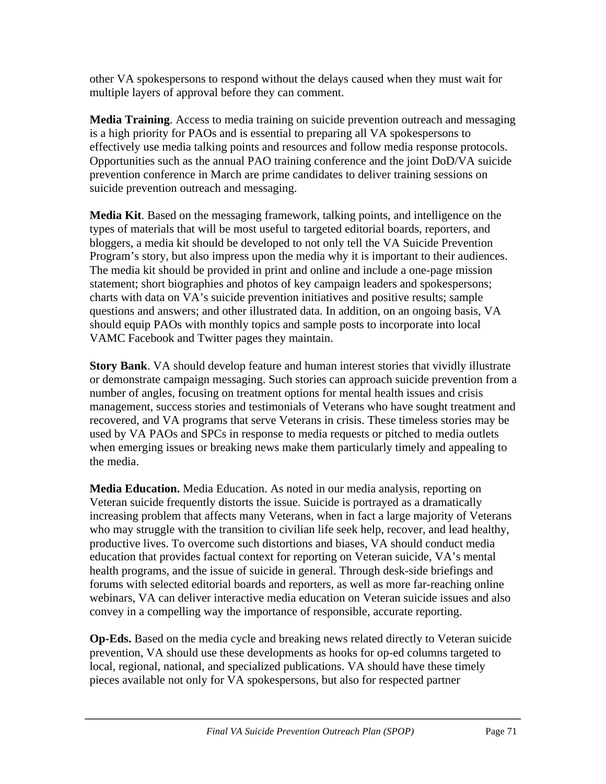other VA spokespersons to respond without the delays caused when they must wait for multiple layers of approval before they can comment.

**Media Training**. Access to media training on suicide prevention outreach and messaging is a high priority for PAOs and is essential to preparing all VA spokespersons to effectively use media talking points and resources and follow media response protocols. Opportunities such as the annual PAO training conference and the joint DoD/VA suicide prevention conference in March are prime candidates to deliver training sessions on suicide prevention outreach and messaging.

**Media Kit**. Based on the messaging framework, talking points, and intelligence on the types of materials that will be most useful to targeted editorial boards, reporters, and bloggers, a media kit should be developed to not only tell the VA Suicide Prevention Program's story, but also impress upon the media why it is important to their audiences. The media kit should be provided in print and online and include a one-page mission statement; short biographies and photos of key campaign leaders and spokespersons; charts with data on VA's suicide prevention initiatives and positive results; sample questions and answers; and other illustrated data. In addition, on an ongoing basis, VA should equip PAOs with monthly topics and sample posts to incorporate into local VAMC Facebook and Twitter pages they maintain.

**Story Bank**. VA should develop feature and human interest stories that vividly illustrate or demonstrate campaign messaging. Such stories can approach suicide prevention from a number of angles, focusing on treatment options for mental health issues and crisis management, success stories and testimonials of Veterans who have sought treatment and recovered, and VA programs that serve Veterans in crisis. These timeless stories may be used by VA PAOs and SPCs in response to media requests or pitched to media outlets when emerging issues or breaking news make them particularly timely and appealing to the media.

**Media Education.** Media Education. As noted in our media analysis, reporting on Veteran suicide frequently distorts the issue. Suicide is portrayed as a dramatically increasing problem that affects many Veterans, when in fact a large majority of Veterans who may struggle with the transition to civilian life seek help, recover, and lead healthy, productive lives. To overcome such distortions and biases, VA should conduct media education that provides factual context for reporting on Veteran suicide, VA's mental health programs, and the issue of suicide in general. Through desk-side briefings and forums with selected editorial boards and reporters, as well as more far-reaching online webinars, VA can deliver interactive media education on Veteran suicide issues and also convey in a compelling way the importance of responsible, accurate reporting.

**Op-Eds.** Based on the media cycle and breaking news related directly to Veteran suicide prevention, VA should use these developments as hooks for op-ed columns targeted to local, regional, national, and specialized publications. VA should have these timely pieces available not only for VA spokespersons, but also for respected partner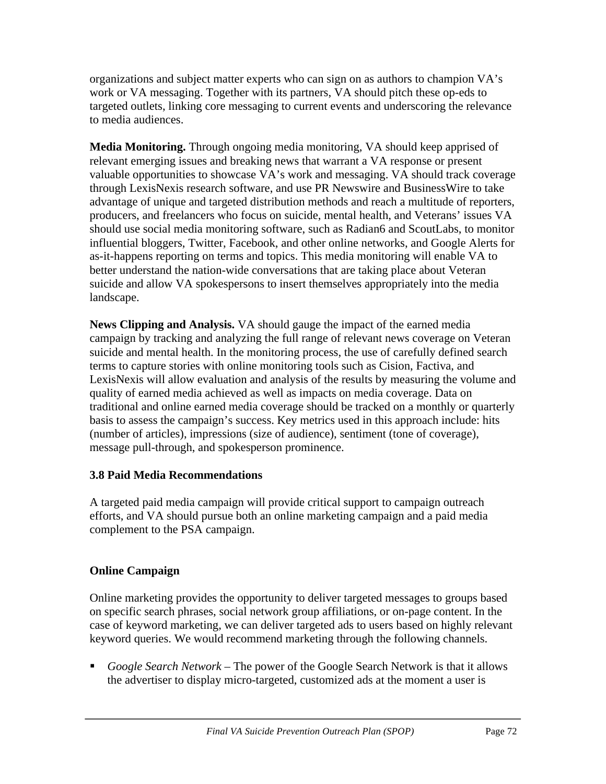organizations and subject matter experts who can sign on as authors to champion VA's work or VA messaging. Together with its partners, VA should pitch these op-eds to targeted outlets, linking core messaging to current events and underscoring the relevance to media audiences.

**Media Monitoring.** Through ongoing media monitoring, VA should keep apprised of relevant emerging issues and breaking news that warrant a VA response or present valuable opportunities to showcase VA's work and messaging. VA should track coverage through LexisNexis research software, and use PR Newswire and BusinessWire to take advantage of unique and targeted distribution methods and reach a multitude of reporters, producers, and freelancers who focus on suicide, mental health, and Veterans' issues VA should use social media monitoring software, such as Radian6 and ScoutLabs, to monitor influential bloggers, Twitter, Facebook, and other online networks, and Google Alerts for as-it-happens reporting on terms and topics. This media monitoring will enable VA to better understand the nation-wide conversations that are taking place about Veteran suicide and allow VA spokespersons to insert themselves appropriately into the media landscape.

**News Clipping and Analysis.** VA should gauge the impact of the earned media campaign by tracking and analyzing the full range of relevant news coverage on Veteran suicide and mental health. In the monitoring process, the use of carefully defined search terms to capture stories with online monitoring tools such as Cision, Factiva, and LexisNexis will allow evaluation and analysis of the results by measuring the volume and quality of earned media achieved as well as impacts on media coverage. Data on traditional and online earned media coverage should be tracked on a monthly or quarterly basis to assess the campaign's success. Key metrics used in this approach include: hits (number of articles), impressions (size of audience), sentiment (tone of coverage), message pull-through, and spokesperson prominence.

## **3.8 Paid Media Recommendations**

A targeted paid media campaign will provide critical support to campaign outreach efforts, and VA should pursue both an online marketing campaign and a paid media complement to the PSA campaign.

## **Online Campaign**

Online marketing provides the opportunity to deliver targeted messages to groups based on specific search phrases, social network group affiliations, or on-page content. In the case of keyword marketing, we can deliver targeted ads to users based on highly relevant keyword queries. We would recommend marketing through the following channels.

 *Google Search Network* – The power of the Google Search Network is that it allows the advertiser to display micro-targeted, customized ads at the moment a user is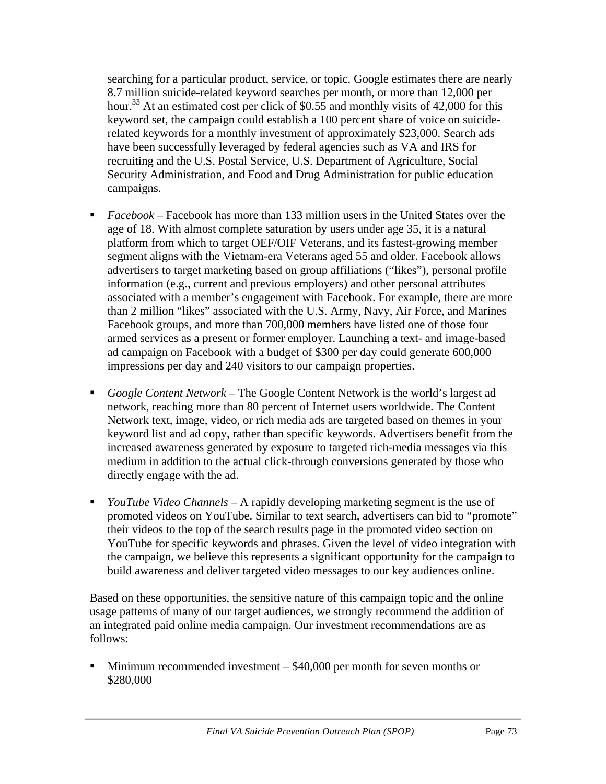searching for a particular product, service, or topic. Google estimates there are nearly 8.7 million suicide-related keyword searches per month, or more than 12,000 per hour.<sup>33</sup> At an estimated cost per click of \$0.55 and monthly visits of 42,000 for this keyword set, the campaign could establish a 100 percent share of voice on suiciderelated keywords for a monthly investment of approximately \$23,000. Search ads have been successfully leveraged by federal agencies such as VA and IRS for recruiting and the U.S. Postal Service, U.S. Department of Agriculture, Social Security Administration, and Food and Drug Administration for public education campaigns.

- *Facebook* Facebook has more than 133 million users in the United States over the age of 18. With almost complete saturation by users under age 35, it is a natural platform from which to target OEF/OIF Veterans, and its fastest-growing member segment aligns with the Vietnam-era Veterans aged 55 and older. Facebook allows advertisers to target marketing based on group affiliations ("likes"), personal profile information (e.g., current and previous employers) and other personal attributes associated with a member's engagement with Facebook. For example, there are more than 2 million "likes" associated with the U.S. Army, Navy, Air Force, and Marines Facebook groups, and more than 700,000 members have listed one of those four armed services as a present or former employer. Launching a text- and image-based ad campaign on Facebook with a budget of \$300 per day could generate 600,000 impressions per day and 240 visitors to our campaign properties.
- *Google Content Network* The Google Content Network is the world's largest ad network, reaching more than 80 percent of Internet users worldwide. The Content Network text, image, video, or rich media ads are targeted based on themes in your keyword list and ad copy, rather than specific keywords. Advertisers benefit from the increased awareness generated by exposure to targeted rich-media messages via this medium in addition to the actual click-through conversions generated by those who directly engage with the ad.
- *YouTube Video Channels* A rapidly developing marketing segment is the use of promoted videos on YouTube. Similar to text search, advertisers can bid to "promote" their videos to the top of the search results page in the promoted video section on YouTube for specific keywords and phrases. Given the level of video integration with the campaign, we believe this represents a significant opportunity for the campaign to build awareness and deliver targeted video messages to our key audiences online.

Based on these opportunities, the sensitive nature of this campaign topic and the online usage patterns of many of our target audiences, we strongly recommend the addition of an integrated paid online media campaign. Our investment recommendations are as follows:

 $\blacksquare$  Minimum recommended investment – \$40,000 per month for seven months or \$280,000